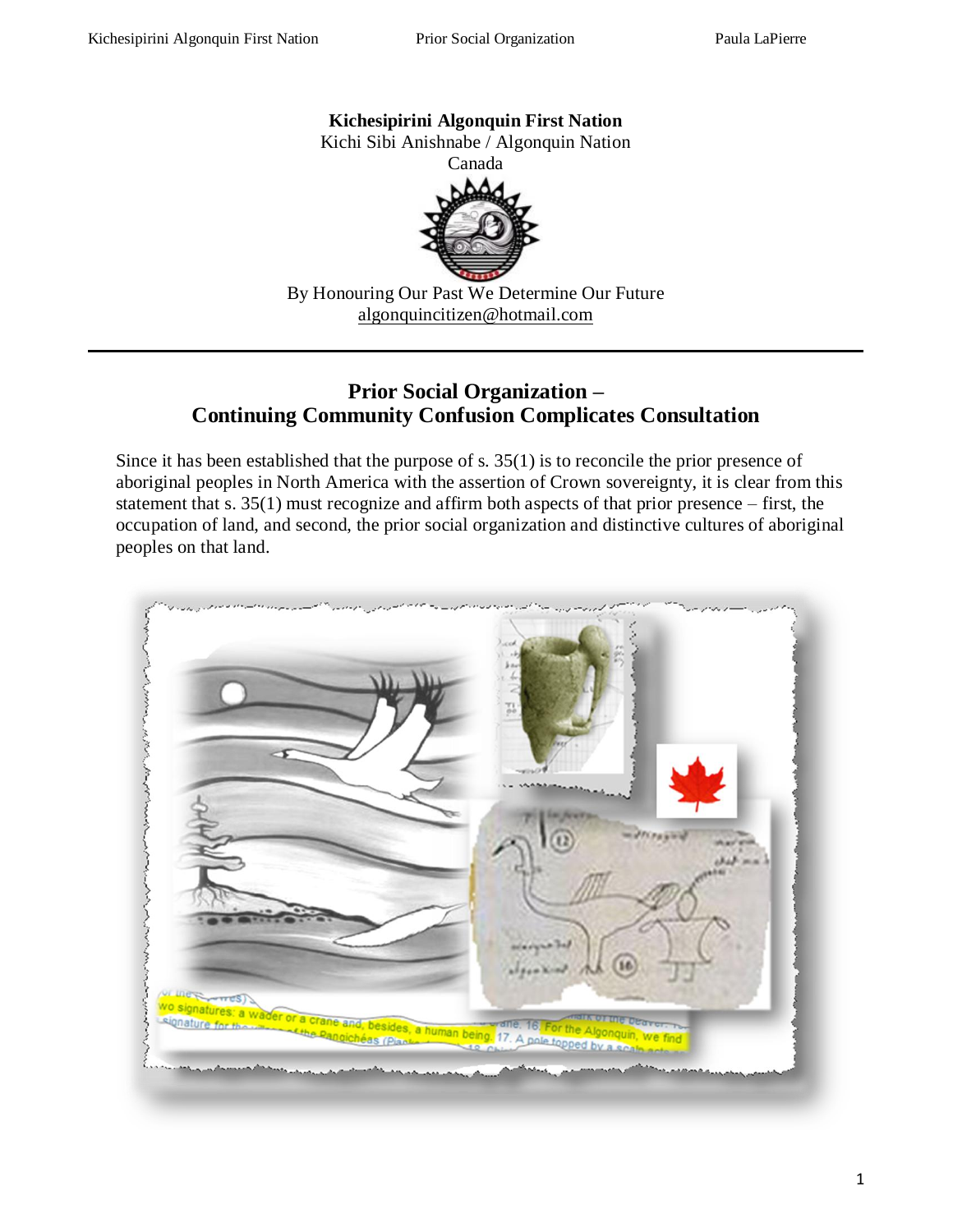## **Kichesipirini Algonquin First Nation**

Kichi Sibi Anishnabe / Algonquin Nation Canada



By Honouring Our Past We Determine Our Future [algonquincitizen@hotmail.com](mailto:algonquincitizen@hotmail.com)

# **Prior Social Organization – Continuing Community Confusion Complicates Consultation**

Since it has been established that the purpose of s. 35(1) is to reconcile the prior presence of aboriginal peoples in North America with the assertion of Crown sovereignty, it is clear from this statement that s. 35(1) must recognize and affirm both aspects of that prior presence – first, the occupation of land, and second, the prior social organization and distinctive cultures of aboriginal peoples on that land.

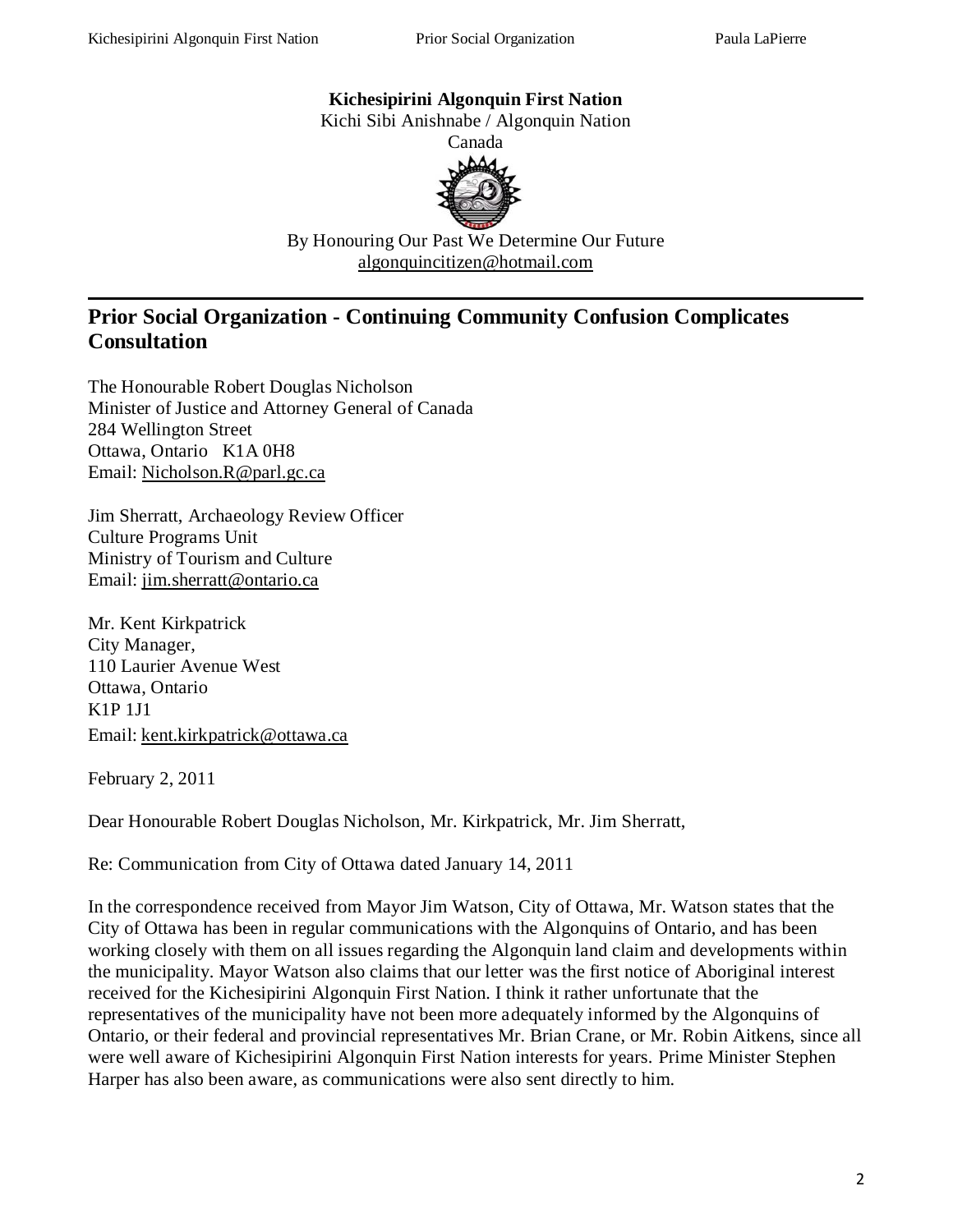**Kichesipirini Algonquin First Nation**

Kichi Sibi Anishnabe / Algonquin Nation



By Honouring Our Past We Determine Our Future [algonquincitizen@hotmail.com](mailto:algonquincitizen@hotmail.com)

# **Prior Social Organization - Continuing Community Confusion Complicates Consultation**

The Honourable Robert Douglas Nicholson Minister of Justice and Attorney General of Canada 284 Wellington Street Ottawa, Ontario K1A 0H8 Email: [Nicholson.R@parl.gc.ca](mailto:Nicholson.R@parl.gc.ca)

Jim Sherratt, Archaeology Review Officer Culture Programs Unit Ministry of Tourism and Culture Email: [jim.sherratt@ontario.ca](mailto:jim.sherratt@ontario.ca)

Mr. Kent Kirkpatrick City Manager, 110 Laurier Avenue West Ottawa, Ontario K1P 1J1 Email: [kent.kirkpatrick@ottawa.ca](mailto:kent.kirkpatrick@ottawa.ca)

February 2, 2011

Dear Honourable Robert Douglas Nicholson, Mr. Kirkpatrick, Mr. Jim Sherratt,

Re: Communication from City of Ottawa dated January 14, 2011

In the correspondence received from Mayor Jim Watson, City of Ottawa, Mr. Watson states that the City of Ottawa has been in regular communications with the Algonquins of Ontario, and has been working closely with them on all issues regarding the Algonquin land claim and developments within the municipality. Mayor Watson also claims that our letter was the first notice of Aboriginal interest received for the Kichesipirini Algonquin First Nation. I think it rather unfortunate that the representatives of the municipality have not been more adequately informed by the Algonquins of Ontario, or their federal and provincial representatives Mr. Brian Crane, or Mr. Robin Aitkens, since all were well aware of Kichesipirini Algonquin First Nation interests for years. Prime Minister Stephen Harper has also been aware, as communications were also sent directly to him.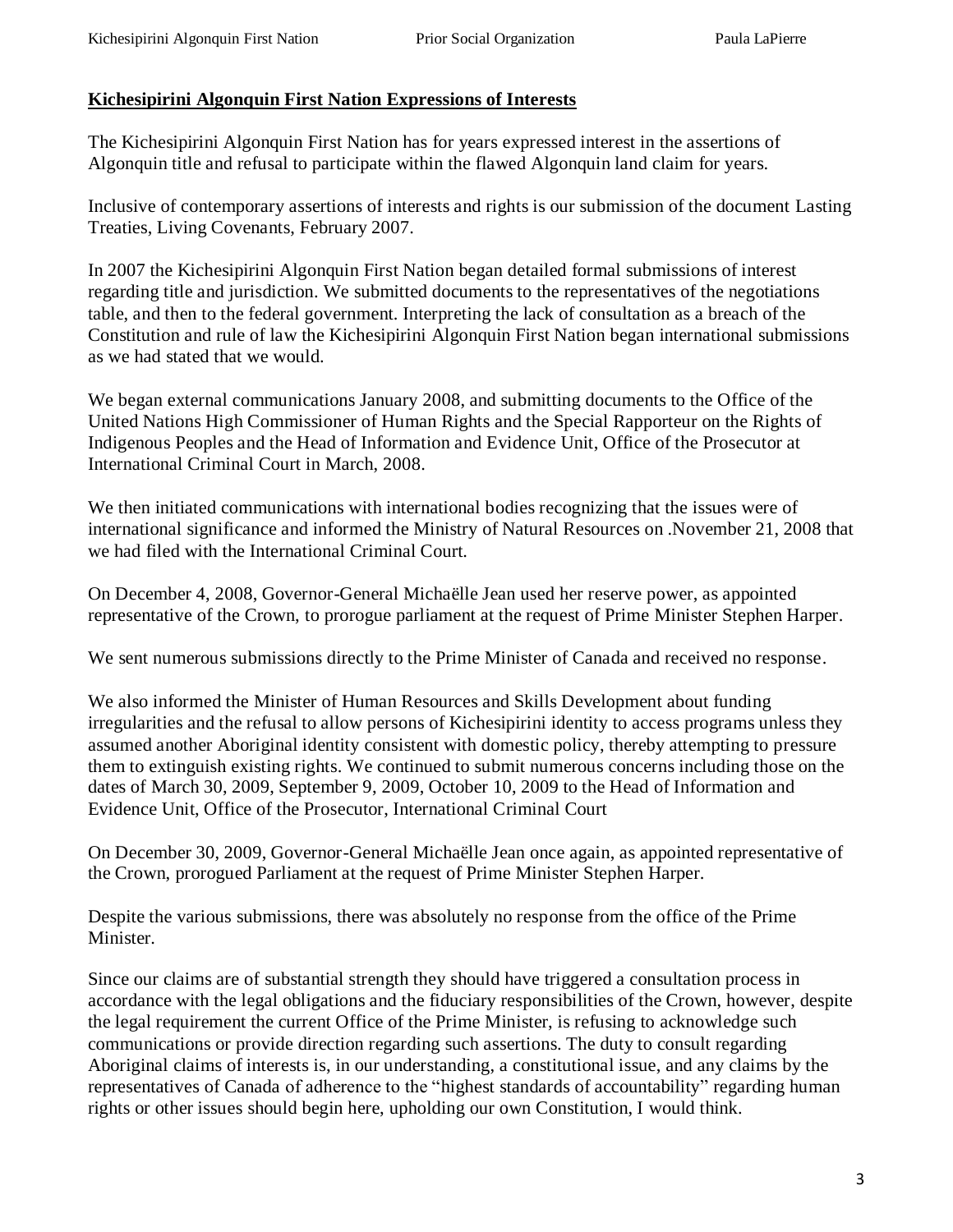## **Kichesipirini Algonquin First Nation Expressions of Interests**

The Kichesipirini Algonquin First Nation has for years expressed interest in the assertions of Algonquin title and refusal to participate within the flawed Algonquin land claim for years.

Inclusive of contemporary assertions of interests and rights is our submission of the document Lasting Treaties, Living Covenants, February 2007.

In 2007 the Kichesipirini Algonquin First Nation began detailed formal submissions of interest regarding title and jurisdiction. We submitted documents to the representatives of the negotiations table, and then to the federal government. Interpreting the lack of consultation as a breach of the Constitution and rule of law the Kichesipirini Algonquin First Nation began international submissions as we had stated that we would.

We began external communications January 2008, and submitting documents to the Office of the United Nations High Commissioner of Human Rights and the Special Rapporteur on the Rights of Indigenous Peoples and the Head of Information and Evidence Unit, Office of the Prosecutor at International Criminal Court in March, 2008.

We then initiated communications with international bodies recognizing that the issues were of international significance and informed the Ministry of Natural Resources on .November 21, 2008 that we had filed with the International Criminal Court.

On December 4, 2008, Governor-General Michaëlle Jean used her reserve power, as appointed representative of the Crown, to prorogue parliament at the request of Prime Minister Stephen Harper.

We sent numerous submissions directly to the Prime Minister of Canada and received no response.

We also informed the Minister of Human Resources and Skills Development about funding irregularities and the refusal to allow persons of Kichesipirini identity to access programs unless they assumed another Aboriginal identity consistent with domestic policy, thereby attempting to pressure them to extinguish existing rights. We continued to submit numerous concerns including those on the dates of March 30, 2009, September 9, 2009, October 10, 2009 to the Head of Information and Evidence Unit, Office of the Prosecutor, International Criminal Court

On December 30, 2009, Governor-General Michaëlle Jean once again, as appointed representative of the Crown, prorogued Parliament at the request of Prime Minister Stephen Harper.

Despite the various submissions, there was absolutely no response from the office of the Prime Minister.

Since our claims are of substantial strength they should have triggered a consultation process in accordance with the legal obligations and the fiduciary responsibilities of the Crown, however, despite the legal requirement the current Office of the Prime Minister, is refusing to acknowledge such communications or provide direction regarding such assertions. The duty to consult regarding Aboriginal claims of interests is, in our understanding, a constitutional issue, and any claims by the representatives of Canada of adherence to the "highest standards of accountability" regarding human rights or other issues should begin here, upholding our own Constitution, I would think.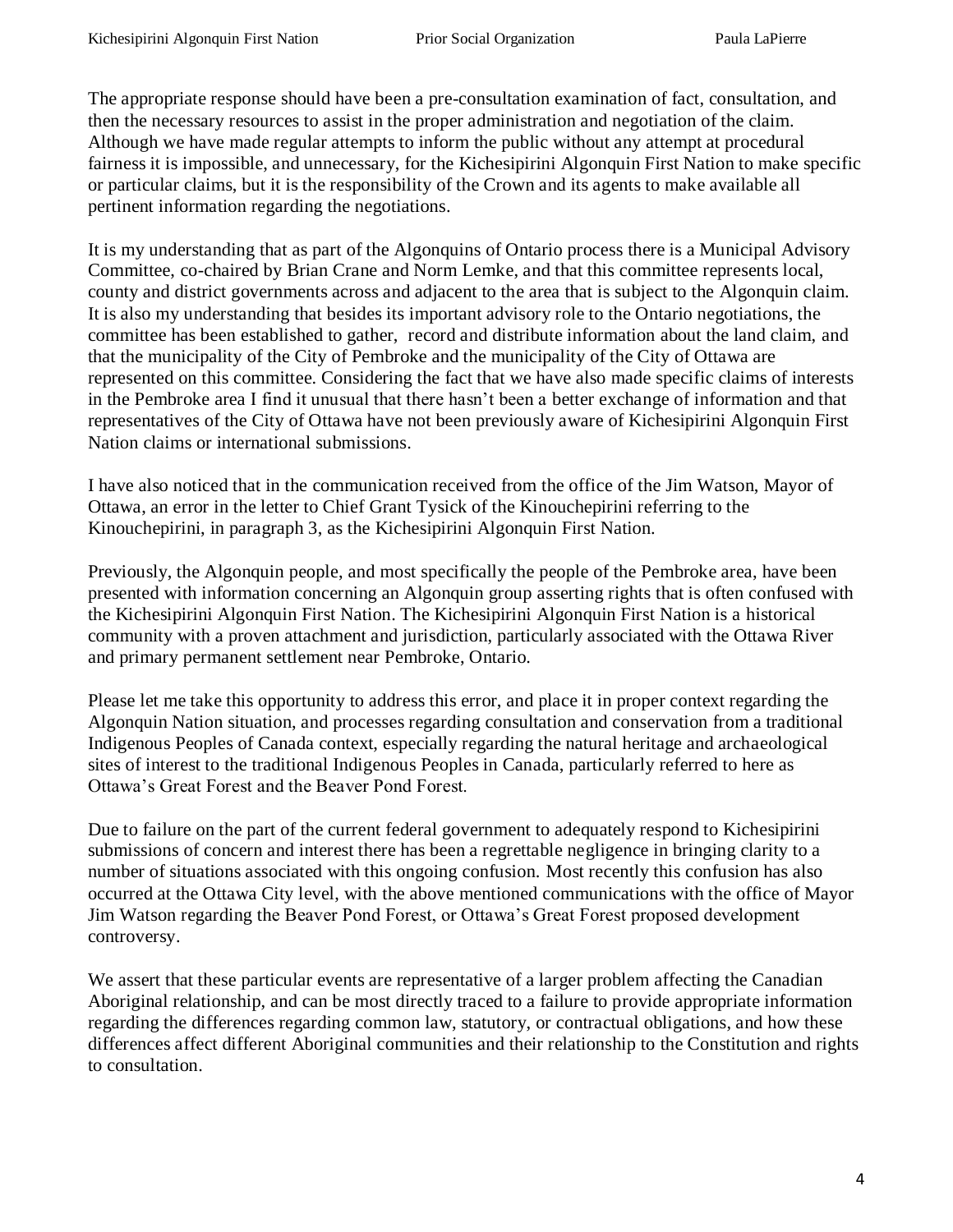The appropriate response should have been a pre-consultation examination of fact, consultation, and then the necessary resources to assist in the proper administration and negotiation of the claim. Although we have made regular attempts to inform the public without any attempt at procedural fairness it is impossible, and unnecessary, for the Kichesipirini Algonquin First Nation to make specific or particular claims, but it is the responsibility of the Crown and its agents to make available all pertinent information regarding the negotiations.

It is my understanding that as part of the Algonquins of Ontario process there is a Municipal Advisory Committee, co-chaired by Brian Crane and Norm Lemke, and that this committee represents local, county and district governments across and adjacent to the area that is subject to the Algonquin claim. It is also my understanding that besides its important advisory role to the Ontario negotiations, the committee has been established to gather, record and distribute information about the land claim, and that the municipality of the City of Pembroke and the municipality of the City of Ottawa are represented on this committee. Considering the fact that we have also made specific claims of interests in the Pembroke area I find it unusual that there hasn't been a better exchange of information and that representatives of the City of Ottawa have not been previously aware of Kichesipirini Algonquin First Nation claims or international submissions.

I have also noticed that in the communication received from the office of the Jim Watson, Mayor of Ottawa, an error in the letter to Chief Grant Tysick of the Kinouchepirini referring to the Kinouchepirini, in paragraph 3, as the Kichesipirini Algonquin First Nation.

Previously, the Algonquin people, and most specifically the people of the Pembroke area, have been presented with information concerning an Algonquin group asserting rights that is often confused with the Kichesipirini Algonquin First Nation. The Kichesipirini Algonquin First Nation is a historical community with a proven attachment and jurisdiction, particularly associated with the Ottawa River and primary permanent settlement near Pembroke, Ontario.

Please let me take this opportunity to address this error, and place it in proper context regarding the Algonquin Nation situation, and processes regarding consultation and conservation from a traditional Indigenous Peoples of Canada context, especially regarding the natural heritage and archaeological sites of interest to the traditional Indigenous Peoples in Canada, particularly referred to here as Ottawa's Great Forest and the Beaver Pond Forest.

Due to failure on the part of the current federal government to adequately respond to Kichesipirini submissions of concern and interest there has been a regrettable negligence in bringing clarity to a number of situations associated with this ongoing confusion. Most recently this confusion has also occurred at the Ottawa City level, with the above mentioned communications with the office of Mayor Jim Watson regarding the Beaver Pond Forest, or Ottawa's Great Forest proposed development controversy.

We assert that these particular events are representative of a larger problem affecting the Canadian Aboriginal relationship, and can be most directly traced to a failure to provide appropriate information regarding the differences regarding common law, statutory, or contractual obligations, and how these differences affect different Aboriginal communities and their relationship to the Constitution and rights to consultation.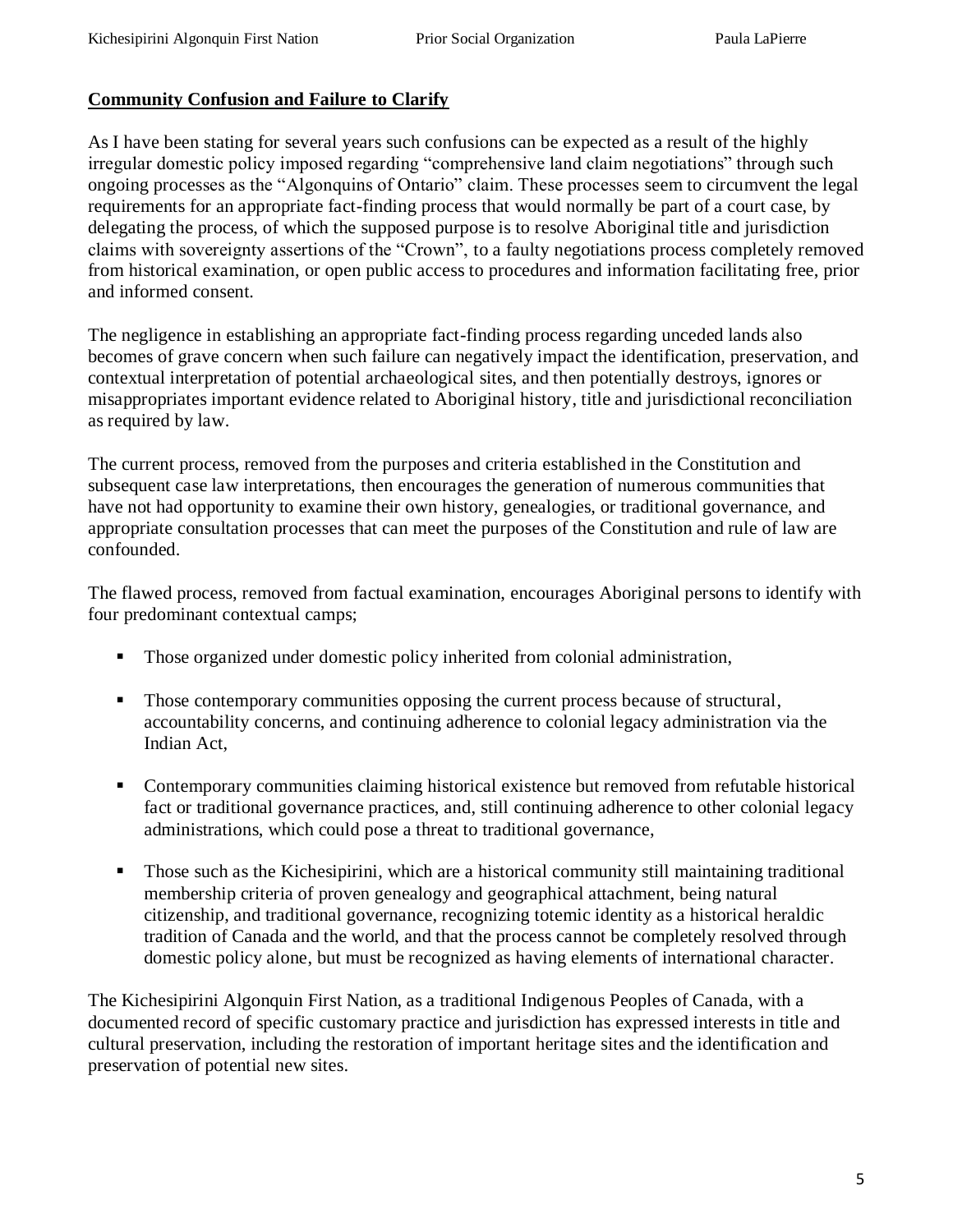#### **Community Confusion and Failure to Clarify**

As I have been stating for several years such confusions can be expected as a result of the highly irregular domestic policy imposed regarding "comprehensive land claim negotiations" through such ongoing processes as the "Algonquins of Ontario" claim. These processes seem to circumvent the legal requirements for an appropriate fact-finding process that would normally be part of a court case, by delegating the process, of which the supposed purpose is to resolve Aboriginal title and jurisdiction claims with sovereignty assertions of the "Crown", to a faulty negotiations process completely removed from historical examination, or open public access to procedures and information facilitating free, prior and informed consent.

The negligence in establishing an appropriate fact-finding process regarding unceded lands also becomes of grave concern when such failure can negatively impact the identification, preservation, and contextual interpretation of potential archaeological sites, and then potentially destroys, ignores or misappropriates important evidence related to Aboriginal history, title and jurisdictional reconciliation as required by law.

The current process, removed from the purposes and criteria established in the Constitution and subsequent case law interpretations, then encourages the generation of numerous communities that have not had opportunity to examine their own history, genealogies, or traditional governance, and appropriate consultation processes that can meet the purposes of the Constitution and rule of law are confounded.

The flawed process, removed from factual examination, encourages Aboriginal persons to identify with four predominant contextual camps;

- Those organized under domestic policy inherited from colonial administration,
- Those contemporary communities opposing the current process because of structural, accountability concerns, and continuing adherence to colonial legacy administration via the Indian Act,
- Contemporary communities claiming historical existence but removed from refutable historical fact or traditional governance practices, and, still continuing adherence to other colonial legacy administrations, which could pose a threat to traditional governance,
- Those such as the Kichesipirini, which are a historical community still maintaining traditional membership criteria of proven genealogy and geographical attachment, being natural citizenship, and traditional governance, recognizing totemic identity as a historical heraldic tradition of Canada and the world, and that the process cannot be completely resolved through domestic policy alone, but must be recognized as having elements of international character.

The Kichesipirini Algonquin First Nation, as a traditional Indigenous Peoples of Canada, with a documented record of specific customary practice and jurisdiction has expressed interests in title and cultural preservation, including the restoration of important heritage sites and the identification and preservation of potential new sites.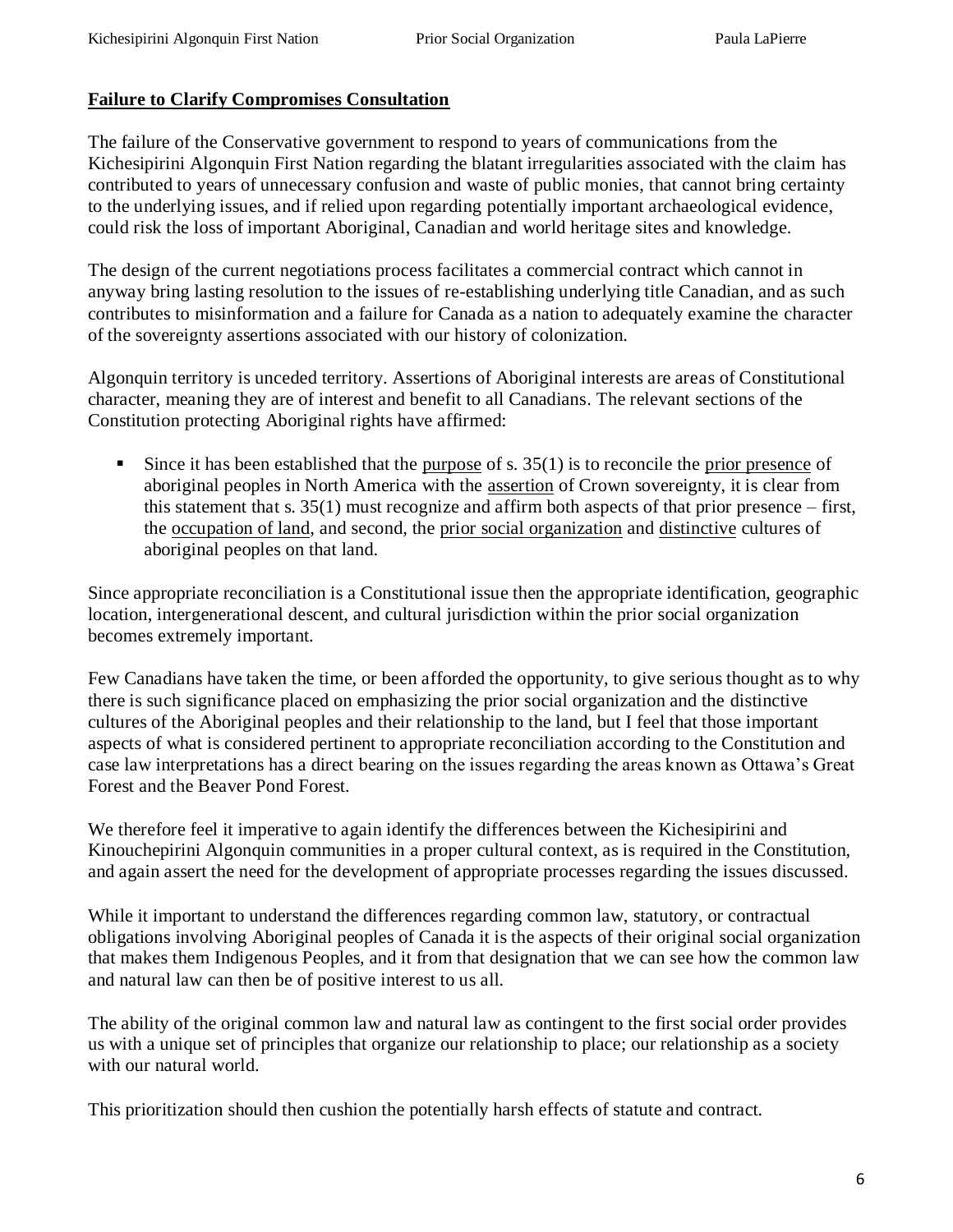## **Failure to Clarify Compromises Consultation**

The failure of the Conservative government to respond to years of communications from the Kichesipirini Algonquin First Nation regarding the blatant irregularities associated with the claim has contributed to years of unnecessary confusion and waste of public monies, that cannot bring certainty to the underlying issues, and if relied upon regarding potentially important archaeological evidence, could risk the loss of important Aboriginal, Canadian and world heritage sites and knowledge.

The design of the current negotiations process facilitates a commercial contract which cannot in anyway bring lasting resolution to the issues of re-establishing underlying title Canadian, and as such contributes to misinformation and a failure for Canada as a nation to adequately examine the character of the sovereignty assertions associated with our history of colonization.

Algonquin territory is unceded territory. Assertions of Aboriginal interests are areas of Constitutional character, meaning they are of interest and benefit to all Canadians. The relevant sections of the Constitution protecting Aboriginal rights have affirmed:

Since it has been established that the purpose of s.  $35(1)$  is to reconcile the prior presence of aboriginal peoples in North America with the assertion of Crown sovereignty, it is clear from this statement that s. 35(1) must recognize and affirm both aspects of that prior presence – first, the occupation of land, and second, the prior social organization and distinctive cultures of aboriginal peoples on that land.

Since appropriate reconciliation is a Constitutional issue then the appropriate identification, geographic location, intergenerational descent, and cultural jurisdiction within the prior social organization becomes extremely important.

Few Canadians have taken the time, or been afforded the opportunity, to give serious thought as to why there is such significance placed on emphasizing the prior social organization and the distinctive cultures of the Aboriginal peoples and their relationship to the land, but I feel that those important aspects of what is considered pertinent to appropriate reconciliation according to the Constitution and case law interpretations has a direct bearing on the issues regarding the areas known as Ottawa's Great Forest and the Beaver Pond Forest.

We therefore feel it imperative to again identify the differences between the Kichesipirini and Kinouchepirini Algonquin communities in a proper cultural context, as is required in the Constitution, and again assert the need for the development of appropriate processes regarding the issues discussed.

While it important to understand the differences regarding common law, statutory, or contractual obligations involving Aboriginal peoples of Canada it is the aspects of their original social organization that makes them Indigenous Peoples, and it from that designation that we can see how the common law and natural law can then be of positive interest to us all.

The ability of the original common law and natural law as contingent to the first social order provides us with a unique set of principles that organize our relationship to place; our relationship as a society with our natural world.

This prioritization should then cushion the potentially harsh effects of statute and contract.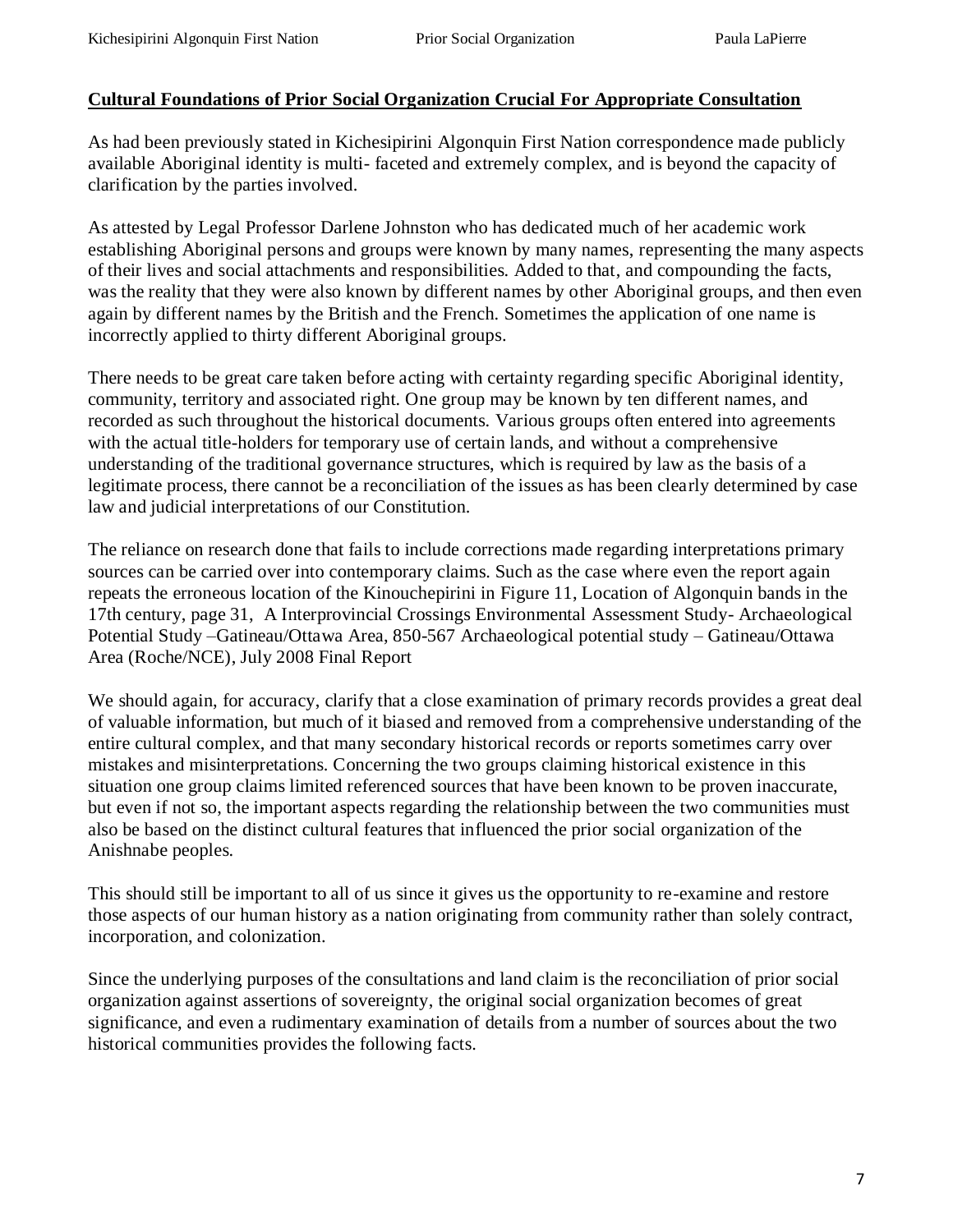#### **Cultural Foundations of Prior Social Organization Crucial For Appropriate Consultation**

As had been previously stated in Kichesipirini Algonquin First Nation correspondence made publicly available Aboriginal identity is multi- faceted and extremely complex, and is beyond the capacity of clarification by the parties involved.

As attested by Legal Professor Darlene Johnston who has dedicated much of her academic work establishing Aboriginal persons and groups were known by many names, representing the many aspects of their lives and social attachments and responsibilities. Added to that, and compounding the facts, was the reality that they were also known by different names by other Aboriginal groups, and then even again by different names by the British and the French. Sometimes the application of one name is incorrectly applied to thirty different Aboriginal groups.

There needs to be great care taken before acting with certainty regarding specific Aboriginal identity, community, territory and associated right. One group may be known by ten different names, and recorded as such throughout the historical documents. Various groups often entered into agreements with the actual title-holders for temporary use of certain lands, and without a comprehensive understanding of the traditional governance structures, which is required by law as the basis of a legitimate process, there cannot be a reconciliation of the issues as has been clearly determined by case law and judicial interpretations of our Constitution.

The reliance on research done that fails to include corrections made regarding interpretations primary sources can be carried over into contemporary claims. Such as the case where even the report again repeats the erroneous location of the Kinouchepirini in Figure 11, Location of Algonquin bands in the 17th century, page 31, A Interprovincial Crossings Environmental Assessment Study- Archaeological Potential Study –Gatineau/Ottawa Area, 850-567 Archaeological potential study – Gatineau/Ottawa Area (Roche/NCE), July 2008 Final Report

We should again, for accuracy, clarify that a close examination of primary records provides a great deal of valuable information, but much of it biased and removed from a comprehensive understanding of the entire cultural complex, and that many secondary historical records or reports sometimes carry over mistakes and misinterpretations. Concerning the two groups claiming historical existence in this situation one group claims limited referenced sources that have been known to be proven inaccurate, but even if not so, the important aspects regarding the relationship between the two communities must also be based on the distinct cultural features that influenced the prior social organization of the Anishnabe peoples.

This should still be important to all of us since it gives us the opportunity to re-examine and restore those aspects of our human history as a nation originating from community rather than solely contract, incorporation, and colonization.

Since the underlying purposes of the consultations and land claim is the reconciliation of prior social organization against assertions of sovereignty, the original social organization becomes of great significance, and even a rudimentary examination of details from a number of sources about the two historical communities provides the following facts.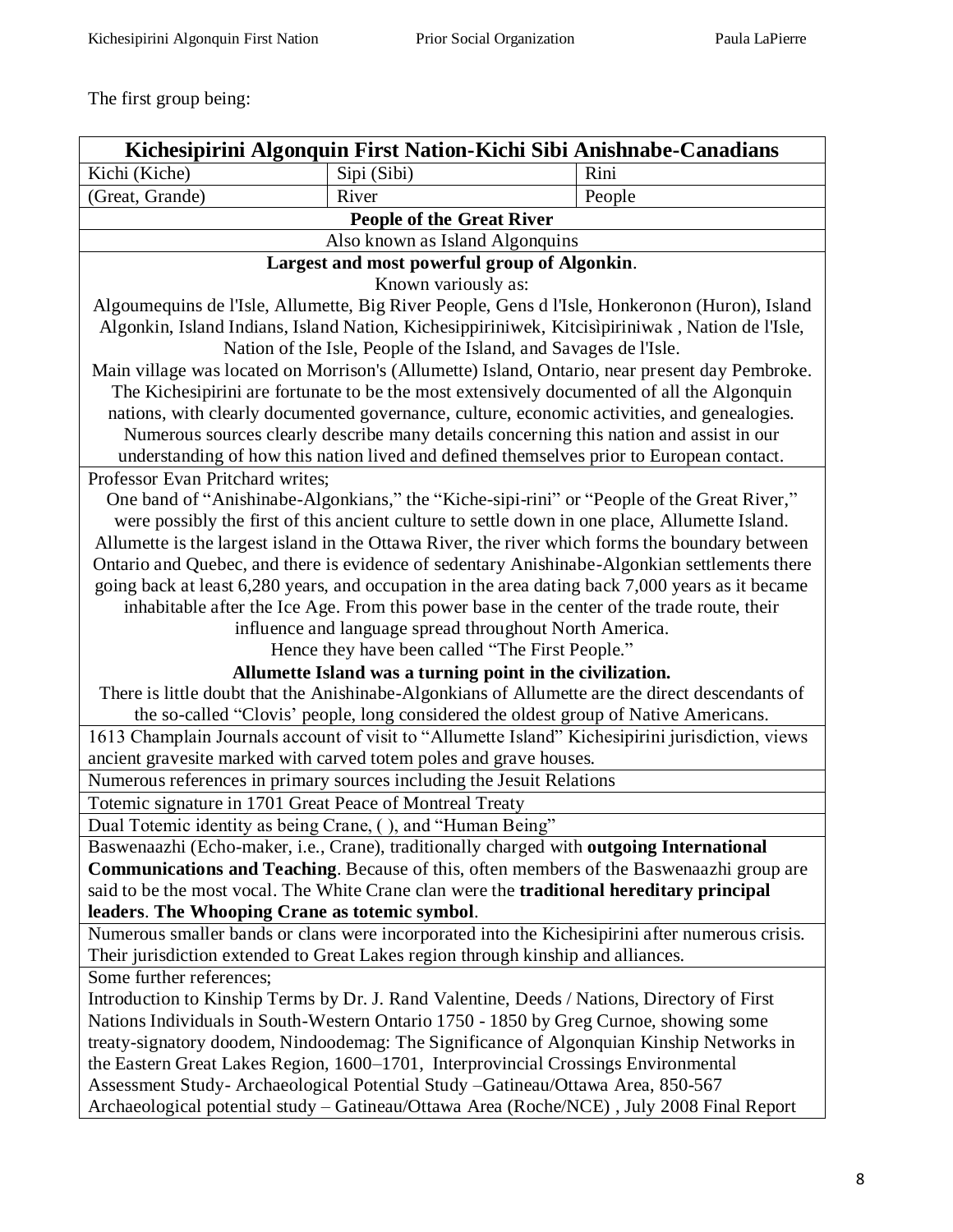The first group being:

|                                                                                                                                                                                                                                                                                                                                                                                                                                                                                                                                                                                                                                                                                                                                                                                    | Kichesipirini Algonquin First Nation-Kichi Sibi Anishnabe-Canadians |  |  |
|------------------------------------------------------------------------------------------------------------------------------------------------------------------------------------------------------------------------------------------------------------------------------------------------------------------------------------------------------------------------------------------------------------------------------------------------------------------------------------------------------------------------------------------------------------------------------------------------------------------------------------------------------------------------------------------------------------------------------------------------------------------------------------|---------------------------------------------------------------------|--|--|
| Sipi (Sibi)<br>Kichi (Kiche)<br>Rini                                                                                                                                                                                                                                                                                                                                                                                                                                                                                                                                                                                                                                                                                                                                               |                                                                     |  |  |
| (Great, Grande)<br>River<br>People                                                                                                                                                                                                                                                                                                                                                                                                                                                                                                                                                                                                                                                                                                                                                 |                                                                     |  |  |
| <b>People of the Great River</b>                                                                                                                                                                                                                                                                                                                                                                                                                                                                                                                                                                                                                                                                                                                                                   |                                                                     |  |  |
| Also known as Island Algonquins                                                                                                                                                                                                                                                                                                                                                                                                                                                                                                                                                                                                                                                                                                                                                    |                                                                     |  |  |
| Largest and most powerful group of Algonkin.                                                                                                                                                                                                                                                                                                                                                                                                                                                                                                                                                                                                                                                                                                                                       |                                                                     |  |  |
| Known variously as:<br>Algoumequins de l'Isle, Allumette, Big River People, Gens d l'Isle, Honkeronon (Huron), Island<br>Algonkin, Island Indians, Island Nation, Kichesippiriniwek, Kitcisipiriniwak, Nation de l'Isle,<br>Nation of the Isle, People of the Island, and Savages de l'Isle.<br>Main village was located on Morrison's (Allumette) Island, Ontario, near present day Pembroke.<br>The Kichesipirini are fortunate to be the most extensively documented of all the Algonquin<br>nations, with clearly documented governance, culture, economic activities, and genealogies.<br>Numerous sources clearly describe many details concerning this nation and assist in our<br>understanding of how this nation lived and defined themselves prior to European contact. |                                                                     |  |  |
| Professor Evan Pritchard writes;<br>One band of "Anishinabe-Algonkians," the "Kiche-sipi-rini" or "People of the Great River,"<br>were possibly the first of this ancient culture to settle down in one place, Allumette Island.<br>Allumette is the largest island in the Ottawa River, the river which forms the boundary between<br>Ontario and Quebec, and there is evidence of sedentary Anishinabe-Algonkian settlements there<br>going back at least 6,280 years, and occupation in the area dating back 7,000 years as it became<br>inhabitable after the Ice Age. From this power base in the center of the trade route, their<br>influence and language spread throughout North America.<br>Hence they have been called "The First People."                              |                                                                     |  |  |
| Allumette Island was a turning point in the civilization.                                                                                                                                                                                                                                                                                                                                                                                                                                                                                                                                                                                                                                                                                                                          |                                                                     |  |  |
| There is little doubt that the Anishinabe-Algonkians of Allumette are the direct descendants of                                                                                                                                                                                                                                                                                                                                                                                                                                                                                                                                                                                                                                                                                    |                                                                     |  |  |
| the so-called "Clovis' people, long considered the oldest group of Native Americans.                                                                                                                                                                                                                                                                                                                                                                                                                                                                                                                                                                                                                                                                                               |                                                                     |  |  |
| 1613 Champlain Journals account of visit to "Allumette Island" Kichesipirini jurisdiction, views                                                                                                                                                                                                                                                                                                                                                                                                                                                                                                                                                                                                                                                                                   |                                                                     |  |  |
| ancient gravesite marked with carved totem poles and grave houses.                                                                                                                                                                                                                                                                                                                                                                                                                                                                                                                                                                                                                                                                                                                 |                                                                     |  |  |
| Numerous references in primary sources including the Jesuit Relations<br>Totemic signature in 1701 Great Peace of Montreal Treaty                                                                                                                                                                                                                                                                                                                                                                                                                                                                                                                                                                                                                                                  |                                                                     |  |  |
|                                                                                                                                                                                                                                                                                                                                                                                                                                                                                                                                                                                                                                                                                                                                                                                    |                                                                     |  |  |
| Dual Totemic identity as being Crane, (), and "Human Being"<br>Baswenaazhi (Echo-maker, i.e., Crane), traditionally charged with outgoing International                                                                                                                                                                                                                                                                                                                                                                                                                                                                                                                                                                                                                            |                                                                     |  |  |
| <b>Communications and Teaching.</b> Because of this, often members of the Baswenaazhi group are                                                                                                                                                                                                                                                                                                                                                                                                                                                                                                                                                                                                                                                                                    |                                                                     |  |  |
| said to be the most vocal. The White Crane clan were the <b>traditional hereditary principal</b>                                                                                                                                                                                                                                                                                                                                                                                                                                                                                                                                                                                                                                                                                   |                                                                     |  |  |
| leaders. The Whooping Crane as totemic symbol.                                                                                                                                                                                                                                                                                                                                                                                                                                                                                                                                                                                                                                                                                                                                     |                                                                     |  |  |
| Numerous smaller bands or clans were incorporated into the Kichesipirini after numerous crisis.                                                                                                                                                                                                                                                                                                                                                                                                                                                                                                                                                                                                                                                                                    |                                                                     |  |  |
| Their jurisdiction extended to Great Lakes region through kinship and alliances.                                                                                                                                                                                                                                                                                                                                                                                                                                                                                                                                                                                                                                                                                                   |                                                                     |  |  |
| Some further references;                                                                                                                                                                                                                                                                                                                                                                                                                                                                                                                                                                                                                                                                                                                                                           |                                                                     |  |  |
| Introduction to Kinship Terms by Dr. J. Rand Valentine, Deeds / Nations, Directory of First                                                                                                                                                                                                                                                                                                                                                                                                                                                                                                                                                                                                                                                                                        |                                                                     |  |  |
| Nations Individuals in South-Western Ontario 1750 - 1850 by Greg Curnoe, showing some<br>treaty-signatory doodem, Nindoodemag: The Significance of Algonquian Kinship Networks in                                                                                                                                                                                                                                                                                                                                                                                                                                                                                                                                                                                                  |                                                                     |  |  |
| the Eastern Great Lakes Region, 1600–1701, Interprovincial Crossings Environmental                                                                                                                                                                                                                                                                                                                                                                                                                                                                                                                                                                                                                                                                                                 |                                                                     |  |  |
| Assessment Study- Archaeological Potential Study -Gatineau/Ottawa Area, 850-567                                                                                                                                                                                                                                                                                                                                                                                                                                                                                                                                                                                                                                                                                                    |                                                                     |  |  |
| Archaeological potential study - Gatineau/Ottawa Area (Roche/NCE), July 2008 Final Report                                                                                                                                                                                                                                                                                                                                                                                                                                                                                                                                                                                                                                                                                          |                                                                     |  |  |
|                                                                                                                                                                                                                                                                                                                                                                                                                                                                                                                                                                                                                                                                                                                                                                                    |                                                                     |  |  |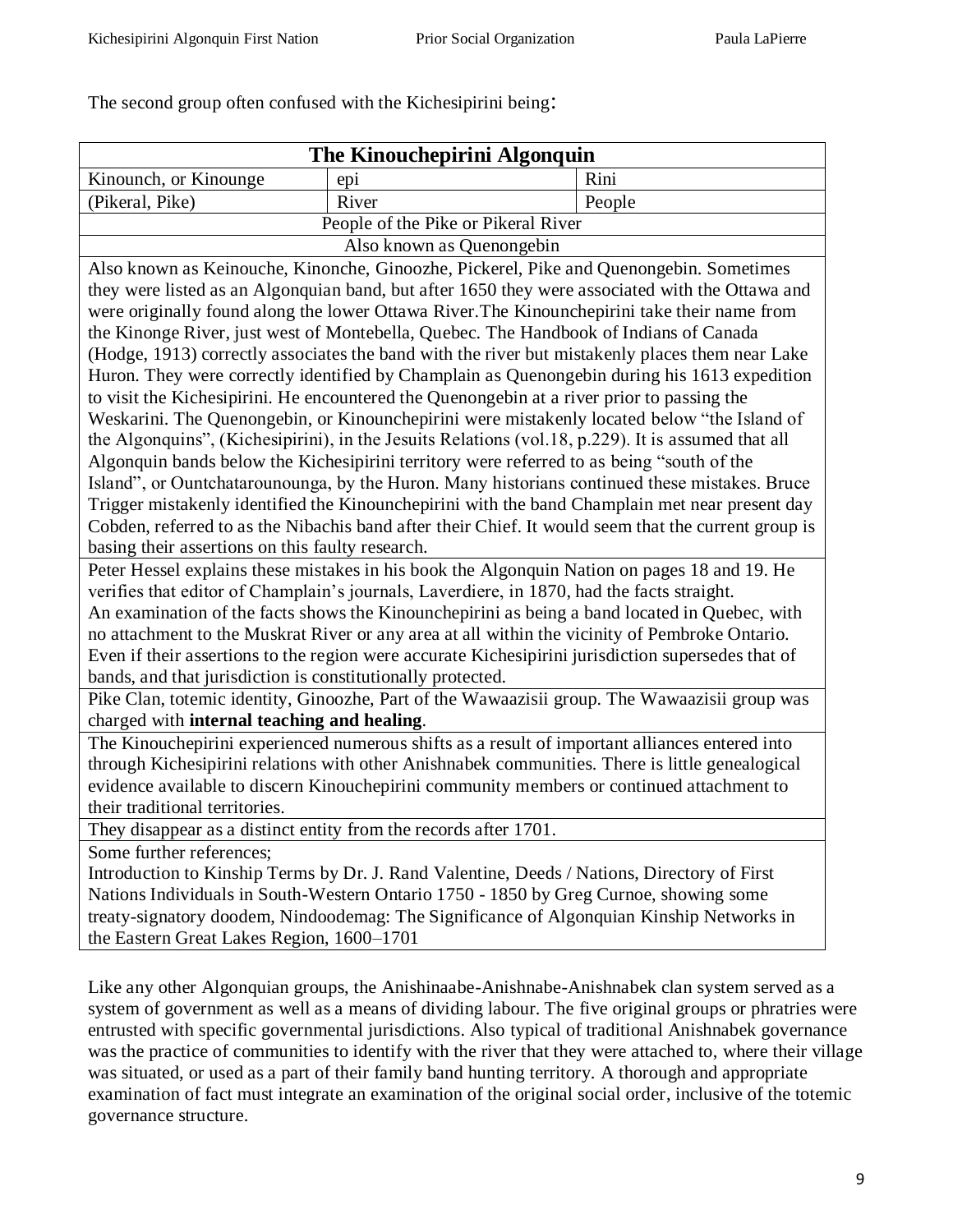The second group often confused with the Kichesipirini being:

| The Kinouchepirini Algonquin                                                                                                                                      |       |        |
|-------------------------------------------------------------------------------------------------------------------------------------------------------------------|-------|--------|
| Kinounch, or Kinounge                                                                                                                                             | epi   | Rini   |
| (Pikeral, Pike)                                                                                                                                                   | River | People |
| People of the Pike or Pikeral River                                                                                                                               |       |        |
| Also known as Quenongebin                                                                                                                                         |       |        |
| Also known as Keinouche, Kinonche, Ginoozhe, Pickerel, Pike and Quenongebin. Sometimes                                                                            |       |        |
| they were listed as an Algonquian band, but after 1650 they were associated with the Ottawa and                                                                   |       |        |
| were originally found along the lower Ottawa River. The Kinounchepirini take their name from                                                                      |       |        |
| the Kinonge River, just west of Montebella, Quebec. The Handbook of Indians of Canada                                                                             |       |        |
| (Hodge, 1913) correctly associates the band with the river but mistakenly places them near Lake                                                                   |       |        |
| Huron. They were correctly identified by Champlain as Quenongebin during his 1613 expedition                                                                      |       |        |
| to visit the Kichesipirini. He encountered the Quenongebin at a river prior to passing the                                                                        |       |        |
| Weskarini. The Quenongebin, or Kinounchepirini were mistakenly located below "the Island of                                                                       |       |        |
| the Algonquins", (Kichesipirini), in the Jesuits Relations (vol.18, p.229). It is assumed that all                                                                |       |        |
| Algonquin bands below the Kichesipirini territory were referred to as being "south of the                                                                         |       |        |
| Island", or Ountchatarounounga, by the Huron. Many historians continued these mistakes. Bruce                                                                     |       |        |
| Trigger mistakenly identified the Kinounchepirini with the band Champlain met near present day                                                                    |       |        |
| Cobden, referred to as the Nibachis band after their Chief. It would seem that the current group is                                                               |       |        |
| basing their assertions on this faulty research.                                                                                                                  |       |        |
| Peter Hessel explains these mistakes in his book the Algonquin Nation on pages 18 and 19. He                                                                      |       |        |
| verifies that editor of Champlain's journals, Laverdiere, in 1870, had the facts straight.                                                                        |       |        |
| An examination of the facts shows the Kinounchepirini as being a band located in Quebec, with                                                                     |       |        |
| no attachment to the Muskrat River or any area at all within the vicinity of Pembroke Ontario.                                                                    |       |        |
| Even if their assertions to the region were accurate Kichesipirini jurisdiction supersedes that of<br>bands, and that jurisdiction is constitutionally protected. |       |        |
| Pike Clan, totemic identity, Ginoozhe, Part of the Wawaazisii group. The Wawaazisii group was                                                                     |       |        |
| charged with internal teaching and healing.                                                                                                                       |       |        |
| The Kinouchepirini experienced numerous shifts as a result of important alliances entered into                                                                    |       |        |
| through Kichesipirini relations with other Anishnabek communities. There is little genealogical                                                                   |       |        |
| evidence available to discern Kinouchepirini community members or continued attachment to                                                                         |       |        |
| their traditional territories.                                                                                                                                    |       |        |
| They disappear as a distinct entity from the records after 1701.                                                                                                  |       |        |
| Some further references:                                                                                                                                          |       |        |
| Introduction to Kinship Terms by Dr. J. Rand Valentine, Deeds / Nations, Directory of First                                                                       |       |        |
| Nations Individuals in South-Western Ontario 1750 - 1850 by Greg Curnoe, showing some                                                                             |       |        |
| treaty-signatory doodem, Nindoodemag: The Significance of Algonquian Kinship Networks in                                                                          |       |        |
| the Eastern Great Lakes Region, 1600-1701                                                                                                                         |       |        |

Like any other Algonquian groups, the Anishinaabe-Anishnabe-Anishnabek clan system served as a system of government as well as a means of dividing labour. The five original groups or [phratries](http://tripatlas.com/Phratry) were entrusted with specific governmental jurisdictions. Also typical of traditional Anishnabek governance was the practice of communities to identify with the river that they were attached to, where their village was situated, or used as a part of their family band hunting territory. A thorough and appropriate examination of fact must integrate an examination of the original social order, inclusive of the totemic governance structure.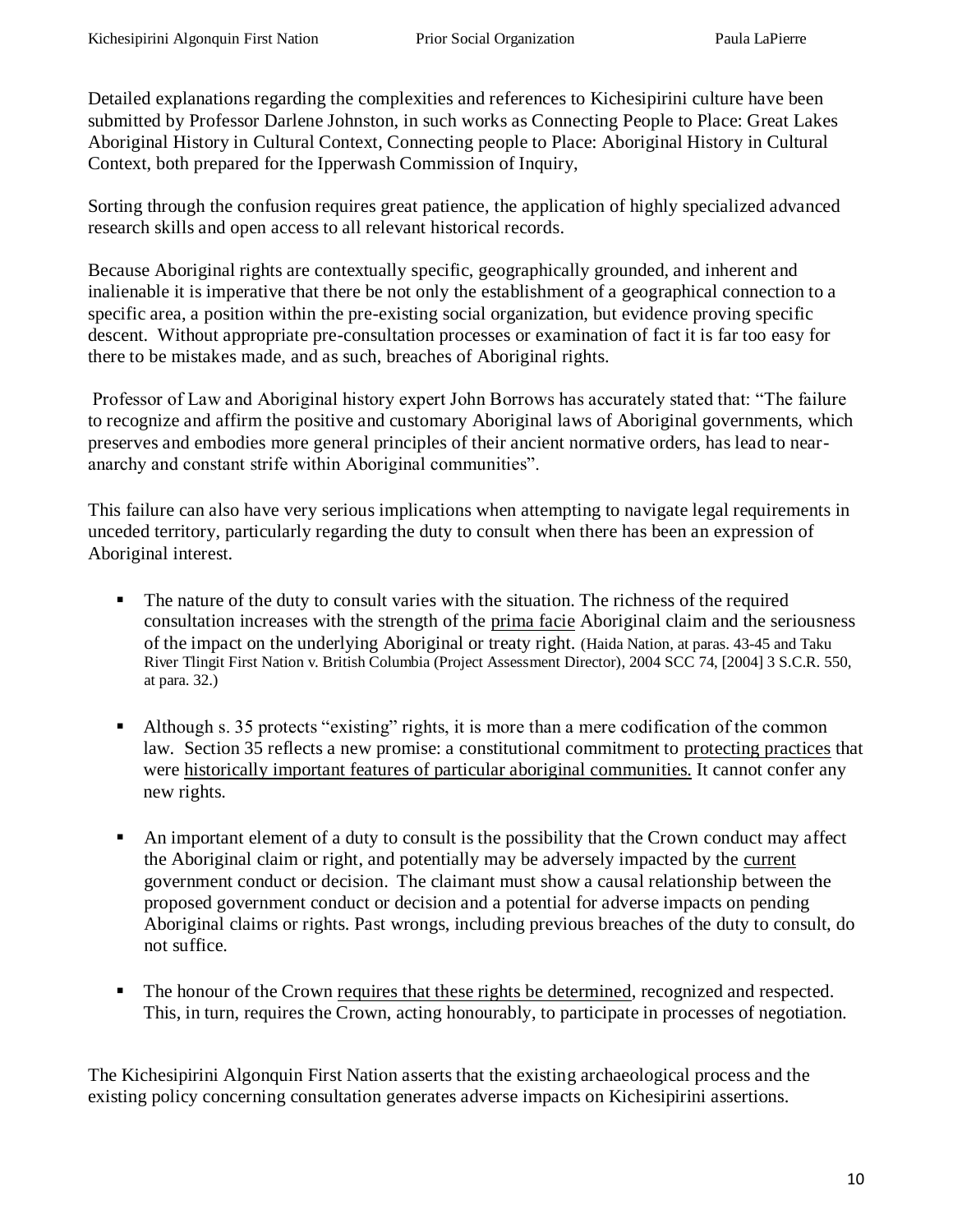Detailed explanations regarding the complexities and references to Kichesipirini culture have been submitted by Professor Darlene Johnston, in such works as Connecting People to Place: Great Lakes Aboriginal History in Cultural Context, Connecting people to Place: Aboriginal History in Cultural Context, both prepared for the Ipperwash Commission of Inquiry,

Sorting through the confusion requires great patience, the application of highly specialized advanced research skills and open access to all relevant historical records.

Because Aboriginal rights are contextually specific, geographically grounded, and inherent and inalienable it is imperative that there be not only the establishment of a geographical connection to a specific area, a position within the pre-existing social organization, but evidence proving specific descent. Without appropriate pre-consultation processes or examination of fact it is far too easy for there to be mistakes made, and as such, breaches of Aboriginal rights.

Professor of Law and Aboriginal history expert John Borrows has accurately stated that: "The failure to recognize and affirm the positive and customary Aboriginal laws of Aboriginal governments, which preserves and embodies more general principles of their ancient normative orders, has lead to nearanarchy and constant strife within Aboriginal communities".

This failure can also have very serious implications when attempting to navigate legal requirements in unceded territory, particularly regarding the duty to consult when there has been an expression of Aboriginal interest.

- The nature of the duty to consult varies with the situation. The richness of the required consultation increases with the strength of the prima facie Aboriginal claim and the seriousness of the impact on the underlying Aboriginal or treaty right. (Haida Nation, at paras. 43-45 and Taku River Tlingit First Nation v. British Columbia (Project Assessment Director), 2004 SCC 74, [2004] 3 S.C.R. 550, at para. 32.)
- Although s. 35 protects "existing" rights, it is more than a mere codification of the common law. Section 35 reflects a new promise: a constitutional commitment to protecting practices that were historically important features of particular aboriginal communities. It cannot confer any new rights.
- An important element of a duty to consult is the possibility that the Crown conduct may affect the Aboriginal claim or right, and potentially may be adversely impacted by the current government conduct or decision. The claimant must show a causal relationship between the proposed government conduct or decision and a potential for adverse impacts on pending Aboriginal claims or rights. Past wrongs, including previous breaches of the duty to consult, do not suffice.
- The honour of the Crown requires that these rights be determined, recognized and respected. This, in turn, requires the Crown, acting honourably, to participate in processes of negotiation.

The Kichesipirini Algonquin First Nation asserts that the existing archaeological process and the existing policy concerning consultation generates adverse impacts on Kichesipirini assertions.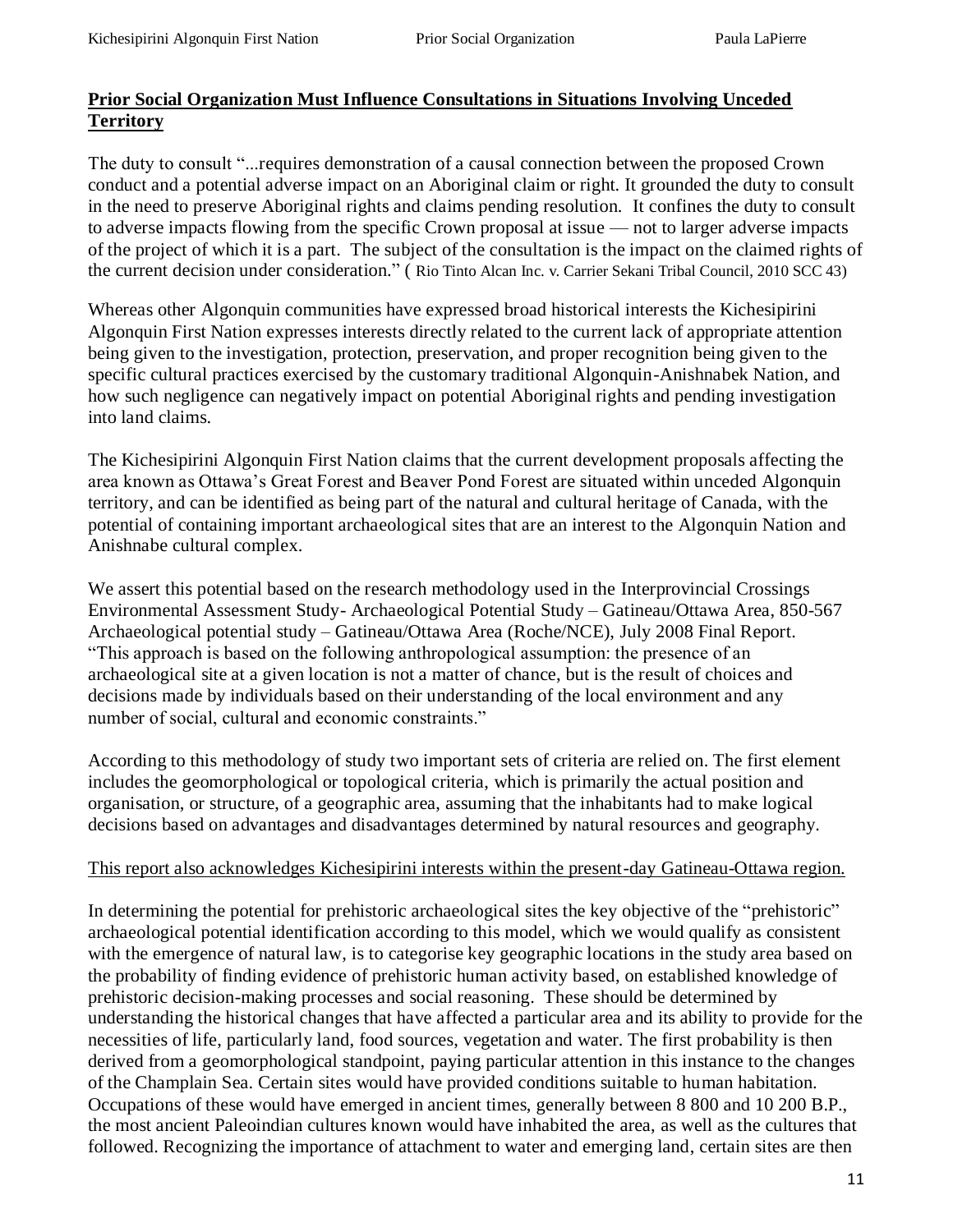## **Prior Social Organization Must Influence Consultations in Situations Involving Unceded Territory**

The duty to consult "...requires demonstration of a causal connection between the proposed Crown conduct and a potential adverse impact on an Aboriginal claim or right. It grounded the duty to consult in the need to preserve Aboriginal rights and claims pending resolution. It confines the duty to consult to adverse impacts flowing from the specific Crown proposal at issue — not to larger adverse impacts of the project of which it is a part. The subject of the consultation is the impact on the claimed rights of the current decision under consideration." (Rio Tinto Alcan Inc. v. Carrier Sekani Tribal Council, 2010 SCC 43)

Whereas other Algonquin communities have expressed broad historical interests the Kichesipirini Algonquin First Nation expresses interests directly related to the current lack of appropriate attention being given to the investigation, protection, preservation, and proper recognition being given to the specific cultural practices exercised by the customary traditional Algonquin-Anishnabek Nation, and how such negligence can negatively impact on potential Aboriginal rights and pending investigation into land claims.

The Kichesipirini Algonquin First Nation claims that the current development proposals affecting the area known as Ottawa's Great Forest and Beaver Pond Forest are situated within unceded Algonquin territory, and can be identified as being part of the natural and cultural heritage of Canada, with the potential of containing important archaeological sites that are an interest to the Algonquin Nation and Anishnabe cultural complex.

We assert this potential based on the research methodology used in the Interprovincial Crossings Environmental Assessment Study- Archaeological Potential Study – Gatineau/Ottawa Area, 850-567 Archaeological potential study – Gatineau/Ottawa Area (Roche/NCE), July 2008 Final Report. ―This approach is based on the following anthropological assumption: the presence of an archaeological site at a given location is not a matter of chance, but is the result of choices and decisions made by individuals based on their understanding of the local environment and any number of social, cultural and economic constraints."

According to this methodology of study two important sets of criteria are relied on. The first element includes the geomorphological or topological criteria, which is primarily the actual position and organisation, or structure, of a geographic area, assuming that the inhabitants had to make logical decisions based on advantages and disadvantages determined by natural resources and geography.

## This report also acknowledges Kichesipirini interests within the present-day Gatineau-Ottawa region.

In determining the potential for prehistoric archaeological sites the key objective of the "prehistoric" archaeological potential identification according to this model, which we would qualify as consistent with the emergence of natural law, is to categorise key geographic locations in the study area based on the probability of finding evidence of prehistoric human activity based, on established knowledge of prehistoric decision-making processes and social reasoning. These should be determined by understanding the historical changes that have affected a particular area and its ability to provide for the necessities of life, particularly land, food sources, vegetation and water. The first probability is then derived from a geomorphological standpoint, paying particular attention in this instance to the changes of the Champlain Sea. Certain sites would have provided conditions suitable to human habitation. Occupations of these would have emerged in ancient times, generally between 8 800 and 10 200 B.P., the most ancient Paleoindian cultures known would have inhabited the area, as well as the cultures that followed. Recognizing the importance of attachment to water and emerging land, certain sites are then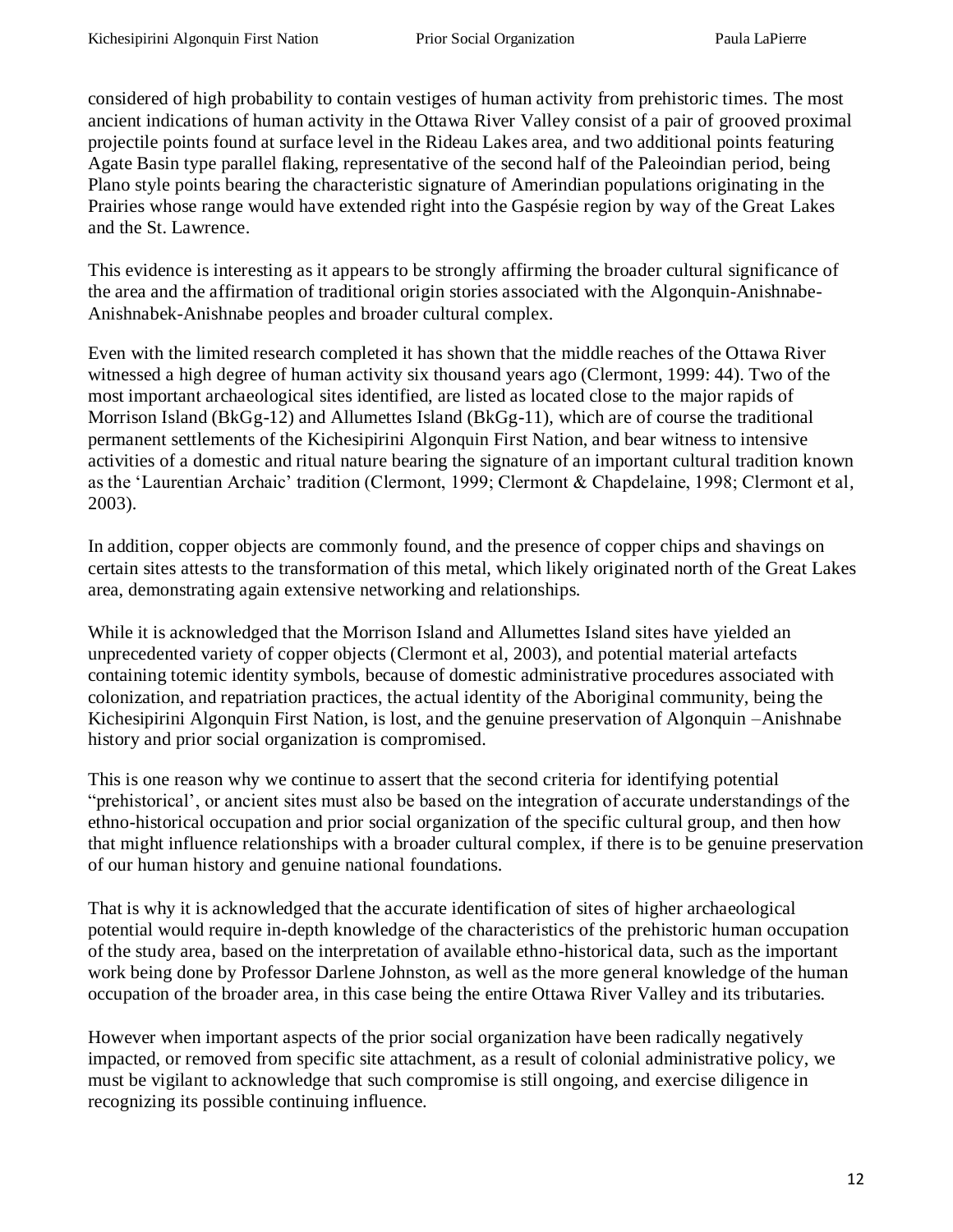considered of high probability to contain vestiges of human activity from prehistoric times. The most ancient indications of human activity in the Ottawa River Valley consist of a pair of grooved proximal projectile points found at surface level in the Rideau Lakes area, and two additional points featuring Agate Basin type parallel flaking, representative of the second half of the Paleoindian period, being Plano style points bearing the characteristic signature of Amerindian populations originating in the Prairies whose range would have extended right into the Gaspésie region by way of the Great Lakes and the St. Lawrence.

This evidence is interesting as it appears to be strongly affirming the broader cultural significance of the area and the affirmation of traditional origin stories associated with the Algonquin-Anishnabe-Anishnabek-Anishnabe peoples and broader cultural complex.

Even with the limited research completed it has shown that the middle reaches of the Ottawa River witnessed a high degree of human activity six thousand years ago (Clermont, 1999: 44). Two of the most important archaeological sites identified, are listed as located close to the major rapids of Morrison Island (BkGg-12) and Allumettes Island (BkGg-11), which are of course the traditional permanent settlements of the Kichesipirini Algonquin First Nation, and bear witness to intensive activities of a domestic and ritual nature bearing the signature of an important cultural tradition known as the ‗Laurentian Archaic' tradition (Clermont, 1999; Clermont & Chapdelaine, 1998; Clermont et al*,*  2003).

In addition, copper objects are commonly found, and the presence of copper chips and shavings on certain sites attests to the transformation of this metal, which likely originated north of the Great Lakes area, demonstrating again extensive networking and relationships.

While it is acknowledged that the Morrison Island and Allumettes Island sites have yielded an unprecedented variety of copper objects (Clermont et al*,* 2003), and potential material artefacts containing totemic identity symbols, because of domestic administrative procedures associated with colonization, and repatriation practices, the actual identity of the Aboriginal community, being the Kichesipirini Algonquin First Nation, is lost, and the genuine preservation of Algonquin –Anishnabe history and prior social organization is compromised.

This is one reason why we continue to assert that the second criteria for identifying potential ―prehistorical', or ancient sites must also be based on the integration of accurate understandings of the ethno-historical occupation and prior social organization of the specific cultural group, and then how that might influence relationships with a broader cultural complex, if there is to be genuine preservation of our human history and genuine national foundations.

That is why it is acknowledged that the accurate identification of sites of higher archaeological potential would require in-depth knowledge of the characteristics of the prehistoric human occupation of the study area, based on the interpretation of available ethno-historical data, such as the important work being done by Professor Darlene Johnston, as well as the more general knowledge of the human occupation of the broader area, in this case being the entire Ottawa River Valley and its tributaries.

However when important aspects of the prior social organization have been radically negatively impacted, or removed from specific site attachment, as a result of colonial administrative policy, we must be vigilant to acknowledge that such compromise is still ongoing, and exercise diligence in recognizing its possible continuing influence.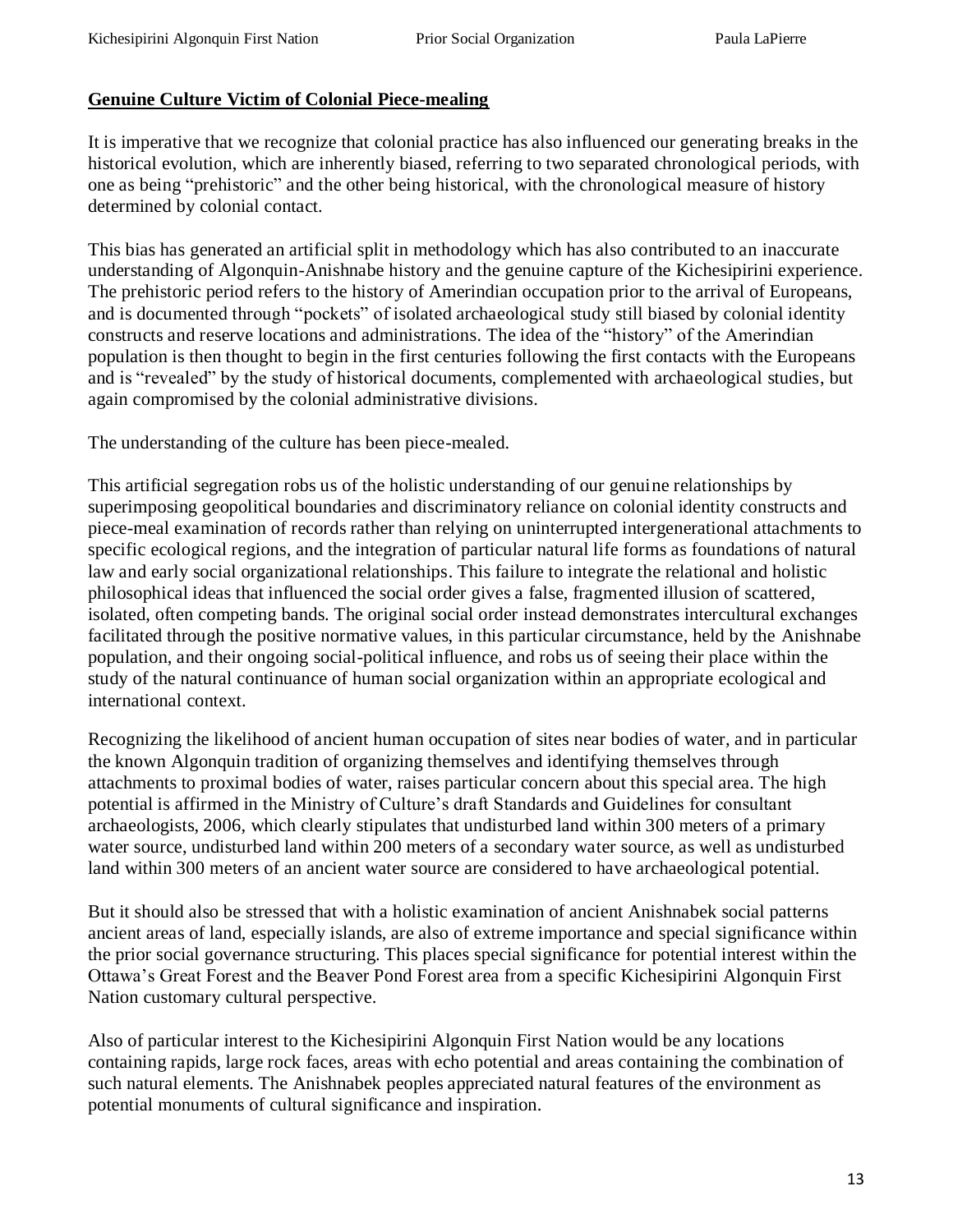#### **Genuine Culture Victim of Colonial Piece-mealing**

It is imperative that we recognize that colonial practice has also influenced our generating breaks in the historical evolution, which are inherently biased, referring to two separated chronological periods, with one as being "prehistoric" and the other being historical, with the chronological measure of history determined by colonial contact.

This bias has generated an artificial split in methodology which has also contributed to an inaccurate understanding of Algonquin-Anishnabe history and the genuine capture of the Kichesipirini experience. The prehistoric period refers to the history of Amerindian occupation prior to the arrival of Europeans, and is documented through "pockets" of isolated archaeological study still biased by colonial identity constructs and reserve locations and administrations. The idea of the "history" of the Amerindian population is then thought to begin in the first centuries following the first contacts with the Europeans and is "revealed" by the study of historical documents, complemented with archaeological studies, but again compromised by the colonial administrative divisions.

The understanding of the culture has been piece-mealed.

This artificial segregation robs us of the holistic understanding of our genuine relationships by superimposing geopolitical boundaries and discriminatory reliance on colonial identity constructs and piece-meal examination of records rather than relying on uninterrupted intergenerational attachments to specific ecological regions, and the integration of particular natural life forms as foundations of natural law and early social organizational relationships. This failure to integrate the relational and holistic philosophical ideas that influenced the social order gives a false, fragmented illusion of scattered, isolated, often competing bands. The original social order instead demonstrates intercultural exchanges facilitated through the positive normative values, in this particular circumstance, held by the Anishnabe population, and their ongoing social-political influence, and robs us of seeing their place within the study of the natural continuance of human social organization within an appropriate ecological and international context.

Recognizing the likelihood of ancient human occupation of sites near bodies of water, and in particular the known Algonquin tradition of organizing themselves and identifying themselves through attachments to proximal bodies of water, raises particular concern about this special area. The high potential is affirmed in the Ministry of Culture's draft Standards and Guidelines for consultant archaeologists, 2006, which clearly stipulates that undisturbed land within 300 meters of a primary water source, undisturbed land within 200 meters of a secondary water source, as well as undisturbed land within 300 meters of an ancient water source are considered to have archaeological potential.

But it should also be stressed that with a holistic examination of ancient Anishnabek social patterns ancient areas of land, especially islands, are also of extreme importance and special significance within the prior social governance structuring. This places special significance for potential interest within the Ottawa's Great Forest and the Beaver Pond Forest area from a specific Kichesipirini Algonquin First Nation customary cultural perspective.

Also of particular interest to the Kichesipirini Algonquin First Nation would be any locations containing rapids, large rock faces, areas with echo potential and areas containing the combination of such natural elements. The Anishnabek peoples appreciated natural features of the environment as potential monuments of cultural significance and inspiration.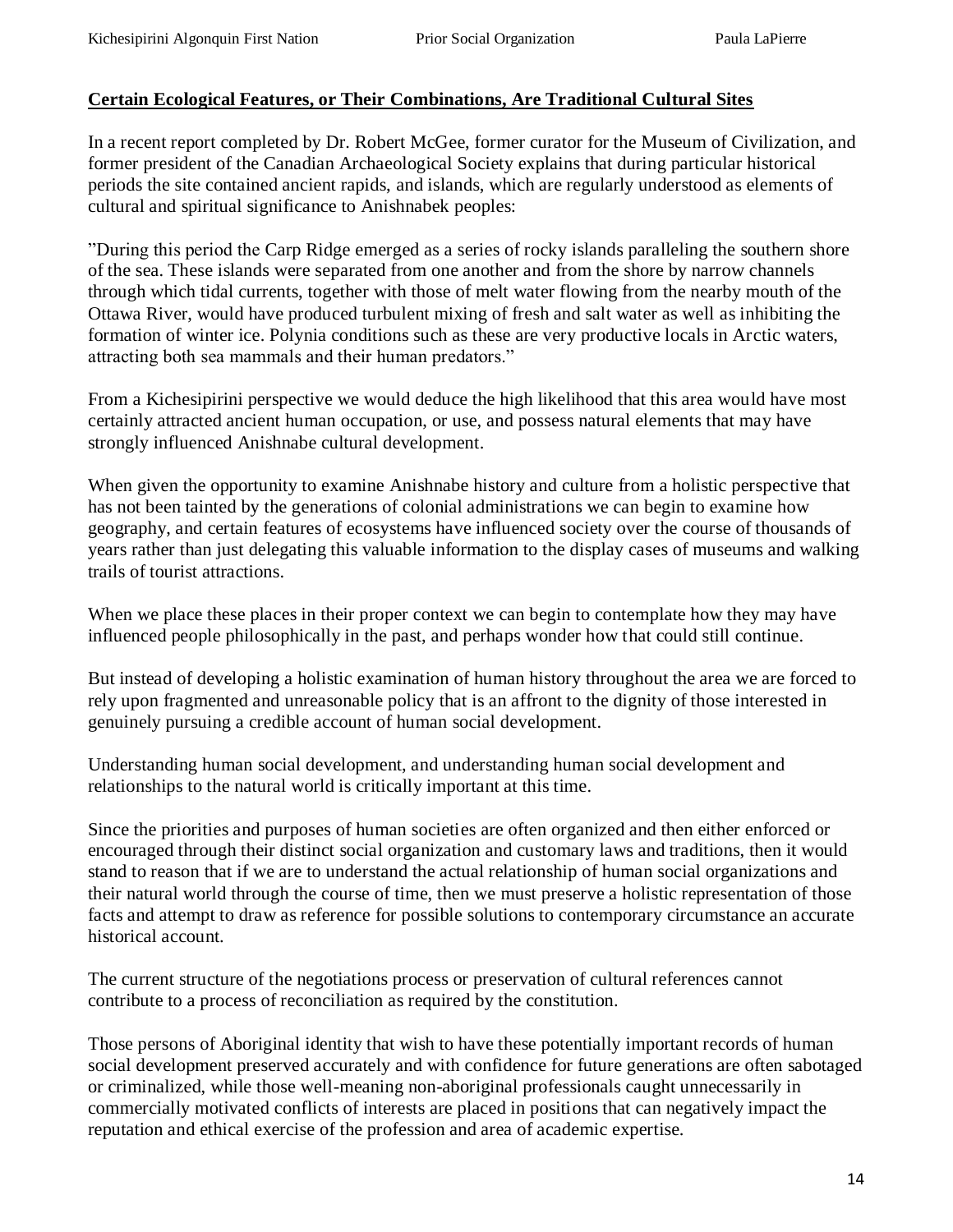## **Certain Ecological Features, or Their Combinations, Are Traditional Cultural Sites**

In a recent report completed by Dr. Robert McGee, former curator for the Museum of Civilization, and former president of the Canadian Archaeological Society explains that during particular historical periods the site contained ancient rapids, and islands, which are regularly understood as elements of cultural and spiritual significance to Anishnabek peoples:

‖During this period the Carp Ridge emerged as a series of rocky islands paralleling the southern shore of the sea. These islands were separated from one another and from the shore by narrow channels through which tidal currents, together with those of melt water flowing from the nearby mouth of the Ottawa River, would have produced turbulent mixing of fresh and salt water as well as inhibiting the formation of winter ice. Polynia conditions such as these are very productive locals in Arctic waters, attracting both sea mammals and their human predators."

From a Kichesipirini perspective we would deduce the high likelihood that this area would have most certainly attracted ancient human occupation, or use, and possess natural elements that may have strongly influenced Anishnabe cultural development.

When given the opportunity to examine Anishnabe history and culture from a holistic perspective that has not been tainted by the generations of colonial administrations we can begin to examine how geography, and certain features of ecosystems have influenced society over the course of thousands of years rather than just delegating this valuable information to the display cases of museums and walking trails of tourist attractions.

When we place these places in their proper context we can begin to contemplate how they may have influenced people philosophically in the past, and perhaps wonder how that could still continue.

But instead of developing a holistic examination of human history throughout the area we are forced to rely upon fragmented and unreasonable policy that is an affront to the dignity of those interested in genuinely pursuing a credible account of human social development.

Understanding human social development, and understanding human social development and relationships to the natural world is critically important at this time.

Since the priorities and purposes of human societies are often organized and then either enforced or encouraged through their distinct social organization and customary laws and traditions, then it would stand to reason that if we are to understand the actual relationship of human social organizations and their natural world through the course of time, then we must preserve a holistic representation of those facts and attempt to draw as reference for possible solutions to contemporary circumstance an accurate historical account.

The current structure of the negotiations process or preservation of cultural references cannot contribute to a process of reconciliation as required by the constitution.

Those persons of Aboriginal identity that wish to have these potentially important records of human social development preserved accurately and with confidence for future generations are often sabotaged or criminalized, while those well-meaning non-aboriginal professionals caught unnecessarily in commercially motivated conflicts of interests are placed in positions that can negatively impact the reputation and ethical exercise of the profession and area of academic expertise.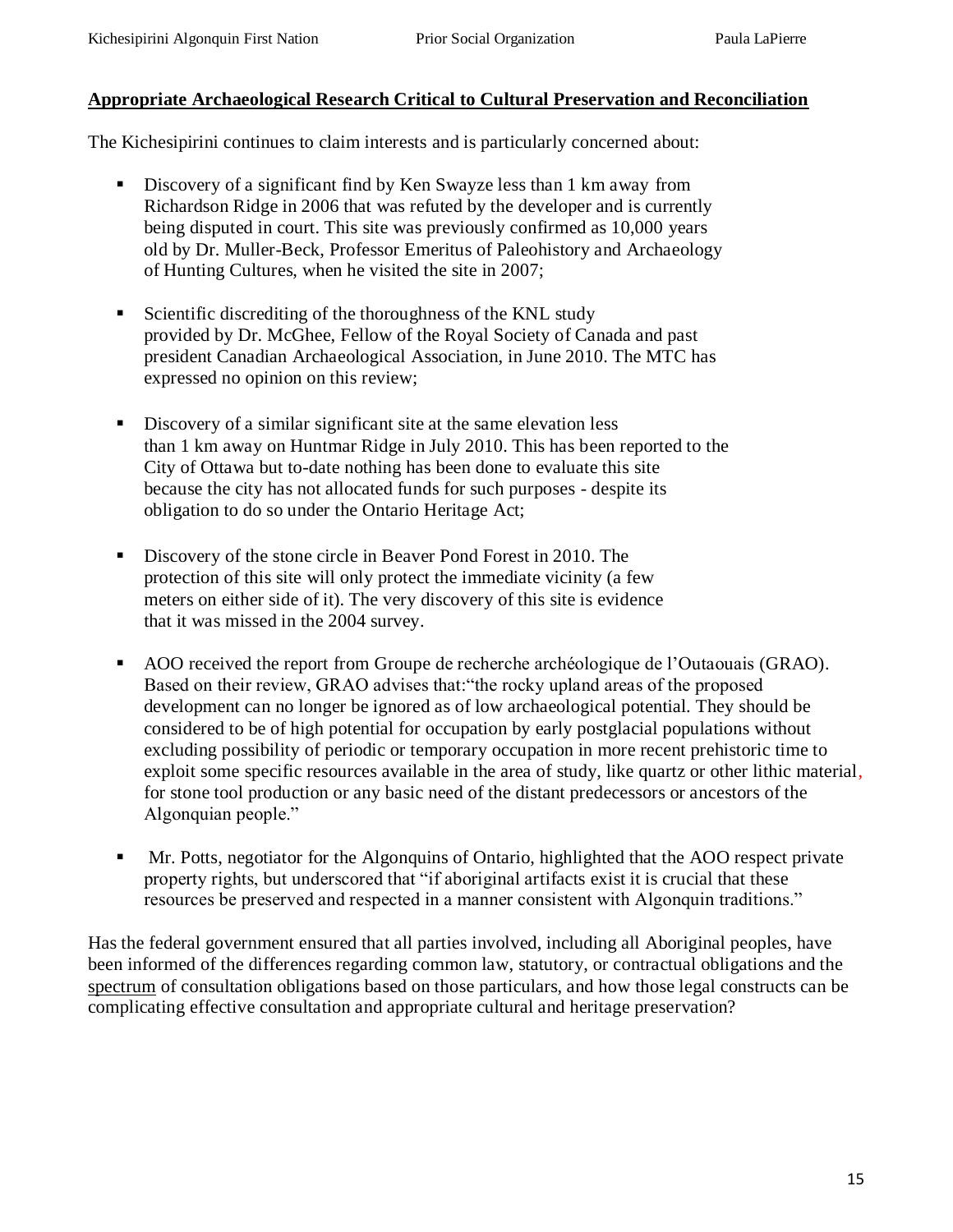#### **Appropriate Archaeological Research Critical to Cultural Preservation and Reconciliation**

The Kichesipirini continues to claim interests and is particularly concerned about:

- Discovery of a significant find by Ken Swayze less than 1 km away from Richardson Ridge in 2006 that was refuted by the developer and is currently being disputed in court. This site was previously confirmed as 10,000 years old by Dr. Muller-Beck, Professor Emeritus of Paleohistory and Archaeology of Hunting Cultures, when he visited the site in 2007;
- Scientific discrediting of the thoroughness of the KNL study provided by Dr. McGhee, Fellow of the Royal Society of Canada and past president Canadian Archaeological Association, in June 2010. The MTC has expressed no opinion on this review;
- Discovery of a similar significant site at the same elevation less than 1 km away on Huntmar Ridge in July 2010. This has been reported to the City of Ottawa but to-date nothing has been done to evaluate this site because the city has not allocated funds for such purposes - despite its obligation to do so under the Ontario Heritage Act;
- Discovery of the stone circle in Beaver Pond Forest in 2010. The protection of this site will only protect the immediate vicinity (a few meters on either side of it). The very discovery of this site is evidence that it was missed in the 2004 survey.
- AOO received the report from Groupe de recherche archéologique de l'Outaouais (GRAO). Based on their review, GRAO advises that: "the rocky upland areas of the proposed development can no longer be ignored as of low archaeological potential. They should be considered to be of high potential for occupation by early postglacial populations without excluding possibility of periodic or temporary occupation in more recent prehistoric time to exploit some specific resources available in the area of study, like quartz or other lithic material, for stone tool production or any basic need of the distant predecessors or ancestors of the Algonquian people."
- Mr. Potts, negotiator for the Algonquins of Ontario, highlighted that the AOO respect private property rights, but underscored that "if aboriginal artifacts exist it is crucial that these resources be preserved and respected in a manner consistent with Algonquin traditions."

Has the federal government ensured that all parties involved, including all Aboriginal peoples, have been informed of the differences regarding common law, statutory, or contractual obligations and the spectrum of consultation obligations based on those particulars, and how those legal constructs can be complicating effective consultation and appropriate cultural and heritage preservation?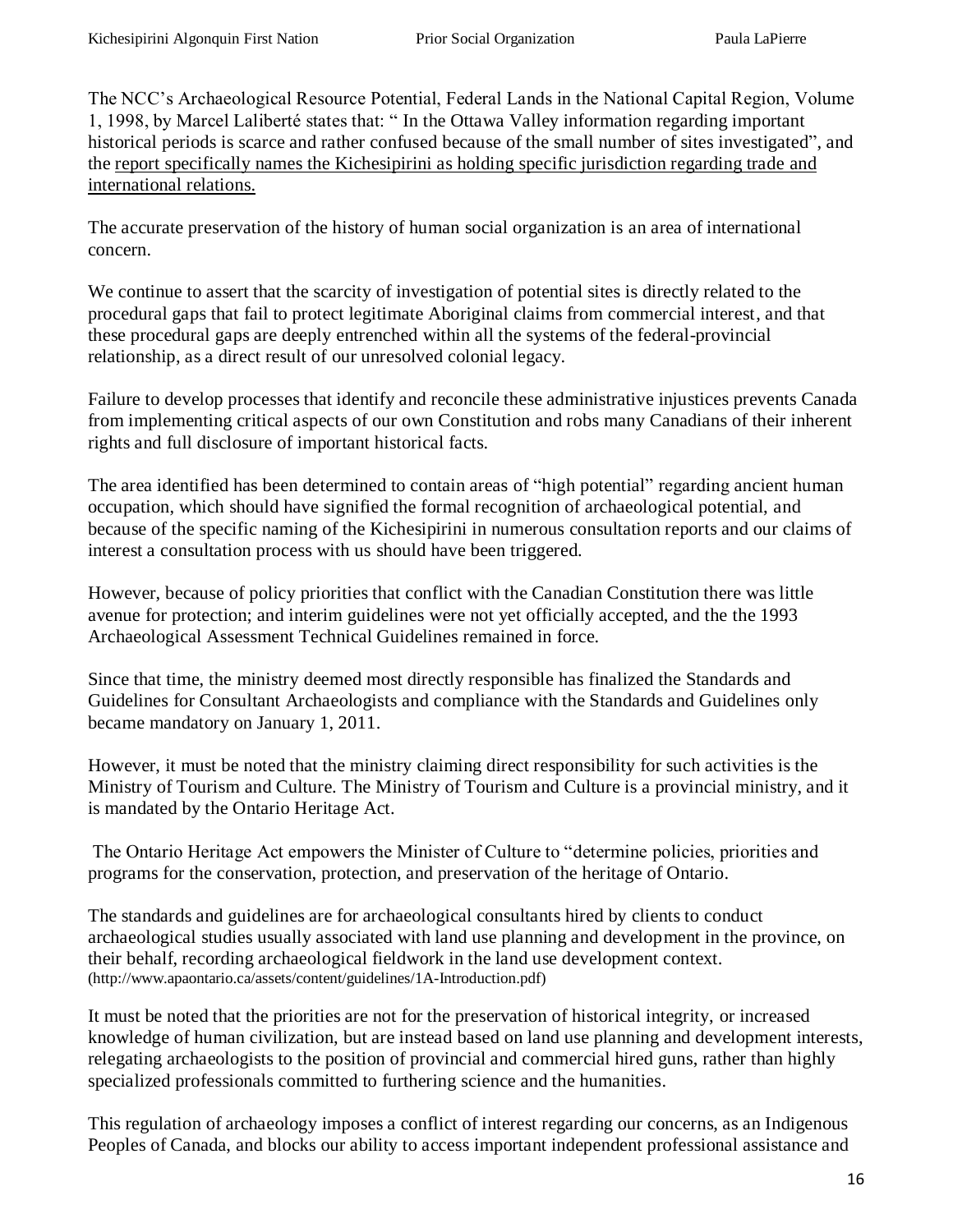The NCC's Archaeological Resource Potential, Federal Lands in the National Capital Region, Volume 1, 1998, by Marcel Laliberté states that: "In the Ottawa Valley information regarding important historical periods is scarce and rather confused because of the small number of sites investigated", and the report specifically names the Kichesipirini as holding specific jurisdiction regarding trade and international relations.

The accurate preservation of the history of human social organization is an area of international concern.

We continue to assert that the scarcity of investigation of potential sites is directly related to the procedural gaps that fail to protect legitimate Aboriginal claims from commercial interest, and that these procedural gaps are deeply entrenched within all the systems of the federal-provincial relationship, as a direct result of our unresolved colonial legacy.

Failure to develop processes that identify and reconcile these administrative injustices prevents Canada from implementing critical aspects of our own Constitution and robs many Canadians of their inherent rights and full disclosure of important historical facts.

The area identified has been determined to contain areas of "high potential" regarding ancient human occupation, which should have signified the formal recognition of archaeological potential, and because of the specific naming of the Kichesipirini in numerous consultation reports and our claims of interest a consultation process with us should have been triggered.

However, because of policy priorities that conflict with the Canadian Constitution there was little avenue for protection; and interim guidelines were not yet officially accepted, and the the [1993](http://www.mtc.gov.on.ca/en/publications/1993%20Archaeological%20Technical%20Guidelines.pdf)  [Archaeological Assessment Technical Guidelines](http://www.mtc.gov.on.ca/en/publications/1993%20Archaeological%20Technical%20Guidelines.pdf) remained in force.

Since that time, the ministry deemed most directly responsible has finalized the [Standards and](http://www.mtc.gov.on.ca/en/publications/SG_2010.pdf)  [Guidelines for Consultant Archaeologists](http://www.mtc.gov.on.ca/en/publications/SG_2010.pdf) and compliance with the Standards and Guidelines only became mandatory on January 1, 2011.

However, it must be noted that the ministry claiming direct responsibility for such activities is the Ministry of Tourism and Culture. The Ministry of Tourism and Culture is a provincial ministry, and it is mandated by the Ontario Heritage Act.

The Ontario Heritage Act empowers the Minister of Culture to "determine policies, priorities and programs for the conservation, protection, and preservation of the heritage of Ontario.

The standards and guidelines are for archaeological consultants hired by clients to conduct archaeological studies usually associated with land use planning and development in the province, on their behalf, recording archaeological fieldwork in the land use development context. [\(http://www.apaontario.ca/assets/content/guidelines/1A-Introduction.pdf\)](http://www.apaontario.ca/assets/content/guidelines/1A-Introduction.pdf)

It must be noted that the priorities are not for the preservation of historical integrity, or increased knowledge of human civilization, but are instead based on land use planning and development interests, relegating archaeologists to the position of provincial and commercial hired guns, rather than highly specialized professionals committed to furthering science and the humanities.

This regulation of archaeology imposes a conflict of interest regarding our concerns, as an Indigenous Peoples of Canada, and blocks our ability to access important independent professional assistance and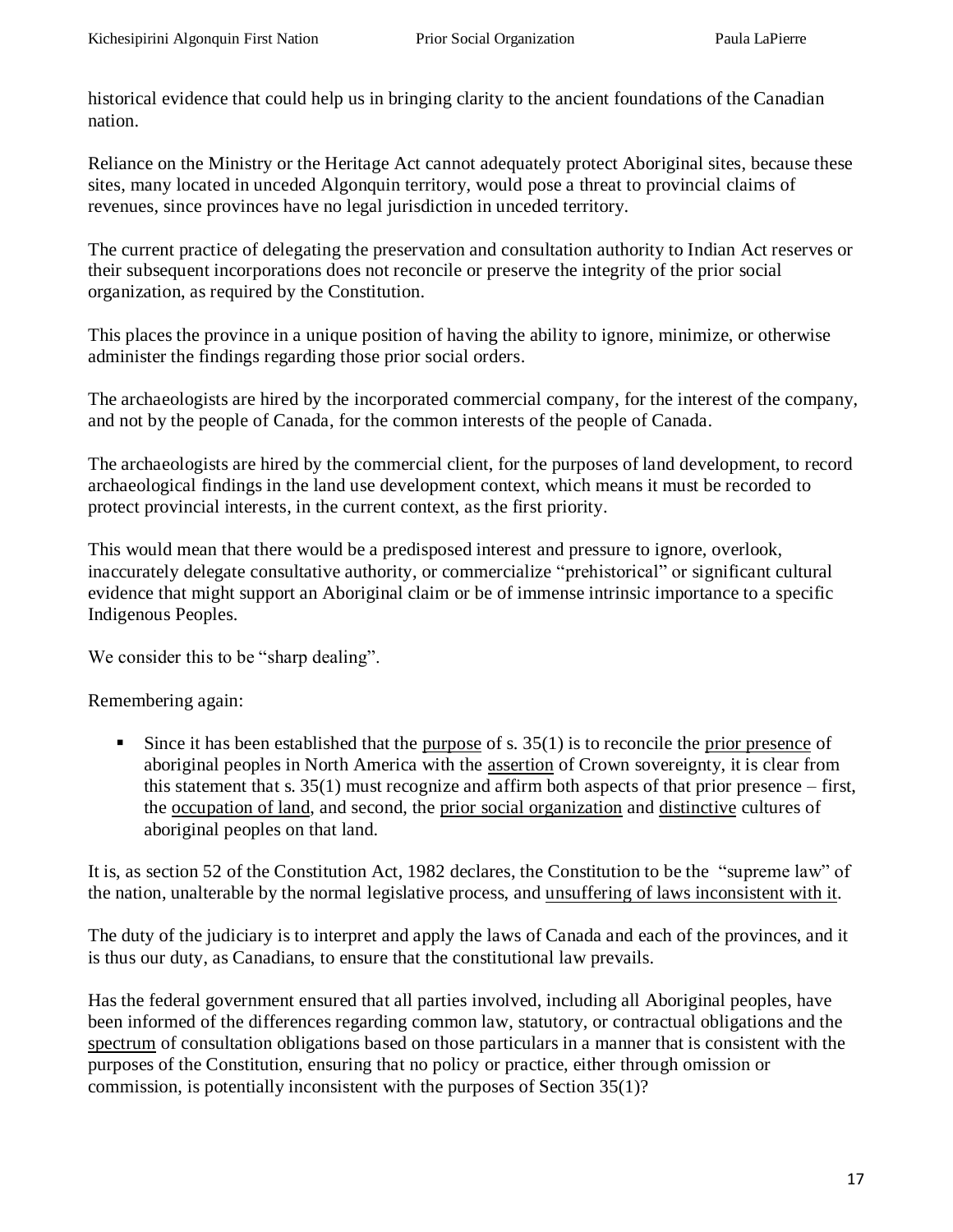historical evidence that could help us in bringing clarity to the ancient foundations of the Canadian nation.

Reliance on the Ministry or the Heritage Act cannot adequately protect Aboriginal sites, because these sites, many located in unceded Algonquin territory, would pose a threat to provincial claims of revenues, since provinces have no legal jurisdiction in unceded territory.

The current practice of delegating the preservation and consultation authority to Indian Act reserves or their subsequent incorporations does not reconcile or preserve the integrity of the prior social organization, as required by the Constitution.

This places the province in a unique position of having the ability to ignore, minimize, or otherwise administer the findings regarding those prior social orders.

The archaeologists are hired by the incorporated commercial company, for the interest of the company, and not by the people of Canada, for the common interests of the people of Canada.

The archaeologists are hired by the commercial client, for the purposes of land development, to record archaeological findings in the land use development context, which means it must be recorded to protect provincial interests, in the current context, as the first priority.

This would mean that there would be a predisposed interest and pressure to ignore, overlook, inaccurately delegate consultative authority, or commercialize "prehistorical" or significant cultural evidence that might support an Aboriginal claim or be of immense intrinsic importance to a specific Indigenous Peoples.

We consider this to be "sharp dealing".

Remembering again:

Since it has been established that the purpose of s.  $35(1)$  is to reconcile the prior presence of aboriginal peoples in North America with the assertion of Crown sovereignty, it is clear from this statement that s. 35(1) must recognize and affirm both aspects of that prior presence – first, the occupation of land, and second, the prior social organization and distinctive cultures of aboriginal peoples on that land.

It is, as section 52 of the Constitution Act, 1982 declares, the Constitution to be the "supreme law" of the nation, unalterable by the normal legislative process, and unsuffering of laws inconsistent with it.

The duty of the judiciary is to interpret and apply the laws of Canada and each of the provinces, and it is thus our duty, as Canadians, to ensure that the constitutional law prevails.

Has the federal government ensured that all parties involved, including all Aboriginal peoples, have been informed of the differences regarding common law, statutory, or contractual obligations and the spectrum of consultation obligations based on those particulars in a manner that is consistent with the purposes of the Constitution, ensuring that no policy or practice, either through omission or commission, is potentially inconsistent with the purposes of Section 35(1)?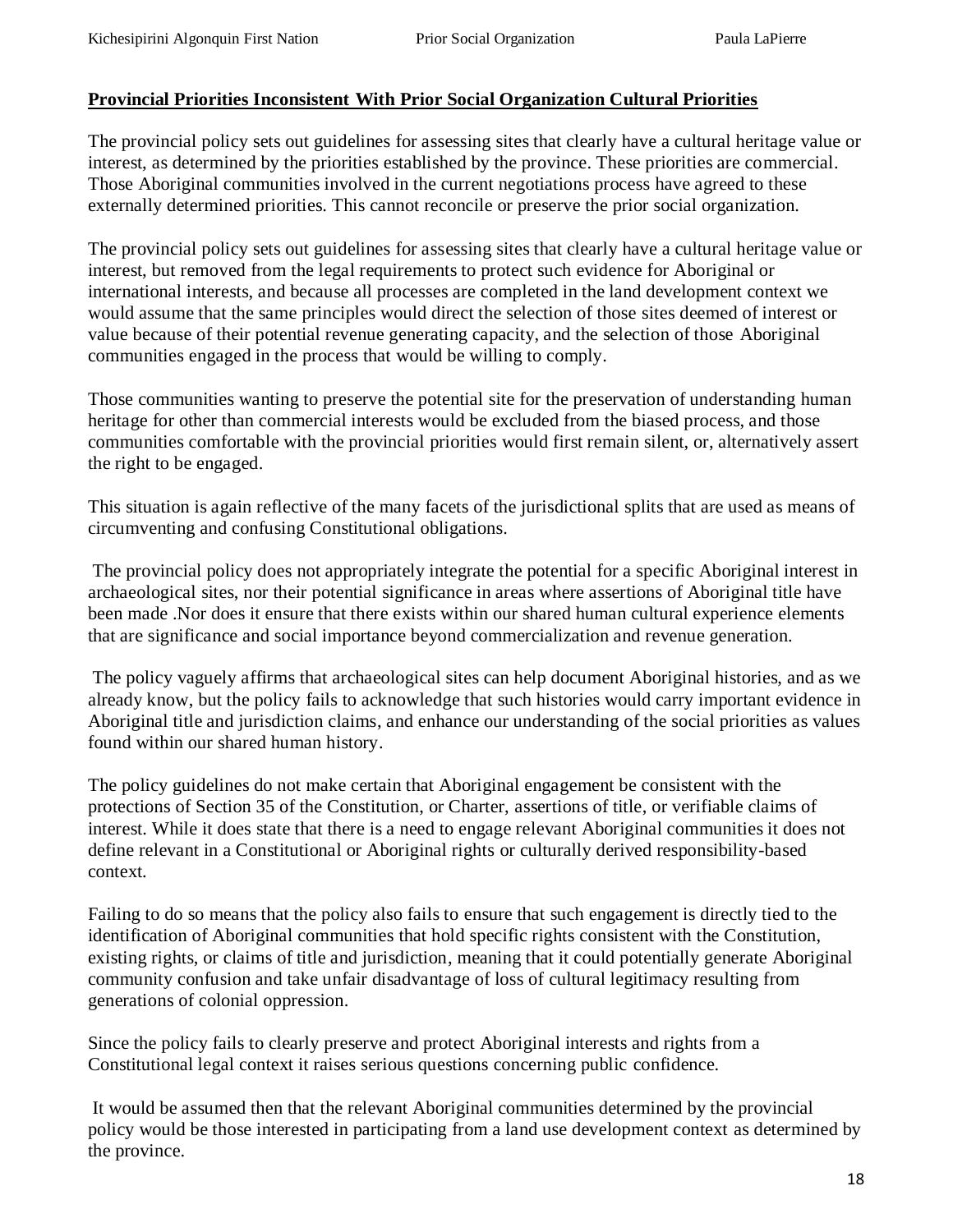## **Provincial Priorities Inconsistent With Prior Social Organization Cultural Priorities**

The provincial policy sets out guidelines for assessing sites that clearly have a cultural heritage value or interest, as determined by the priorities established by the province. These priorities are commercial. Those Aboriginal communities involved in the current negotiations process have agreed to these externally determined priorities. This cannot reconcile or preserve the prior social organization.

The provincial policy sets out guidelines for assessing sites that clearly have a cultural heritage value or interest, but removed from the legal requirements to protect such evidence for Aboriginal or international interests, and because all processes are completed in the land development context we would assume that the same principles would direct the selection of those sites deemed of interest or value because of their potential revenue generating capacity, and the selection of those Aboriginal communities engaged in the process that would be willing to comply.

Those communities wanting to preserve the potential site for the preservation of understanding human heritage for other than commercial interests would be excluded from the biased process, and those communities comfortable with the provincial priorities would first remain silent, or, alternatively assert the right to be engaged.

This situation is again reflective of the many facets of the jurisdictional splits that are used as means of circumventing and confusing Constitutional obligations.

The provincial policy does not appropriately integrate the potential for a specific Aboriginal interest in archaeological sites, nor their potential significance in areas where assertions of Aboriginal title have been made .Nor does it ensure that there exists within our shared human cultural experience elements that are significance and social importance beyond commercialization and revenue generation.

The policy vaguely affirms that archaeological sites can help document Aboriginal histories, and as we already know, but the policy fails to acknowledge that such histories would carry important evidence in Aboriginal title and jurisdiction claims, and enhance our understanding of the social priorities as values found within our shared human history.

The policy guidelines do not make certain that Aboriginal engagement be consistent with the protections of Section 35 of the Constitution, or Charter, assertions of title, or verifiable claims of interest. While it does state that there is a need to engage relevant Aboriginal communities it does not define relevant in a Constitutional or Aboriginal rights or culturally derived responsibility-based context.

Failing to do so means that the policy also fails to ensure that such engagement is directly tied to the identification of Aboriginal communities that hold specific rights consistent with the Constitution, existing rights, or claims of title and jurisdiction, meaning that it could potentially generate Aboriginal community confusion and take unfair disadvantage of loss of cultural legitimacy resulting from generations of colonial oppression.

Since the policy fails to clearly preserve and protect Aboriginal interests and rights from a Constitutional legal context it raises serious questions concerning public confidence.

It would be assumed then that the relevant Aboriginal communities determined by the provincial policy would be those interested in participating from a land use development context as determined by the province.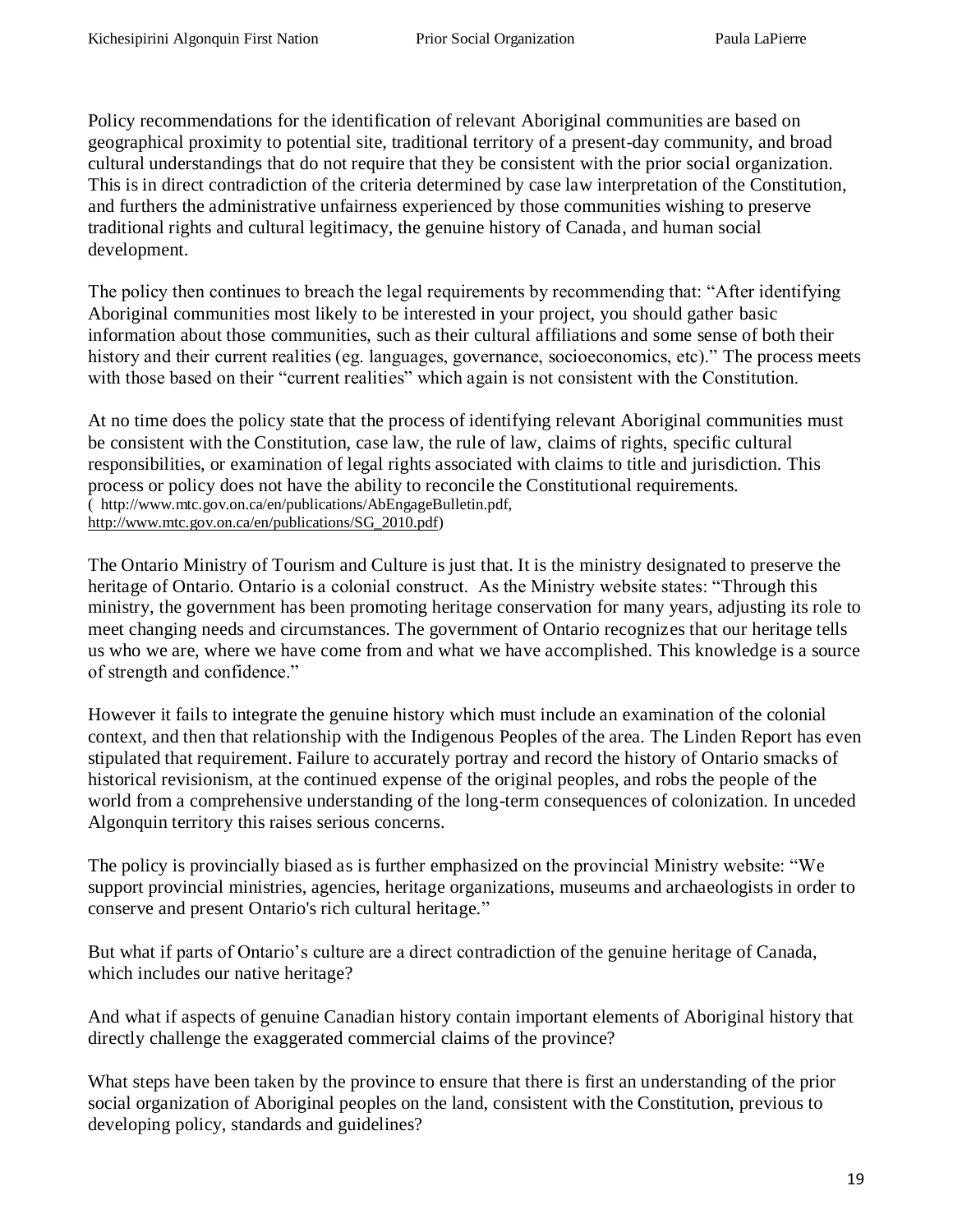Policy recommendations for the identification of relevant Aboriginal communities are based on geographical proximity to potential site, traditional territory of a present-day community, and broad cultural understandings that do not require that they be consistent with the prior social organization. This is in direct contradiction of the criteria determined by case law interpretation of the Constitution, and furthers the administrative unfairness experienced by those communities wishing to preserve traditional rights and cultural legitimacy, the genuine history of Canada, and human social development.

The policy then continues to breach the legal requirements by recommending that: "After identifying Aboriginal communities most likely to be interested in your project, you should gather basic information about those communities, such as their cultural affiliations and some sense of both their history and their current realities (eg. languages, governance, socioeconomics, etc)." The process meets with those based on their "current realities" which again is not consistent with the Constitution.

At no time does the policy state that the process of identifying relevant Aboriginal communities must be consistent with the Constitution, case law, the rule of law, claims of rights, specific cultural responsibilities, or examination of legal rights associated with claims to title and jurisdiction. This process or policy does not have the ability to reconcile the Constitutional requirements. ( http://www.mtc.gov.on.ca/en/publications/AbEngageBulletin.pdf, [http://www.mtc.gov.on.ca/en/publications/SG\\_2010.pdf\)](http://www.mtc.gov.on.ca/en/publications/SG_2010.pdf)

The Ontario Ministry of Tourism and Culture is just that. It is the ministry designated to preserve the heritage of Ontario. Ontario is a colonial construct. As the Ministry website states: "Through this ministry, the government has been promoting heritage conservation for many years, adjusting its role to meet changing needs and circumstances. The government of Ontario recognizes that our heritage tells us who we are, where we have come from and what we have accomplished. This knowledge is a source of strength and confidence."

However it fails to integrate the genuine history which must include an examination of the colonial context, and then that relationship with the Indigenous Peoples of the area. The Linden Report has even stipulated that requirement. Failure to accurately portray and record the history of Ontario smacks of historical revisionism, at the continued expense of the original peoples, and robs the people of the world from a comprehensive understanding of the long-term consequences of colonization. In unceded Algonquin territory this raises serious concerns.

The policy is provincially biased as is further emphasized on the provincial Ministry website: "We support provincial ministries, agencies, heritage organizations, museums and archaeologists in order to conserve and present Ontario's rich cultural heritage."

But what if parts of Ontario's culture are a direct contradiction of the genuine heritage of Canada, which includes our native heritage?

And what if aspects of genuine Canadian history contain important elements of Aboriginal history that directly challenge the exaggerated commercial claims of the province?

What steps have been taken by the province to ensure that there is first an understanding of the prior social organization of Aboriginal peoples on the land, consistent with the Constitution, previous to developing policy, standards and guidelines?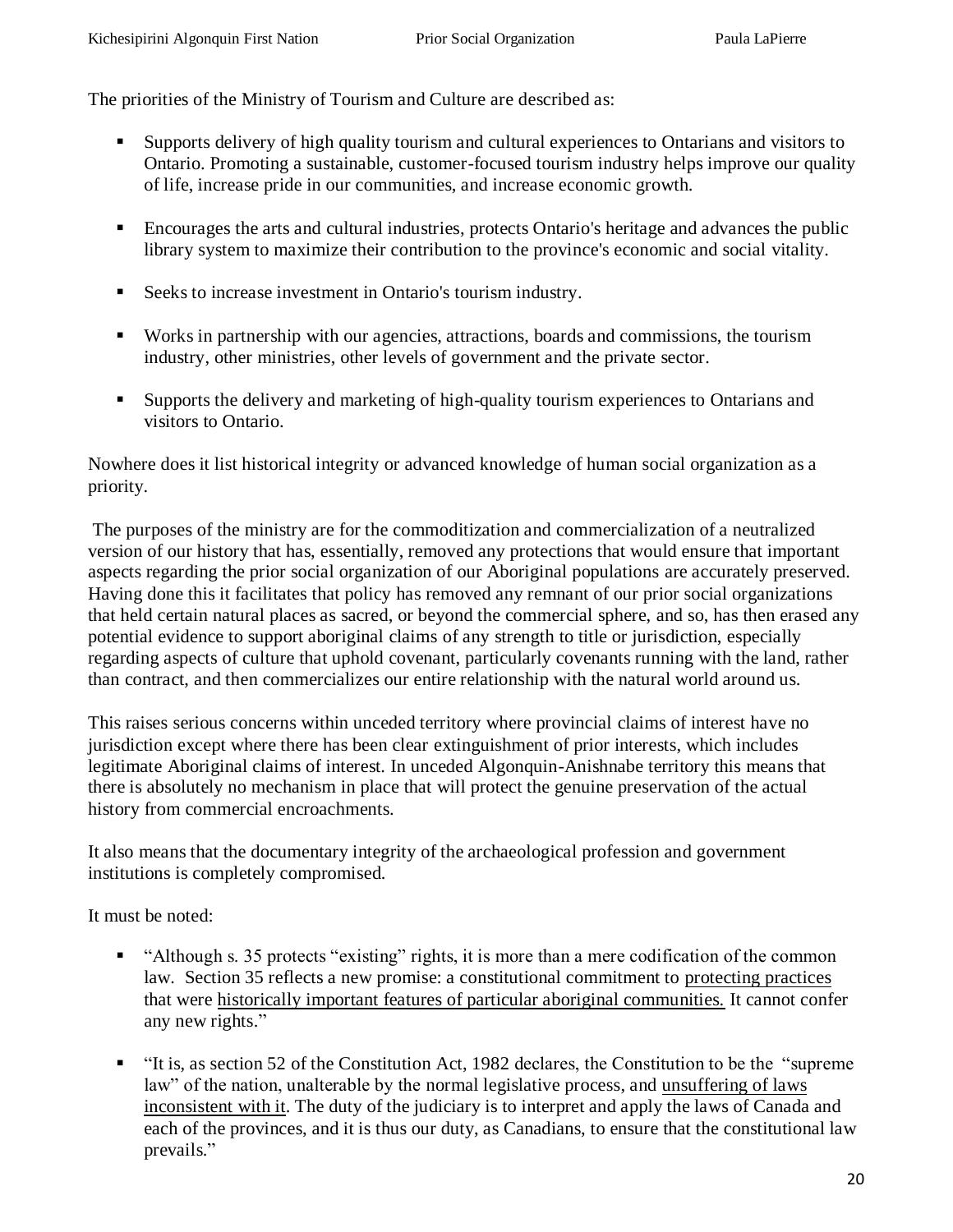The priorities of the Ministry of Tourism and Culture are described as:

- Supports delivery of high quality tourism and cultural experiences to Ontarians and visitors to Ontario. Promoting a sustainable, customer-focused tourism industry helps improve our quality of life, increase pride in our communities, and increase economic growth.
- Encourages the arts and cultural industries, protects Ontario's heritage and advances the public library system to maximize their contribution to the province's economic and social vitality.
- Seeks to increase investment in Ontario's tourism industry.
- Works in partnership with our agencies, attractions, boards and commissions, the tourism industry, other ministries, other levels of government and the private sector.
- Supports the delivery and marketing of high-quality tourism experiences to Ontarians and visitors to Ontario.

Nowhere does it list historical integrity or advanced knowledge of human social organization as a priority.

The purposes of the ministry are for the commoditization and commercialization of a neutralized version of our history that has, essentially, removed any protections that would ensure that important aspects regarding the prior social organization of our Aboriginal populations are accurately preserved. Having done this it facilitates that policy has removed any remnant of our prior social organizations that held certain natural places as sacred, or beyond the commercial sphere, and so, has then erased any potential evidence to support aboriginal claims of any strength to title or jurisdiction, especially regarding aspects of culture that uphold covenant, particularly covenants running with the land, rather than contract, and then commercializes our entire relationship with the natural world around us.

This raises serious concerns within unceded territory where provincial claims of interest have no jurisdiction except where there has been clear extinguishment of prior interests, which includes legitimate Aboriginal claims of interest. In unceded Algonquin-Anishnabe territory this means that there is absolutely no mechanism in place that will protect the genuine preservation of the actual history from commercial encroachments.

It also means that the documentary integrity of the archaeological profession and government institutions is completely compromised.

It must be noted:

- "Although s. 35 protects "existing" rights, it is more than a mere codification of the common law. Section 35 reflects a new promise: a constitutional commitment to protecting practices that were historically important features of particular aboriginal communities. It cannot confer any new rights."
- "It is, as section 52 of the Constitution Act, 1982 declares, the Constitution to be the "supreme law" of the nation, unalterable by the normal legislative process, and unsuffering of laws inconsistent with it. The duty of the judiciary is to interpret and apply the laws of Canada and each of the provinces, and it is thus our duty, as Canadians, to ensure that the constitutional law prevails."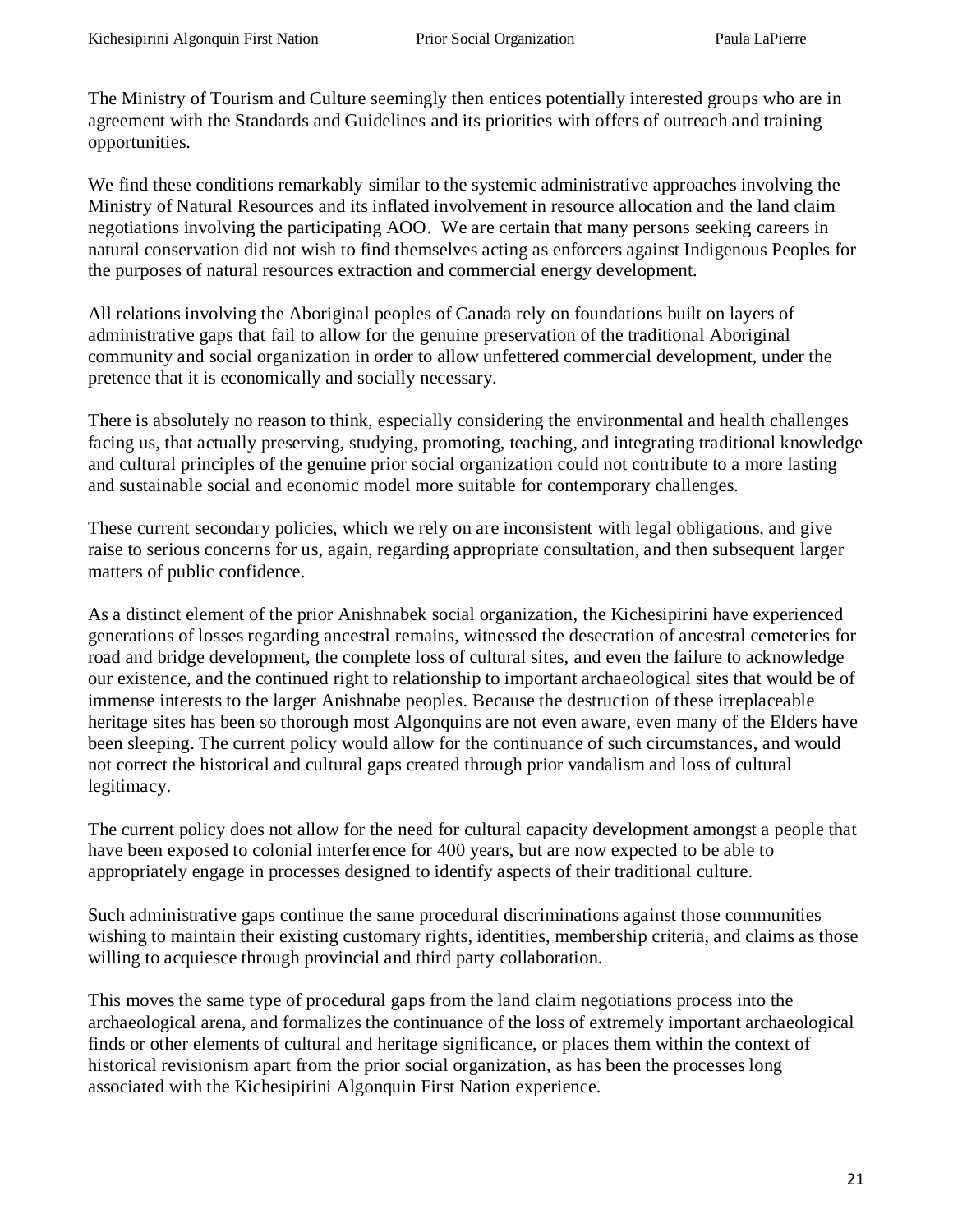The Ministry of Tourism and Culture seemingly then entices potentially interested groups who are in agreement with the Standards and Guidelines and its priorities with offers of outreach and training opportunities.

We find these conditions remarkably similar to the systemic administrative approaches involving the Ministry of Natural Resources and its inflated involvement in resource allocation and the land claim negotiations involving the participating AOO. We are certain that many persons seeking careers in natural conservation did not wish to find themselves acting as enforcers against Indigenous Peoples for the purposes of natural resources extraction and commercial energy development.

All relations involving the Aboriginal peoples of Canada rely on foundations built on layers of administrative gaps that fail to allow for the genuine preservation of the traditional Aboriginal community and social organization in order to allow unfettered commercial development, under the pretence that it is economically and socially necessary.

There is absolutely no reason to think, especially considering the environmental and health challenges facing us, that actually preserving, studying, promoting, teaching, and integrating traditional knowledge and cultural principles of the genuine prior social organization could not contribute to a more lasting and sustainable social and economic model more suitable for contemporary challenges.

These current secondary policies, which we rely on are inconsistent with legal obligations, and give raise to serious concerns for us, again, regarding appropriate consultation, and then subsequent larger matters of public confidence.

As a distinct element of the prior Anishnabek social organization, the Kichesipirini have experienced generations of losses regarding ancestral remains, witnessed the desecration of ancestral cemeteries for road and bridge development, the complete loss of cultural sites, and even the failure to acknowledge our existence, and the continued right to relationship to important archaeological sites that would be of immense interests to the larger Anishnabe peoples. Because the destruction of these irreplaceable heritage sites has been so thorough most Algonquins are not even aware, even many of the Elders have been sleeping. The current policy would allow for the continuance of such circumstances, and would not correct the historical and cultural gaps created through prior vandalism and loss of cultural legitimacy.

The current policy does not allow for the need for cultural capacity development amongst a people that have been exposed to colonial interference for 400 years, but are now expected to be able to appropriately engage in processes designed to identify aspects of their traditional culture.

Such administrative gaps continue the same procedural discriminations against those communities wishing to maintain their existing customary rights, identities, membership criteria, and claims as those willing to acquiesce through provincial and third party collaboration.

This moves the same type of procedural gaps from the land claim negotiations process into the archaeological arena, and formalizes the continuance of the loss of extremely important archaeological finds or other elements of cultural and heritage significance, or places them within the context of historical revisionism apart from the prior social organization, as has been the processes long associated with the Kichesipirini Algonquin First Nation experience.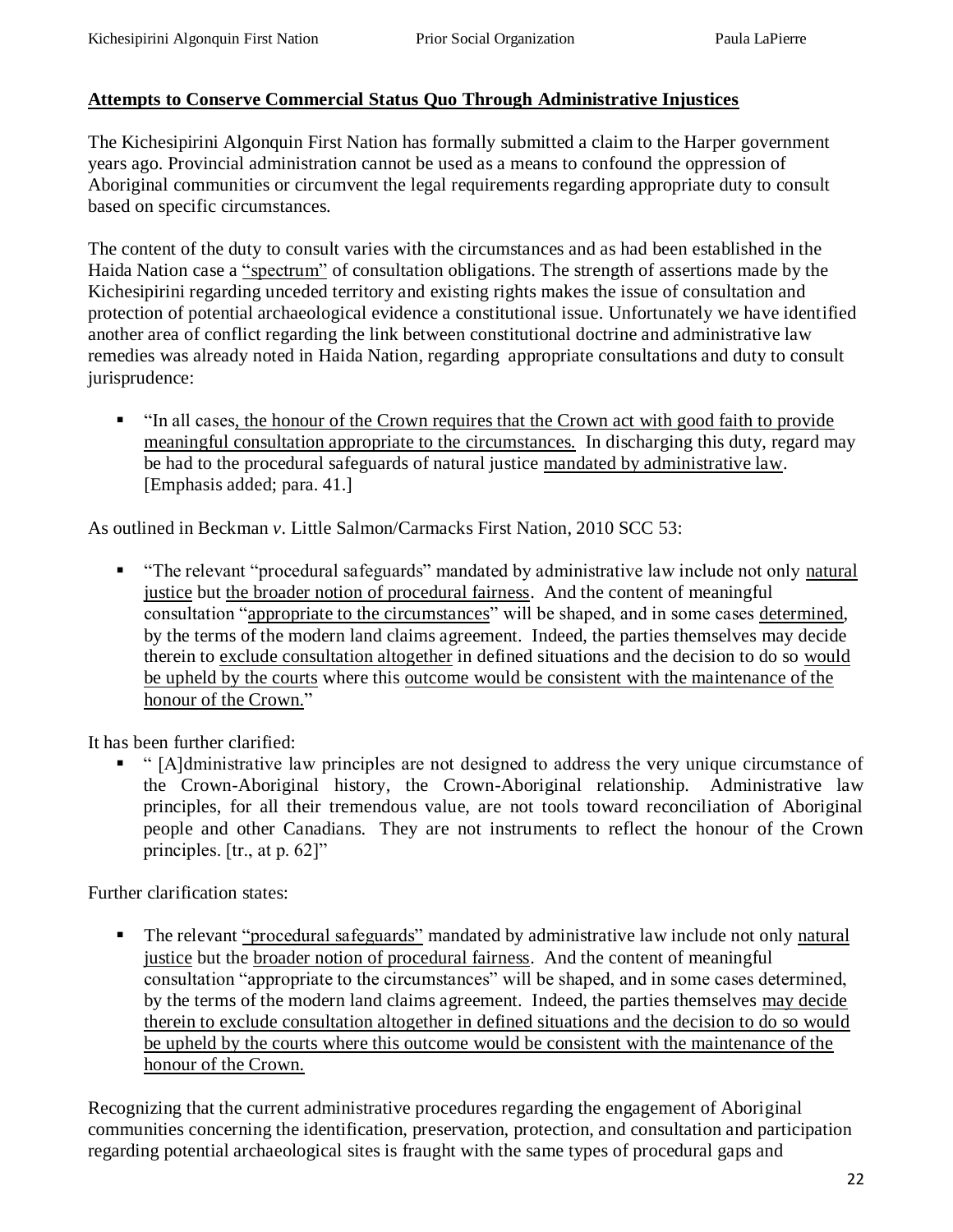## **Attempts to Conserve Commercial Status Quo Through Administrative Injustices**

The Kichesipirini Algonquin First Nation has formally submitted a claim to the Harper government years ago. Provincial administration cannot be used as a means to confound the oppression of Aboriginal communities or circumvent the legal requirements regarding appropriate duty to consult based on specific circumstances.

The content of the duty to consult varies with the circumstances and as had been established in the Haida Nation case a "spectrum" of consultation obligations. The strength of assertions made by the Kichesipirini regarding unceded territory and existing rights makes the issue of consultation and protection of potential archaeological evidence a constitutional issue. Unfortunately we have identified another area of conflict regarding the link between constitutional doctrine and administrative law remedies was already noted in Haida Nation, regarding appropriate consultations and duty to consult jurisprudence:

■ "In all cases, the honour of the Crown requires that the Crown act with good faith to provide meaningful consultation appropriate to the circumstances. In discharging this duty, regard may be had to the procedural safeguards of natural justice mandated by administrative law. [Emphasis added; para. 41.]

As outlined in Beckman *v.* Little Salmon/Carmacks First Nation, 2010 SCC 53:

■ "The relevant "procedural safeguards" mandated by administrative law include not only natural justice but the broader notion of procedural fairness. And the content of meaningful consultation "appropriate to the circumstances" will be shaped, and in some cases determined, by the terms of the modern land claims agreement. Indeed, the parties themselves may decide therein to exclude consultation altogether in defined situations and the decision to do so would be upheld by the courts where this outcome would be consistent with the maintenance of the honour of the Crown."

It has been further clarified:

■ "[A]dministrative law principles are not designed to address the very unique circumstance of the Crown-Aboriginal history, the Crown-Aboriginal relationship. Administrative law principles, for all their tremendous value, are not tools toward reconciliation of Aboriginal people and other Canadians. They are not instruments to reflect the honour of the Crown principles. [tr., at  $p. 62$ ]"

Further clarification states:

■ The relevant "procedural safeguards" mandated by administrative law include not only natural justice but the broader notion of procedural fairness. And the content of meaningful consultation "appropriate to the circumstances" will be shaped, and in some cases determined, by the terms of the modern land claims agreement. Indeed, the parties themselves may decide therein to exclude consultation altogether in defined situations and the decision to do so would be upheld by the courts where this outcome would be consistent with the maintenance of the honour of the Crown.

Recognizing that the current administrative procedures regarding the engagement of Aboriginal communities concerning the identification, preservation, protection, and consultation and participation regarding potential archaeological sites is fraught with the same types of procedural gaps and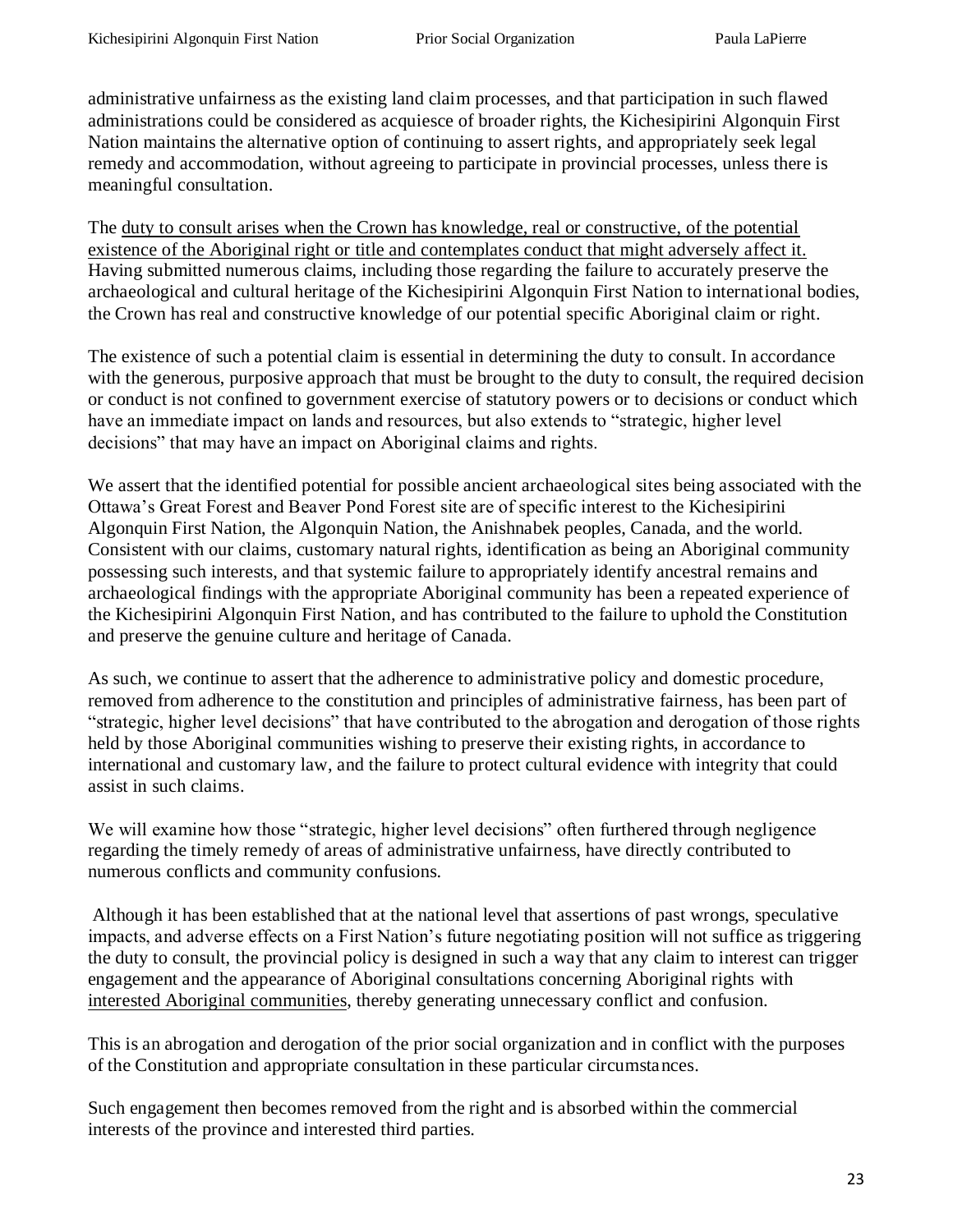administrative unfairness as the existing land claim processes, and that participation in such flawed administrations could be considered as acquiesce of broader rights, the Kichesipirini Algonquin First Nation maintains the alternative option of continuing to assert rights, and appropriately seek legal remedy and accommodation, without agreeing to participate in provincial processes, unless there is meaningful consultation.

The duty to consult arises when the Crown has knowledge, real or constructive, of the potential existence of the Aboriginal right or title and contemplates conduct that might adversely affect it. Having submitted numerous claims, including those regarding the failure to accurately preserve the archaeological and cultural heritage of the Kichesipirini Algonquin First Nation to international bodies, the Crown has real and constructive knowledge of our potential specific Aboriginal claim or right.

The existence of such a potential claim is essential in determining the duty to consult. In accordance with the generous, purposive approach that must be brought to the duty to consult, the required decision or conduct is not confined to government exercise of statutory powers or to decisions or conduct which have an immediate impact on lands and resources, but also extends to "strategic, higher level decisions" that may have an impact on Aboriginal claims and rights.

We assert that the identified potential for possible ancient archaeological sites being associated with the Ottawa's Great Forest and Beaver Pond Forest site are of specific interest to the Kichesipirini Algonquin First Nation, the Algonquin Nation, the Anishnabek peoples, Canada, and the world. Consistent with our claims, customary natural rights, identification as being an Aboriginal community possessing such interests, and that systemic failure to appropriately identify ancestral remains and archaeological findings with the appropriate Aboriginal community has been a repeated experience of the Kichesipirini Algonquin First Nation, and has contributed to the failure to uphold the Constitution and preserve the genuine culture and heritage of Canada.

As such, we continue to assert that the adherence to administrative policy and domestic procedure, removed from adherence to the constitution and principles of administrative fairness, has been part of "strategic, higher level decisions" that have contributed to the abrogation and derogation of those rights held by those Aboriginal communities wishing to preserve their existing rights, in accordance to international and customary law, and the failure to protect cultural evidence with integrity that could assist in such claims.

We will examine how those "strategic, higher level decisions" often furthered through negligence regarding the timely remedy of areas of administrative unfairness, have directly contributed to numerous conflicts and community confusions.

Although it has been established that at the national level that assertions of past wrongs, speculative impacts, and adverse effects on a First Nation's future negotiating position will not suffice as triggering the duty to consult, the provincial policy is designed in such a way that any claim to interest can trigger engagement and the appearance of Aboriginal consultations concerning Aboriginal rights with interested Aboriginal communities, thereby generating unnecessary conflict and confusion.

This is an abrogation and derogation of the prior social organization and in conflict with the purposes of the Constitution and appropriate consultation in these particular circumstances.

Such engagement then becomes removed from the right and is absorbed within the commercial interests of the province and interested third parties.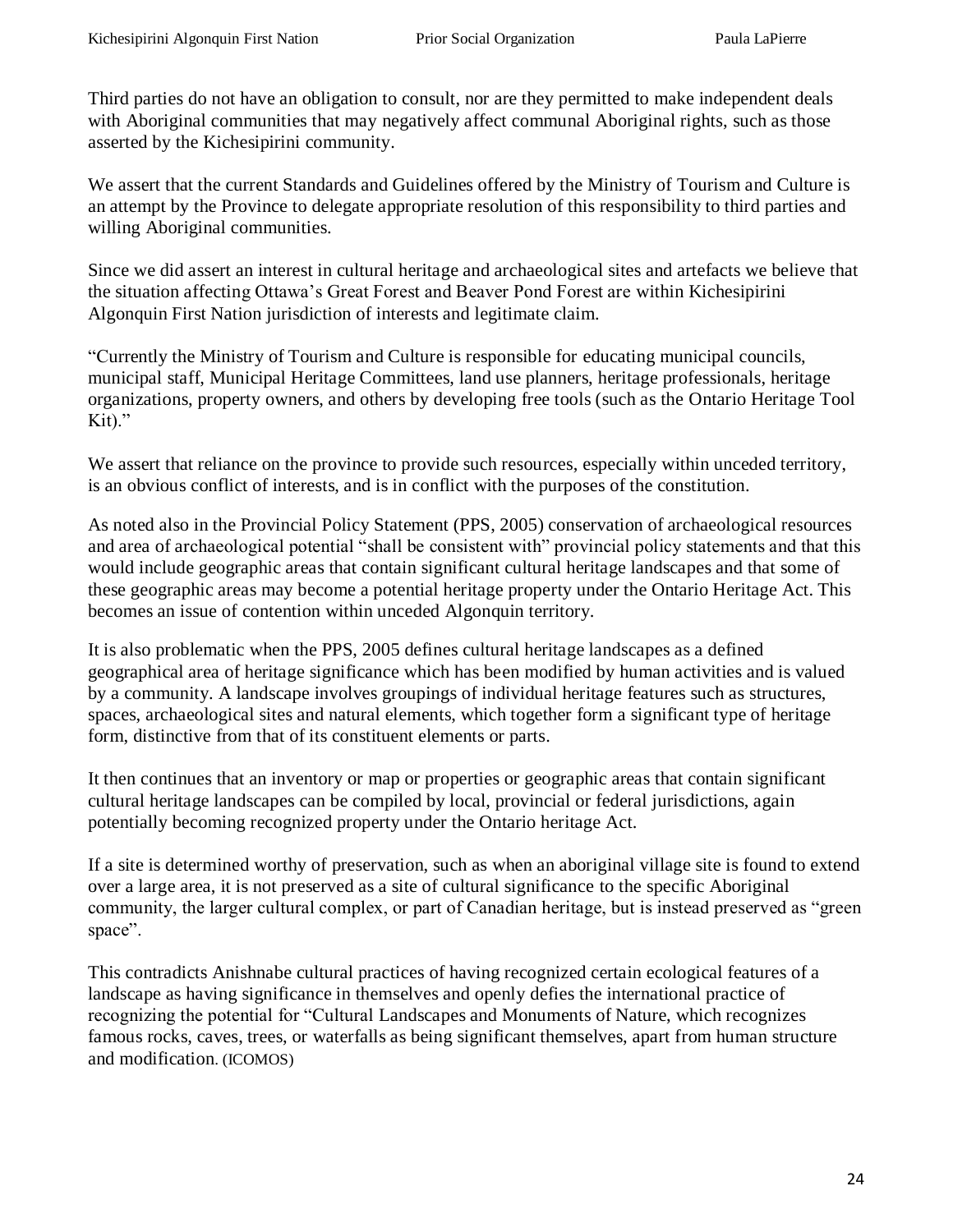Third parties do not have an obligation to consult, nor are they permitted to make independent deals with Aboriginal communities that may negatively affect communal Aboriginal rights, such as those asserted by the Kichesipirini community.

We assert that the current Standards and Guidelines offered by the Ministry of Tourism and Culture is an attempt by the Province to delegate appropriate resolution of this responsibility to third parties and willing Aboriginal communities.

Since we did assert an interest in cultural heritage and archaeological sites and artefacts we believe that the situation affecting Ottawa's Great Forest and Beaver Pond Forest are within Kichesipirini Algonquin First Nation jurisdiction of interests and legitimate claim.

―Currently the Ministry of Tourism and Culture is responsible for educating municipal councils, municipal staff, Municipal Heritage Committees, land use planners, heritage professionals, heritage organizations, property owners, and others by developing free tools (such as the Ontario Heritage Tool Kit)."

We assert that reliance on the province to provide such resources, especially within unceded territory, is an obvious conflict of interests, and is in conflict with the purposes of the constitution.

As noted also in the Provincial Policy Statement (PPS, 2005) conservation of archaeological resources and area of archaeological potential "shall be consistent with" provincial policy statements and that this would include geographic areas that contain significant cultural heritage landscapes and that some of these geographic areas may become a potential heritage property under the Ontario Heritage Act. This becomes an issue of contention within unceded Algonquin territory.

It is also problematic when the PPS, 2005 defines cultural heritage landscapes as a defined geographical area of heritage significance which has been modified by human activities and is valued by a community. A landscape involves groupings of individual heritage features such as structures, spaces, archaeological sites and natural elements, which together form a significant type of heritage form, distinctive from that of its constituent elements or parts.

It then continues that an inventory or map or properties or geographic areas that contain significant cultural heritage landscapes can be compiled by local, provincial or federal jurisdictions, again potentially becoming recognized property under the Ontario heritage Act.

If a site is determined worthy of preservation, such as when an aboriginal village site is found to extend over a large area, it is not preserved as a site of cultural significance to the specific Aboriginal community, the larger cultural complex, or part of Canadian heritage, but is instead preserved as "green" space".

This contradicts Anishnabe cultural practices of having recognized certain ecological features of a landscape as having significance in themselves and openly defies the international practice of recognizing the potential for "Cultural Landscapes and Monuments of Nature, which recognizes famous rocks, caves, trees, or waterfalls as being significant themselves, apart from human structure and modification. (ICOMOS)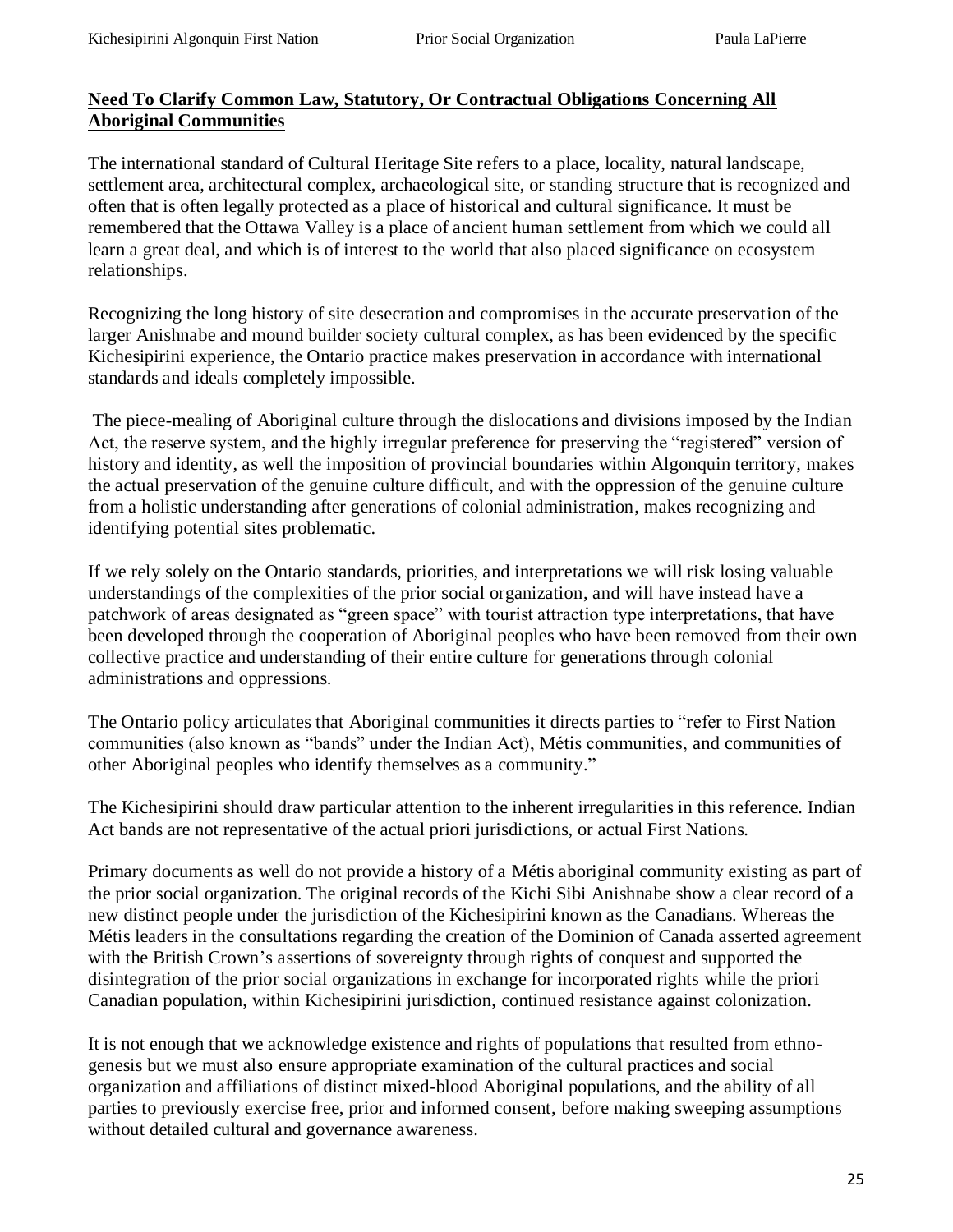## **Need To Clarify Common Law, Statutory, Or Contractual Obligations Concerning All Aboriginal Communities**

The international standard of Cultural Heritage Site refers to a place, locality, natural landscape, settlement area, architectural complex, archaeological site, or standing structure that is recognized and often that is often legally protected as a place of historical and cultural significance. It must be remembered that the Ottawa Valley is a place of ancient human settlement from which we could all learn a great deal, and which is of interest to the world that also placed significance on ecosystem relationships.

Recognizing the long history of site desecration and compromises in the accurate preservation of the larger Anishnabe and mound builder society cultural complex, as has been evidenced by the specific Kichesipirini experience, the Ontario practice makes preservation in accordance with international standards and ideals completely impossible.

The piece-mealing of Aboriginal culture through the dislocations and divisions imposed by the Indian Act, the reserve system, and the highly irregular preference for preserving the "registered" version of history and identity, as well the imposition of provincial boundaries within Algonquin territory, makes the actual preservation of the genuine culture difficult, and with the oppression of the genuine culture from a holistic understanding after generations of colonial administration, makes recognizing and identifying potential sites problematic.

If we rely solely on the Ontario standards, priorities, and interpretations we will risk losing valuable understandings of the complexities of the prior social organization, and will have instead have a patchwork of areas designated as "green space" with tourist attraction type interpretations, that have been developed through the cooperation of Aboriginal peoples who have been removed from their own collective practice and understanding of their entire culture for generations through colonial administrations and oppressions.

The Ontario policy articulates that Aboriginal communities it directs parties to "refer to First Nation" communities (also known as "bands" under the Indian Act), Métis communities, and communities of other Aboriginal peoples who identify themselves as a community."

The Kichesipirini should draw particular attention to the inherent irregularities in this reference. Indian Act bands are not representative of the actual priori jurisdictions, or actual First Nations.

Primary documents as well do not provide a history of a Métis aboriginal community existing as part of the prior social organization. The original records of the Kichi Sibi Anishnabe show a clear record of a new distinct people under the jurisdiction of the Kichesipirini known as the Canadians. Whereas the Métis leaders in the consultations regarding the creation of the Dominion of Canada asserted agreement with the British Crown's assertions of sovereignty through rights of conquest and supported the disintegration of the prior social organizations in exchange for incorporated rights while the priori Canadian population, within Kichesipirini jurisdiction, continued resistance against colonization.

It is not enough that we acknowledge existence and rights of populations that resulted from ethnogenesis but we must also ensure appropriate examination of the cultural practices and social organization and affiliations of distinct mixed-blood Aboriginal populations, and the ability of all parties to previously exercise free, prior and informed consent, before making sweeping assumptions without detailed cultural and governance awareness.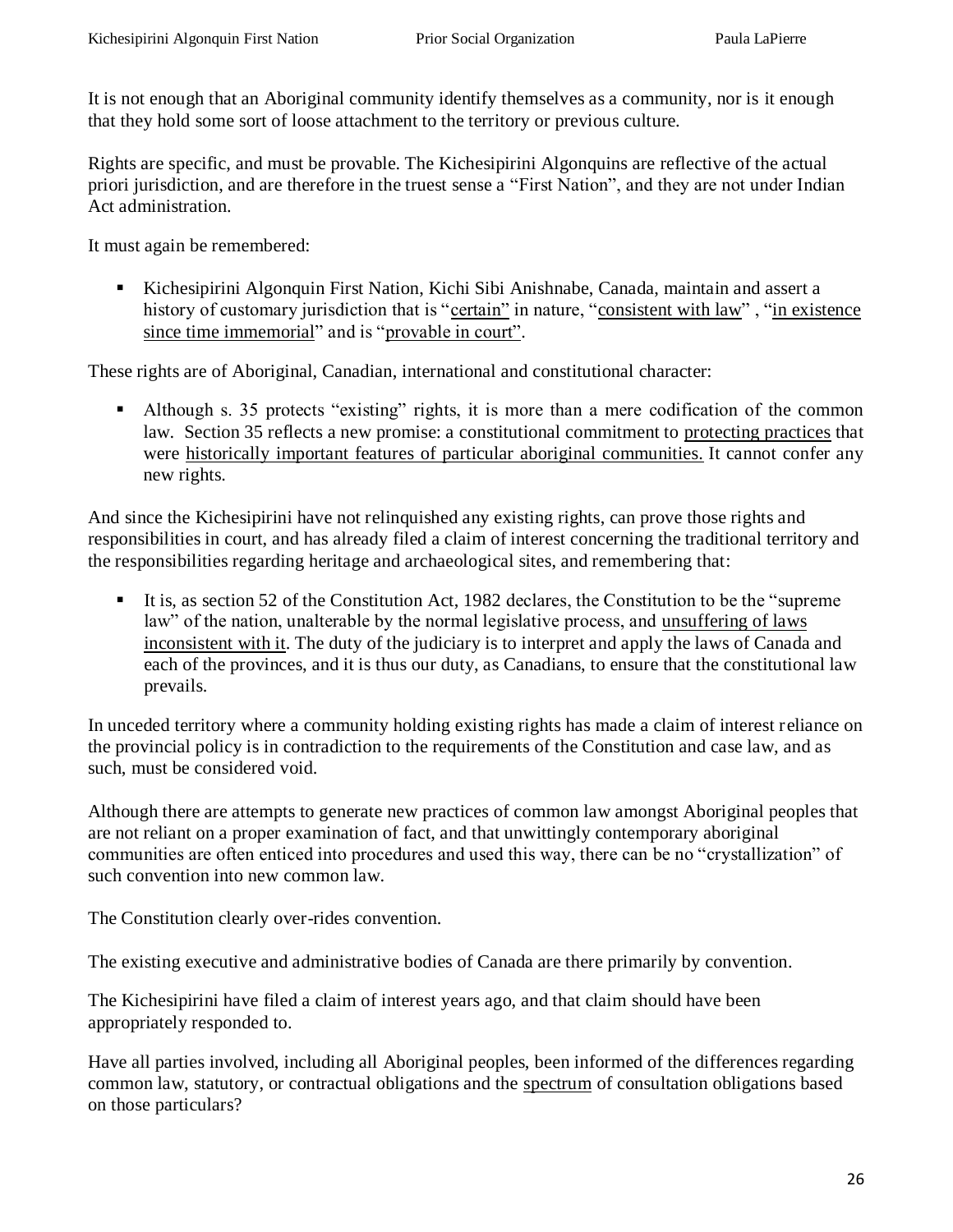It is not enough that an Aboriginal community identify themselves as a community, nor is it enough that they hold some sort of loose attachment to the territory or previous culture.

Rights are specific, and must be provable. The Kichesipirini Algonquins are reflective of the actual priori jurisdiction, and are therefore in the truest sense a "First Nation", and they are not under Indian Act administration.

It must again be remembered:

 Kichesipirini Algonquin First Nation, Kichi Sibi Anishnabe, Canada, maintain and assert a history of customary jurisdiction that is "certain" in nature, "consistent with law", "in existence since time immemorial" and is "provable in court".

These rights are of Aboriginal, Canadian, international and constitutional character:

Although s. 35 protects "existing" rights, it is more than a mere codification of the common law. Section 35 reflects a new promise: a constitutional commitment to protecting practices that were historically important features of particular aboriginal communities. It cannot confer any new rights.

And since the Kichesipirini have not relinquished any existing rights, can prove those rights and responsibilities in court, and has already filed a claim of interest concerning the traditional territory and the responsibilities regarding heritage and archaeological sites, and remembering that:

It is, as section 52 of the Constitution Act, 1982 declares, the Constitution to be the "supreme" law" of the nation, unalterable by the normal legislative process, and unsuffering of laws inconsistent with it. The duty of the judiciary is to interpret and apply the laws of Canada and each of the provinces, and it is thus our duty, as Canadians, to ensure that the constitutional law prevails.

In unceded territory where a community holding existing rights has made a claim of interest reliance on the provincial policy is in contradiction to the requirements of the Constitution and case law, and as such, must be considered void.

Although there are attempts to generate new practices of common law amongst Aboriginal peoples that are not reliant on a proper examination of fact, and that unwittingly contemporary aboriginal communities are often enticed into procedures and used this way, there can be no "crystallization" of such convention into new common law.

The Constitution clearly over-rides convention.

The existing executive and administrative bodies of Canada are there primarily by convention.

The Kichesipirini have filed a claim of interest years ago, and that claim should have been appropriately responded to.

Have all parties involved, including all Aboriginal peoples, been informed of the differences regarding common law, statutory, or contractual obligations and the spectrum of consultation obligations based on those particulars?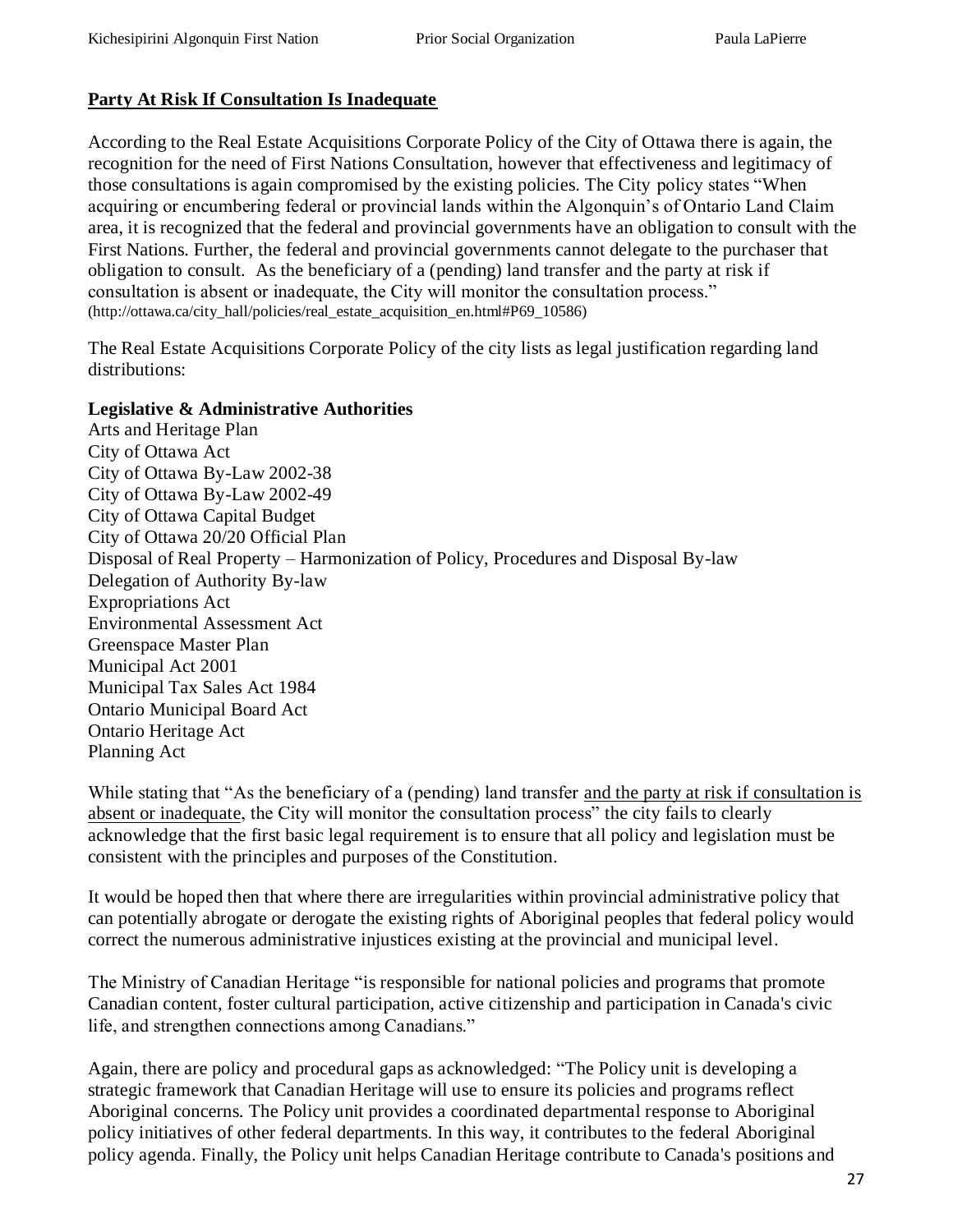## **Party At Risk If Consultation Is Inadequate**

According to the Real Estate Acquisitions Corporate Policy of the City of Ottawa there is again, the recognition for the need of First Nations Consultation, however that effectiveness and legitimacy of those consultations is again compromised by the existing policies. The City policy states "When acquiring or encumbering federal or provincial lands within the Algonquin's of Ontario Land Claim area, it is recognized that the federal and provincial governments have an obligation to consult with the First Nations. Further, the federal and provincial governments cannot delegate to the purchaser that obligation to consult. As the beneficiary of a (pending) land transfer and the party at risk if consultation is absent or inadequate, the City will monitor the consultation process." (http://ottawa.ca/city\_hall/policies/real\_estate\_acquisition\_en.html#P69\_10586)

The Real Estate Acquisitions Corporate Policy of the city lists as legal justification regarding land distributions:

#### **Legislative & Administrative Authorities**

Arts and Heritage Plan City of Ottawa Act City of Ottawa By-Law 2002-38 City of Ottawa By-Law 2002-49 City of Ottawa Capital Budget City of Ottawa 20/20 Official Plan Disposal of Real Property – Harmonization of Policy, Procedures and Disposal By-law Delegation of Authority By-law Expropriations Act Environmental Assessment Act Greenspace Master Plan Municipal Act 2001 Municipal Tax Sales Act 1984 Ontario Municipal Board Act Ontario Heritage Act Planning Act

While stating that "As the beneficiary of a (pending) land transfer and the party at risk if consultation is absent or inadequate, the City will monitor the consultation process" the city fails to clearly acknowledge that the first basic legal requirement is to ensure that all policy and legislation must be consistent with the principles and purposes of the Constitution.

It would be hoped then that where there are irregularities within provincial administrative policy that can potentially abrogate or derogate the existing rights of Aboriginal peoples that federal policy would correct the numerous administrative injustices existing at the provincial and municipal level.

The Ministry of Canadian Heritage "is responsible for national policies and programs that promote Canadian content, foster cultural participation, active citizenship and participation in Canada's civic life, and strengthen connections among Canadians."

Again, there are policy and procedural gaps as acknowledged: "The Policy unit is developing a strategic framework that Canadian Heritage will use to ensure its policies and programs reflect Aboriginal concerns. The Policy unit provides a coordinated departmental response to Aboriginal policy initiatives of other federal departments. In this way, it contributes to the federal Aboriginal policy agenda. Finally, the Policy unit helps Canadian Heritage contribute to Canada's positions and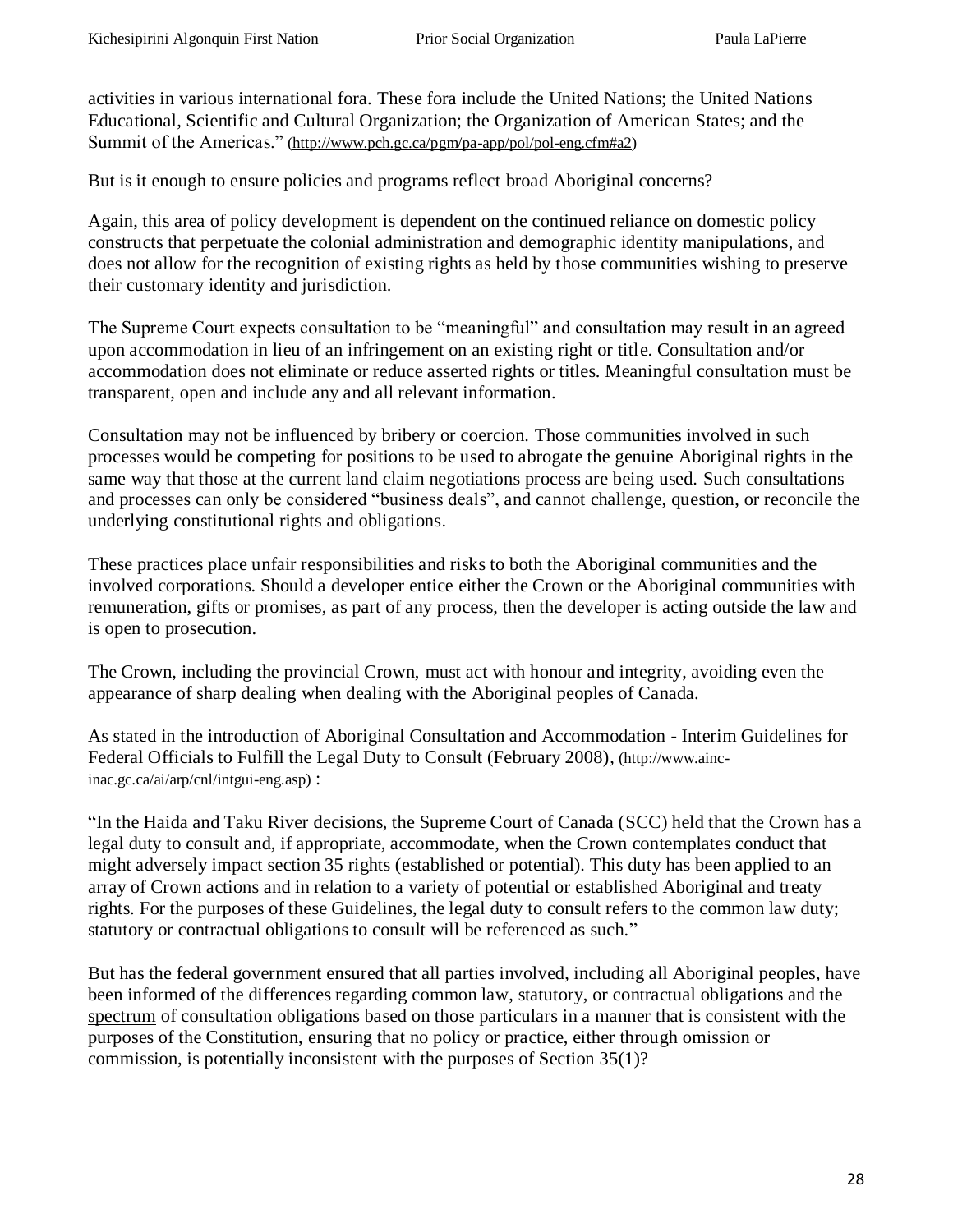activities in various international fora. These fora include the United Nations; the United Nations Educational, Scientific and Cultural Organization; the Organization of American States; and the Summit of the Americas." [\(http://www.pch.gc.ca/pgm/pa-app/pol/pol-eng.cfm#a2\)](http://www.pch.gc.ca/pgm/pa-app/pol/pol-eng.cfm#a2)

But is it enough to ensure policies and programs reflect broad Aboriginal concerns?

Again, this area of policy development is dependent on the continued reliance on domestic policy constructs that perpetuate the colonial administration and demographic identity manipulations, and does not allow for the recognition of existing rights as held by those communities wishing to preserve their customary identity and jurisdiction.

The Supreme Court expects consultation to be "meaningful" and consultation may result in an agreed upon accommodation in lieu of an infringement on an existing right or title. Consultation and/or accommodation does not eliminate or reduce asserted rights or titles. Meaningful consultation must be transparent, open and include any and all relevant information.

Consultation may not be influenced by bribery or coercion. Those communities involved in such processes would be competing for positions to be used to abrogate the genuine Aboriginal rights in the same way that those at the current land claim negotiations process are being used. Such consultations and processes can only be considered "business deals", and cannot challenge, question, or reconcile the underlying constitutional rights and obligations.

These practices place unfair responsibilities and risks to both the Aboriginal communities and the involved corporations. Should a developer entice either the Crown or the Aboriginal communities with remuneration, gifts or promises, as part of any process, then the developer is acting outside the law and is open to prosecution.

The Crown, including the provincial Crown, must act with honour and integrity, avoiding even the appearance of sharp dealing when dealing with the Aboriginal peoples of Canada.

As stated in the introduction of Aboriginal Consultation and Accommodation - Interim Guidelines for Federal Officials to Fulfill the Legal Duty to Consult (February 2008), (http://www.aincinac.gc.ca/ai/arp/cnl/intgui-eng.asp) :

―In the Haida and Taku River decisions, the Supreme Court of Canada (SCC) held that the Crown has a legal duty to consult and, if appropriate, accommodate, when the Crown contemplates conduct that might adversely impact section 35 rights (established or potential). This duty has been applied to an array of Crown actions and in relation to a variety of potential or established Aboriginal and treaty rights. For the purposes of these Guidelines, the legal duty to consult refers to the common law duty; statutory or contractual obligations to consult will be referenced as such."

But has the federal government ensured that all parties involved, including all Aboriginal peoples, have been informed of the differences regarding common law, statutory, or contractual obligations and the spectrum of consultation obligations based on those particulars in a manner that is consistent with the purposes of the Constitution, ensuring that no policy or practice, either through omission or commission, is potentially inconsistent with the purposes of Section 35(1)?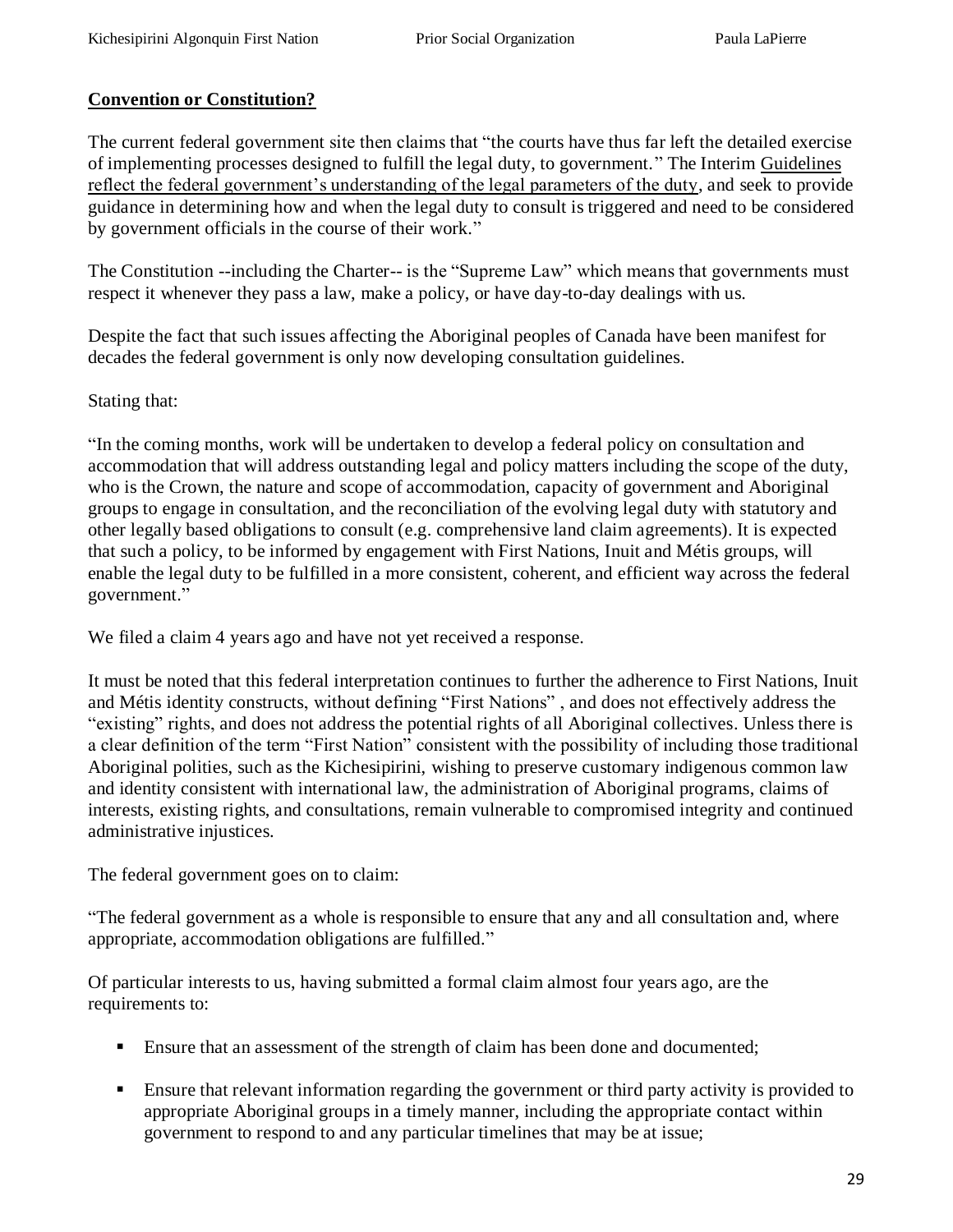#### **Convention or Constitution?**

The current federal government site then claims that "the courts have thus far left the detailed exercise of implementing processes designed to fulfill the legal duty, to government." The Interim Guidelines reflect the federal government's understanding of the legal parameters of the duty, and seek to provide guidance in determining how and when the legal duty to consult is triggered and need to be considered by government officials in the course of their work."

The Constitution --including the Charter-- is the "Supreme Law" which means that governments must respect it whenever they pass a law, make a policy, or have day-to-day dealings with us.

Despite the fact that such issues affecting the Aboriginal peoples of Canada have been manifest for decades the federal government is only now developing consultation guidelines.

#### Stating that:

"In the coming months, work will be undertaken to develop a federal policy on consultation and accommodation that will address outstanding legal and policy matters including the scope of the duty, who is the Crown, the nature and scope of accommodation, capacity of government and Aboriginal groups to engage in consultation, and the reconciliation of the evolving legal duty with statutory and other legally based obligations to consult (e.g. comprehensive land claim agreements). It is expected that such a policy, to be informed by engagement with First Nations, Inuit and Métis groups, will enable the legal duty to be fulfilled in a more consistent, coherent, and efficient way across the federal government."

We filed a claim 4 years ago and have not yet received a response.

It must be noted that this federal interpretation continues to further the adherence to First Nations, Inuit and Métis identity constructs, without defining "First Nations", and does not effectively address the "existing" rights, and does not address the potential rights of all Aboriginal collectives. Unless there is a clear definition of the term "First Nation" consistent with the possibility of including those traditional Aboriginal polities, such as the Kichesipirini, wishing to preserve customary indigenous common law and identity consistent with international law, the administration of Aboriginal programs, claims of interests, existing rights, and consultations, remain vulnerable to compromised integrity and continued administrative injustices.

The federal government goes on to claim:

―The federal government as a whole is responsible to ensure that any and all consultation and, where appropriate, accommodation obligations are fulfilled."

Of particular interests to us, having submitted a formal claim almost four years ago, are the requirements to:

- **Ensure that an assessment of the strength of claim has been done and documented;**
- Ensure that relevant information regarding the government or third party activity is provided to appropriate Aboriginal groups in a timely manner, including the appropriate contact within government to respond to and any particular timelines that may be at issue;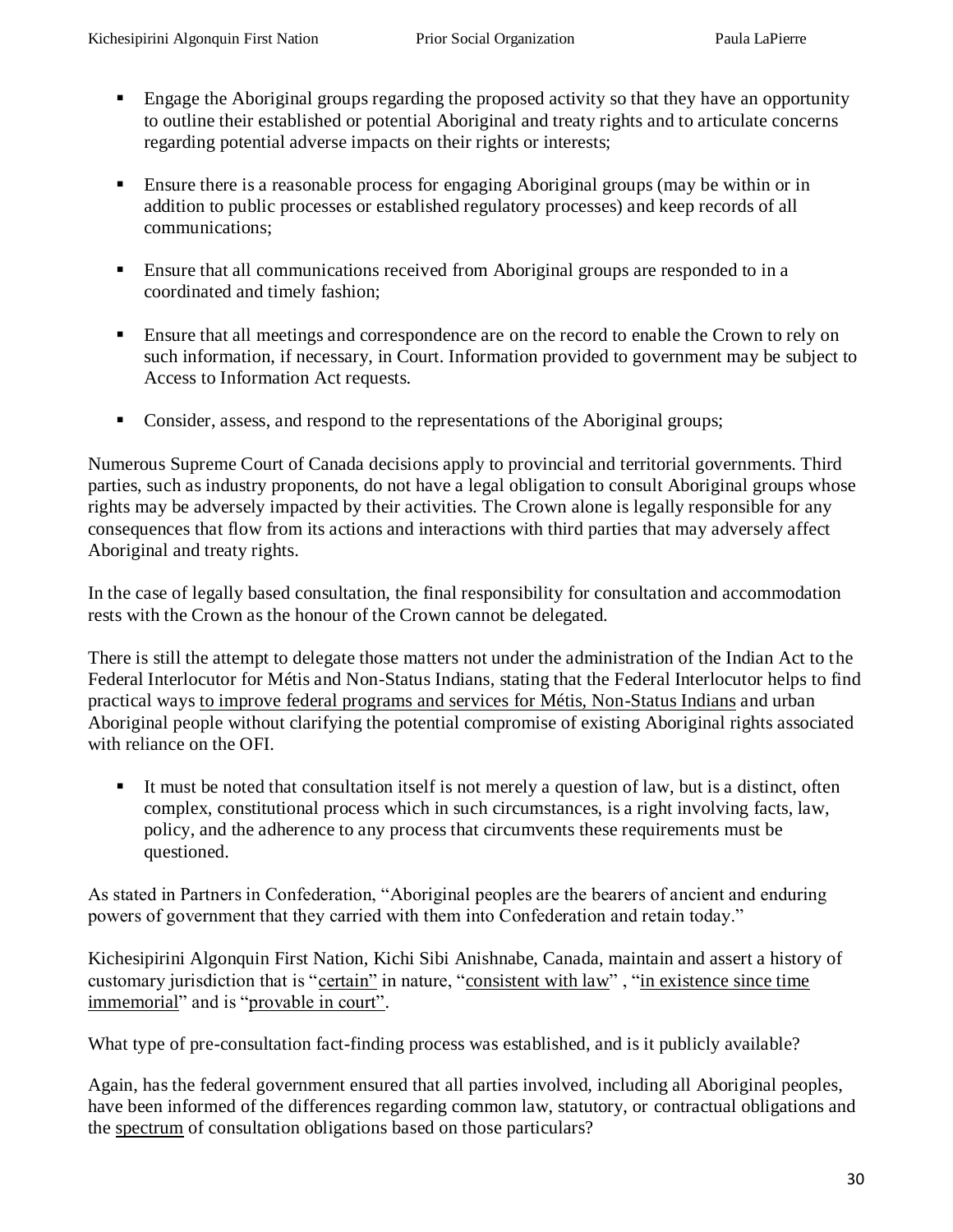- Engage the Aboriginal groups regarding the proposed activity so that they have an opportunity to outline their established or potential Aboriginal and treaty rights and to articulate concerns regarding potential adverse impacts on their rights or interests;
- Ensure there is a reasonable process for engaging Aboriginal groups (may be within or in addition to public processes or established regulatory processes) and keep records of all communications;
- Ensure that all communications received from Aboriginal groups are responded to in a coordinated and timely fashion;
- Ensure that all meetings and correspondence are on the record to enable the Crown to rely on such information, if necessary, in Court. Information provided to government may be subject to Access to Information Act requests.
- Consider, assess, and respond to the representations of the Aboriginal groups;

Numerous Supreme Court of Canada decisions apply to provincial and territorial governments. Third parties, such as industry proponents, do not have a legal obligation to consult Aboriginal groups whose rights may be adversely impacted by their activities. The Crown alone is legally responsible for any consequences that flow from its actions and interactions with third parties that may adversely affect Aboriginal and treaty rights.

In the case of legally based consultation, the final responsibility for consultation and accommodation rests with the Crown as the honour of the Crown cannot be delegated.

There is still the attempt to delegate those matters not under the administration of the Indian Act to the Federal Interlocutor for Métis and Non-Status Indians, stating that the Federal Interlocutor helps to find practical ways to improve federal programs and services for Métis, Non-Status Indians and urban Aboriginal people without clarifying the potential compromise of existing Aboriginal rights associated with reliance on the OFI.

 It must be noted that consultation itself is not merely a question of law, but is a distinct, often complex, constitutional process which in such circumstances, is a right involving facts, law, policy, and the adherence to any process that circumvents these requirements must be questioned.

As stated in Partners in Confederation, "Aboriginal peoples are the bearers of ancient and enduring powers of government that they carried with them into Confederation and retain today."

Kichesipirini Algonquin First Nation, Kichi Sibi Anishnabe, Canada, maintain and assert a history of customary jurisdiction that is "certain" in nature, "consistent with law", "in existence since time immemorial" and is "provable in court".

What type of pre-consultation fact-finding process was established, and is it publicly available?

Again, has the federal government ensured that all parties involved, including all Aboriginal peoples, have been informed of the differences regarding common law, statutory, or contractual obligations and the spectrum of consultation obligations based on those particulars?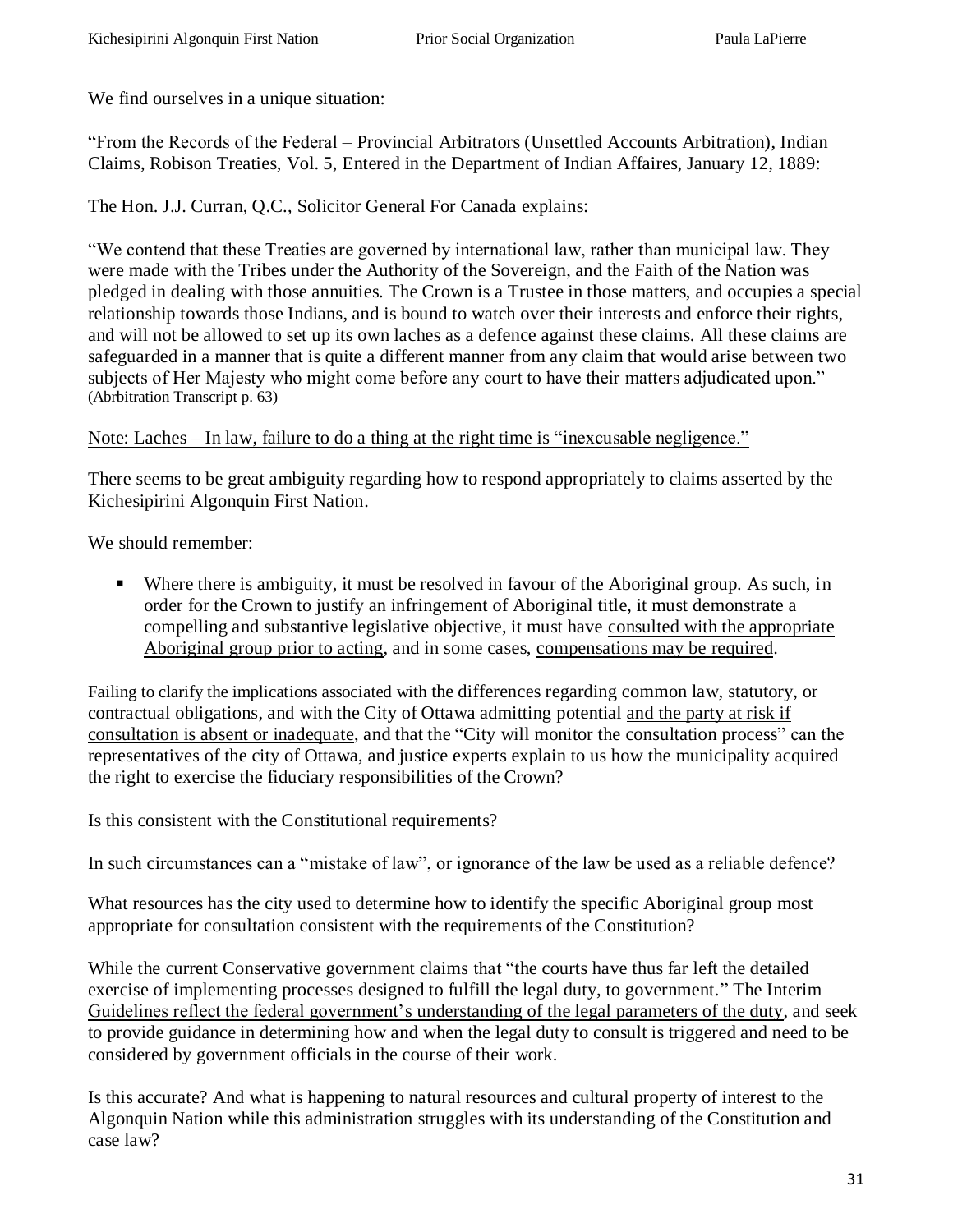We find ourselves in a unique situation:

―From the Records of the Federal – Provincial Arbitrators (Unsettled Accounts Arbitration), Indian Claims, Robison Treaties, Vol. 5, Entered in the Department of Indian Affaires, January 12, 1889:

The Hon. J.J. Curran, Q.C., Solicitor General For Canada explains:

―We contend that these Treaties are governed by international law, rather than municipal law. They were made with the Tribes under the Authority of the Sovereign, and the Faith of the Nation was pledged in dealing with those annuities. The Crown is a Trustee in those matters, and occupies a special relationship towards those Indians, and is bound to watch over their interests and enforce their rights, and will not be allowed to set up its own laches as a defence against these claims. All these claims are safeguarded in a manner that is quite a different manner from any claim that would arise between two subjects of Her Majesty who might come before any court to have their matters adjudicated upon." (Abrbitration Transcript p. 63)

Note: Laches – In law, failure to do a thing at the right time is "inexcusable negligence."

There seems to be great ambiguity regarding how to respond appropriately to claims asserted by the Kichesipirini Algonquin First Nation.

We should remember:

 Where there is ambiguity, it must be resolved in favour of the Aboriginal group. As such, in order for the Crown to justify an infringement of Aboriginal title, it must demonstrate a compelling and substantive legislative objective, it must have consulted with the appropriate Aboriginal group prior to acting, and in some cases, compensations may be required.

Failing to clarify the implications associated with the differences regarding common law, statutory, or contractual obligations, and with the City of Ottawa admitting potential and the party at risk if consultation is absent or inadequate, and that the "City will monitor the consultation process" can the representatives of the city of Ottawa, and justice experts explain to us how the municipality acquired the right to exercise the fiduciary responsibilities of the Crown?

Is this consistent with the Constitutional requirements?

In such circumstances can a "mistake of law", or ignorance of the law be used as a reliable defence?

What resources has the city used to determine how to identify the specific Aboriginal group most appropriate for consultation consistent with the requirements of the Constitution?

While the current Conservative government claims that "the courts have thus far left the detailed exercise of implementing processes designed to fulfill the legal duty, to government." The Interim Guidelines reflect the federal government's understanding of the legal parameters of the duty, and seek to provide guidance in determining how and when the legal duty to consult is triggered and need to be considered by government officials in the course of their work.

Is this accurate? And what is happening to natural resources and cultural property of interest to the Algonquin Nation while this administration struggles with its understanding of the Constitution and case law?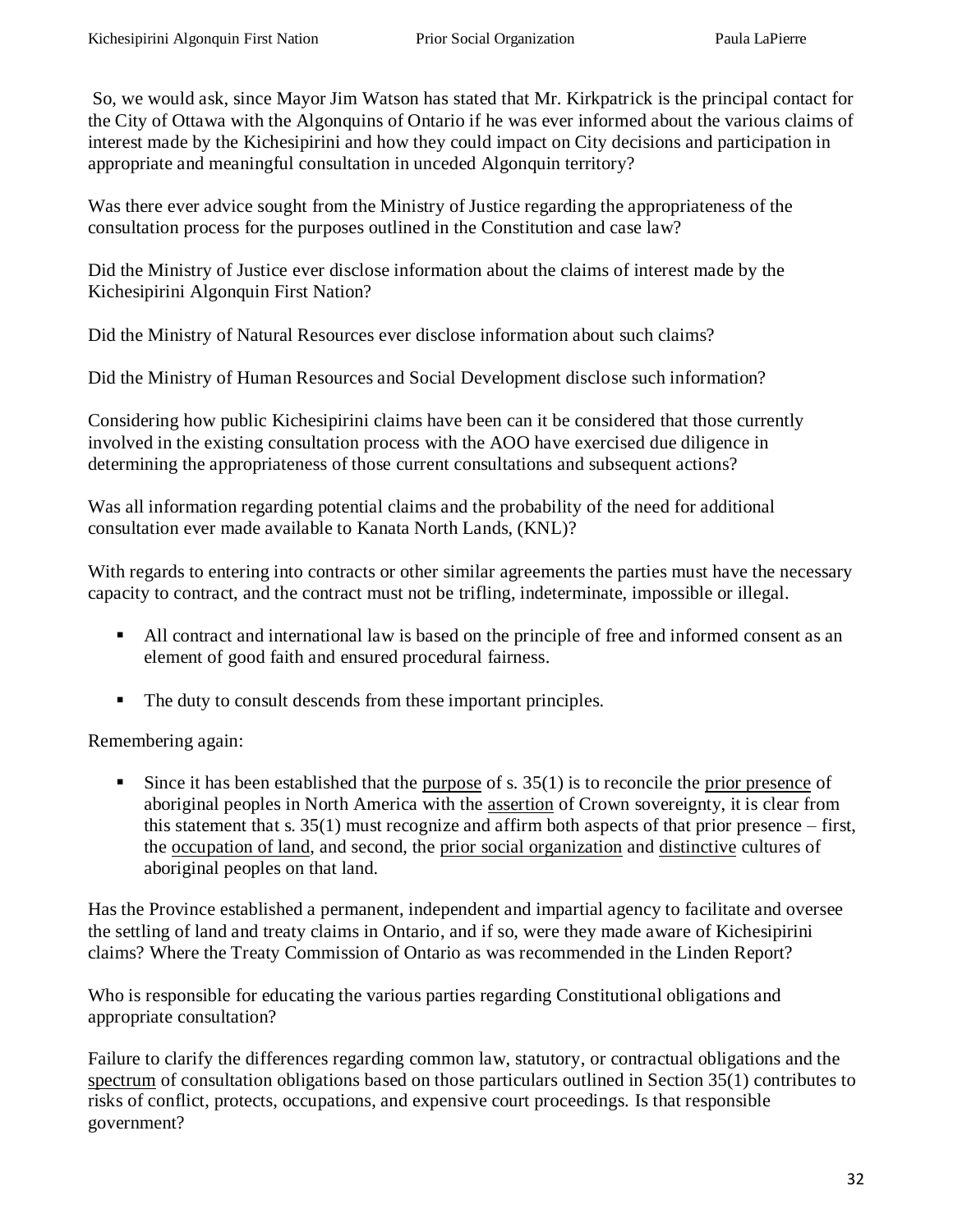So, we would ask, since Mayor Jim Watson has stated that Mr. Kirkpatrick is the principal contact for the City of Ottawa with the Algonquins of Ontario if he was ever informed about the various claims of interest made by the Kichesipirini and how they could impact on City decisions and participation in appropriate and meaningful consultation in unceded Algonquin territory?

Was there ever advice sought from the Ministry of Justice regarding the appropriateness of the consultation process for the purposes outlined in the Constitution and case law?

Did the Ministry of Justice ever disclose information about the claims of interest made by the Kichesipirini Algonquin First Nation?

Did the Ministry of Natural Resources ever disclose information about such claims?

Did the Ministry of Human Resources and Social Development disclose such information?

Considering how public Kichesipirini claims have been can it be considered that those currently involved in the existing consultation process with the AOO have exercised due diligence in determining the appropriateness of those current consultations and subsequent actions?

Was all information regarding potential claims and the probability of the need for additional consultation ever made available to Kanata North Lands, (KNL)?

With regards to entering into contracts or other similar agreements the parties must have the necessary capacity to contract, and the contract must not be trifling, indeterminate, impossible or illegal.

- All contract and international law is based on the principle of free and informed consent as an element of good faith and ensured procedural fairness.
- The duty to consult descends from these important principles.

Remembering again:

Since it has been established that the purpose of s.  $35(1)$  is to reconcile the prior presence of aboriginal peoples in North America with the assertion of Crown sovereignty, it is clear from this statement that s. 35(1) must recognize and affirm both aspects of that prior presence – first, the occupation of land, and second, the prior social organization and distinctive cultures of aboriginal peoples on that land.

Has the Province established a permanent, independent and impartial agency to facilitate and oversee the settling of land and treaty claims in Ontario, and if so, were they made aware of Kichesipirini claims? Where the Treaty Commission of Ontario as was recommended in the Linden Report?

Who is responsible for educating the various parties regarding Constitutional obligations and appropriate consultation?

Failure to clarify the differences regarding common law, statutory, or contractual obligations and the spectrum of consultation obligations based on those particulars outlined in Section 35(1) contributes to risks of conflict, protects, occupations, and expensive court proceedings. Is that responsible government?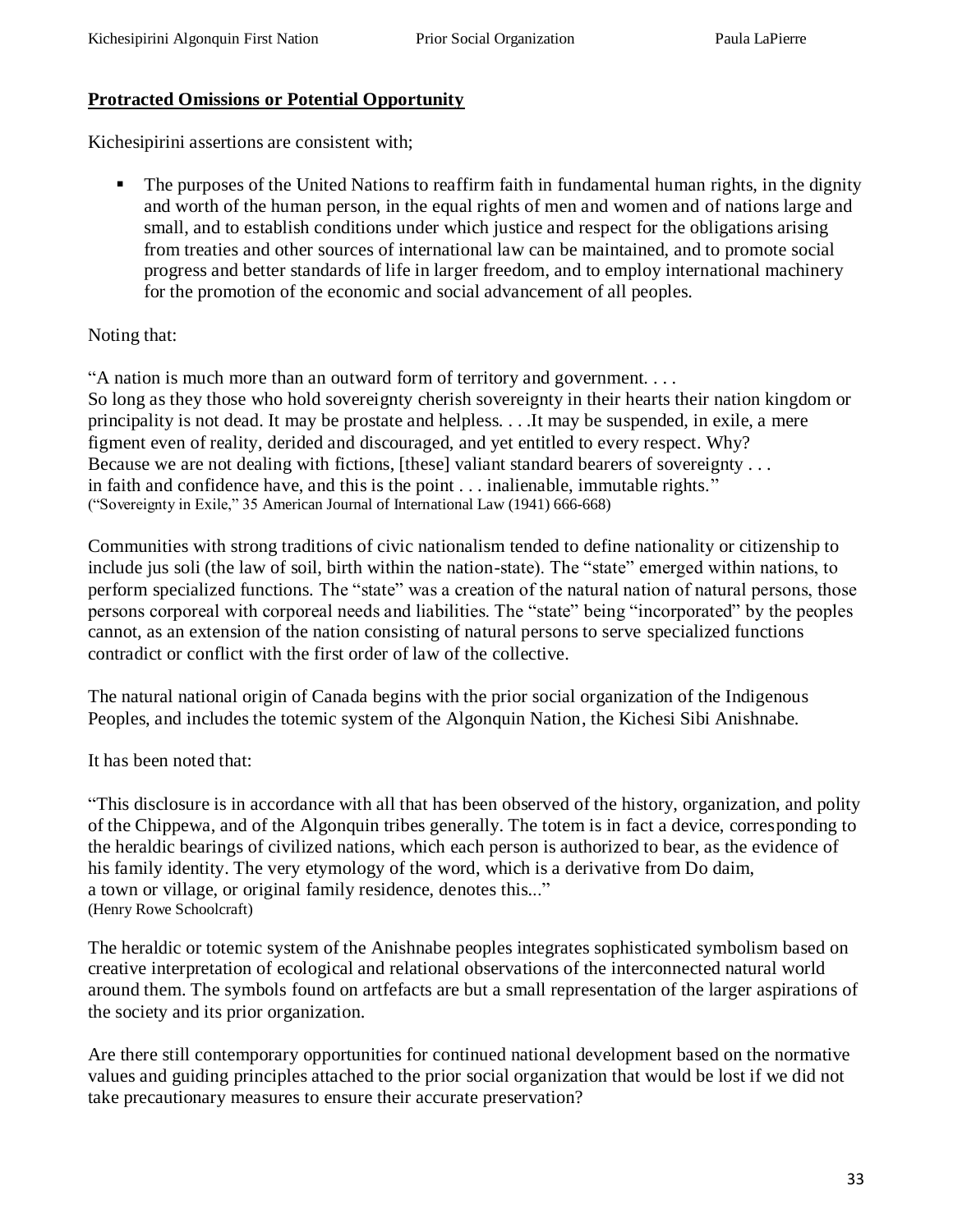#### **Protracted Omissions or Potential Opportunity**

Kichesipirini assertions are consistent with;

 The purposes of the United Nations to reaffirm faith in fundamental human rights, in the dignity and worth of the human person, in the equal rights of men and women and of nations large and small, and to establish conditions under which justice and respect for the obligations arising from treaties and other sources of international law can be maintained, and to promote social progress and better standards of life in larger freedom, and to employ international machinery for the promotion of the economic and social advancement of all peoples.

#### Noting that:

"A nation is much more than an outward form of territory and government.  $\dots$ So long as they those who hold sovereignty cherish sovereignty in their hearts their nation kingdom or principality is not dead. It may be prostate and helpless. . . .It may be suspended, in exile, a mere figment even of reality, derided and discouraged, and yet entitled to every respect. Why? Because we are not dealing with fictions, [these] valiant standard bearers of sovereignty . . . in faith and confidence have, and this is the point  $\dots$  inalienable, immutable rights." (―Sovereignty in Exile,‖ 35 American Journal of International Law (1941) 666-668)

Communities with strong traditions of civic nationalism tended to define nationality or citizenship to include jus soli (the law of soil, birth within the nation-state). The "state" emerged within nations, to perform specialized functions. The "state" was a creation of the natural nation of natural persons, those persons corporeal with corporeal needs and liabilities. The "state" being "incorporated" by the peoples cannot, as an extension of the nation consisting of natural persons to serve specialized functions contradict or conflict with the first order of law of the collective.

The natural national origin of Canada begins with the prior social organization of the Indigenous Peoples, and includes the totemic system of the Algonquin Nation, the Kichesi Sibi Anishnabe.

It has been noted that:

―This disclosure is in accordance with all that has been observed of the history, organization, and polity of the Chippewa, and of the Algonquin tribes generally. The totem is in fact a device, corresponding to the heraldic bearings of civilized nations, which each person is authorized to bear, as the evidence of his family identity. The very etymology of the word, which is a derivative from Do daim, a town or village, or original family residence, denotes this..." (Henry Rowe Schoolcraft)

The heraldic or totemic system of the Anishnabe peoples integrates sophisticated symbolism based on creative interpretation of ecological and relational observations of the interconnected natural world around them. The symbols found on artfefacts are but a small representation of the larger aspirations of the society and its prior organization.

Are there still contemporary opportunities for continued national development based on the normative values and guiding principles attached to the prior social organization that would be lost if we did not take precautionary measures to ensure their accurate preservation?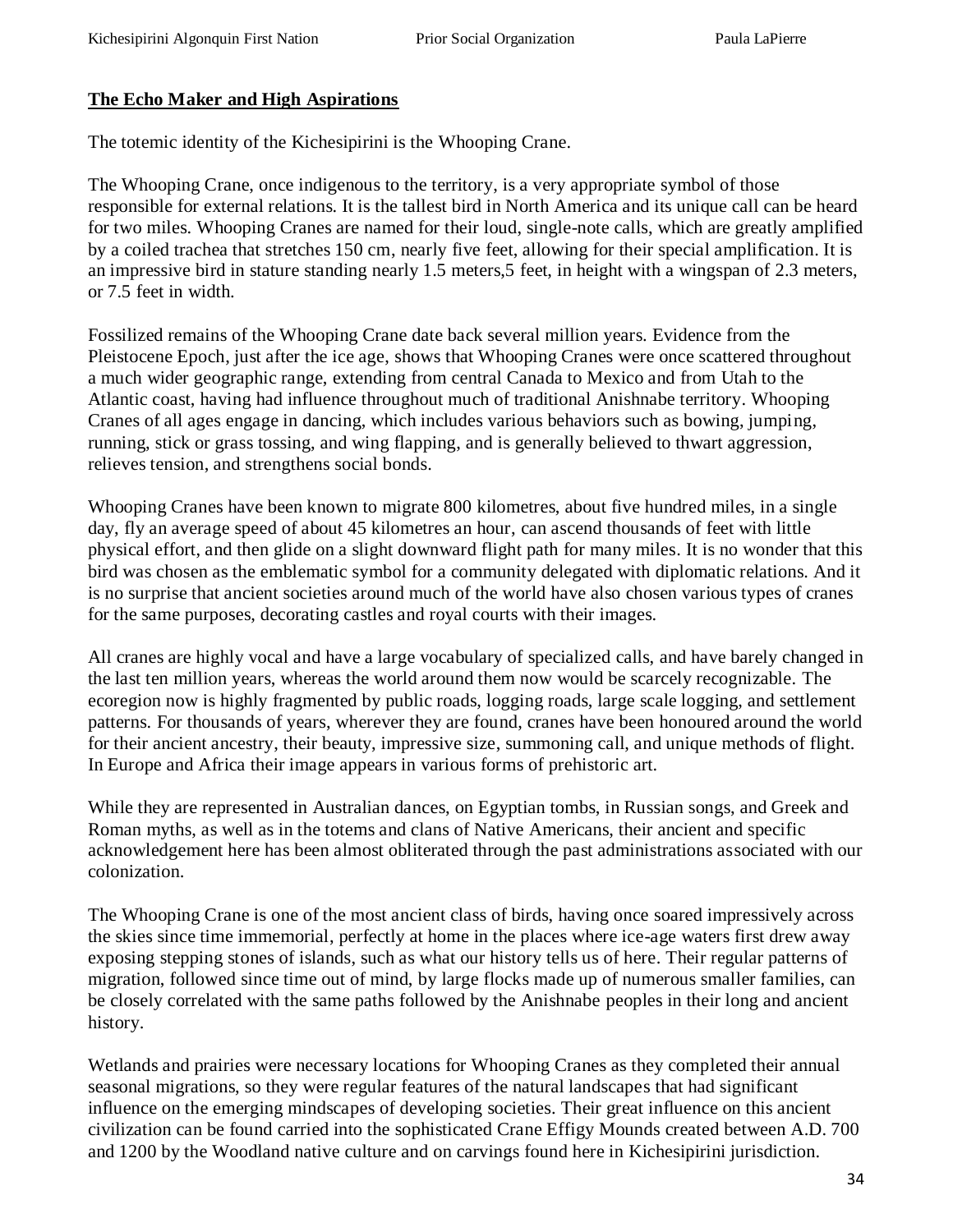## **The Echo Maker and High Aspirations**

The totemic identity of the Kichesipirini is the Whooping Crane.

The Whooping Crane, once indigenous to the territory, is a very appropriate symbol of those responsible for external relations. It is the tallest bird in North America and its unique call can be heard for two miles. Whooping Cranes are named for their loud, single-note calls, which are greatly amplified by a coiled trachea that stretches 150 cm, nearly five feet, allowing for their special amplification. It is an impressive bird in stature standing nearly 1.5 meters,5 feet, in height with a wingspan of 2.3 meters, or 7.5 feet in width.

Fossilized remains of the Whooping Crane date back several million years. Evidence from the Pleistocene Epoch, just after the ice age, shows that Whooping Cranes were once scattered throughout a much wider geographic range, extending from central Canada to Mexico and from Utah to the Atlantic coast, having had influence throughout much of traditional Anishnabe territory. Whooping Cranes of all ages engage in dancing, which includes various behaviors such as bowing, jumping, running, stick or grass tossing, and wing flapping, and is generally believed to thwart aggression, relieves tension, and strengthens social bonds.

Whooping Cranes have been known to migrate 800 kilometres, about five hundred miles, in a single day, fly an average speed of about 45 kilometres an hour, can ascend thousands of feet with little physical effort, and then glide on a slight downward flight path for many miles. It is no wonder that this bird was chosen as the emblematic symbol for a community delegated with diplomatic relations. And it is no surprise that ancient societies around much of the world have also chosen various types of cranes for the same purposes, decorating castles and royal courts with their images.

All cranes are highly vocal and have a large vocabulary of specialized [calls,](http://en.wikipedia.org/wiki/Bird_vocalization) and have barely changed in the last ten million years, whereas the world around them now would be scarcely recognizable. The ecoregion now is highly [fragmented](http://www.eoearth.org/article/Habitat_fragmentation) by public roads, logging roads, large scale logging, and settlement patterns. For thousands of years, wherever they are found, cranes have been honoured around the world for their ancient ancestry, their beauty, impressive size, summoning call, and unique methods of flight. In Europe and Africa their image appears in various forms of prehistoric art.

While they are represented in Australian dances, on Egyptian tombs, in Russian songs, and Greek and Roman myths, as well as in the totems and clans of Native Americans, their ancient and specific acknowledgement here has been almost obliterated through the past administrations associated with our colonization.

The Whooping Crane is one of the most ancient class of birds, having once soared impressively across the skies since time immemorial, perfectly at home in the places where ice-age waters first drew away exposing stepping stones of islands, such as what our history tells us of here. Their regular patterns of migration, followed since time out of mind, by large flocks made up of numerous smaller families, can be closely correlated with the same paths followed by the Anishnabe peoples in their long and ancient history.

Wetlands and prairies were necessary locations for Whooping Cranes as they completed their annual seasonal migrations, so they were regular features of the natural landscapes that had significant influence on the emerging mindscapes of developing societies. Their great influence on this ancient civilization can be found carried into the sophisticated Crane Effigy Mounds created between A.D. 700 and 1200 by the Woodland native culture and on carvings found here in Kichesipirini jurisdiction.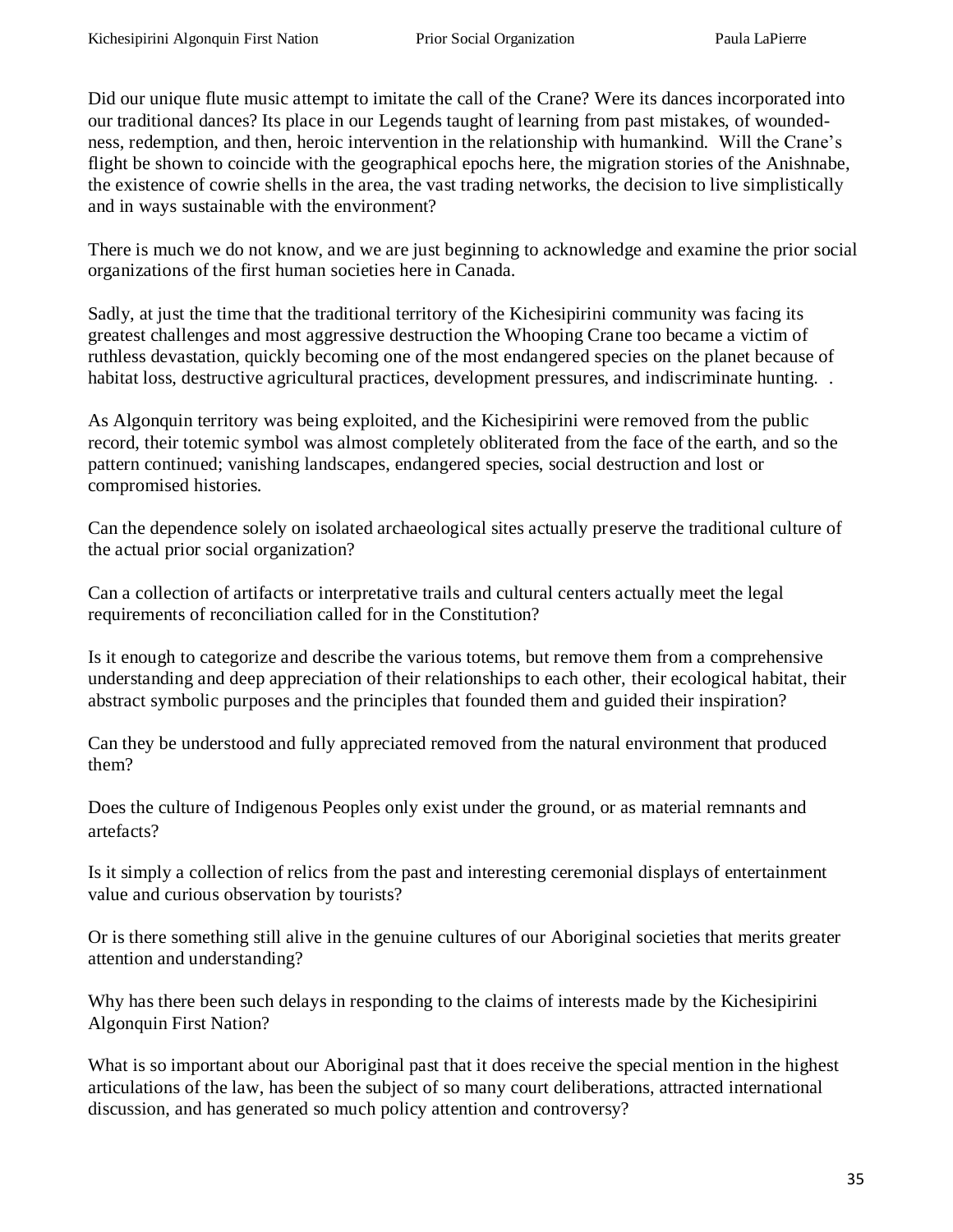Did our unique flute music attempt to imitate the call of the Crane? Were its dances incorporated into our traditional dances? Its place in our Legends taught of learning from past mistakes, of woundedness, redemption, and then, heroic intervention in the relationship with humankind. Will the Crane's flight be shown to coincide with the geographical epochs here, the migration stories of the Anishnabe, the existence of cowrie shells in the area, the vast trading networks, the decision to live simplistically and in ways sustainable with the environment?

There is much we do not know, and we are just beginning to acknowledge and examine the prior social organizations of the first human societies here in Canada.

Sadly, at just the time that the traditional territory of the Kichesipirini community was facing its greatest challenges and most aggressive destruction the Whooping Crane too became a victim of ruthless devastation, quickly becoming one of the most endangered species on the planet because of habitat loss, destructive agricultural practices, development pressures, and indiscriminate hunting...

As Algonquin territory was being exploited, and the Kichesipirini were removed from the public record, their totemic symbol was almost completely obliterated from the face of the earth, and so the pattern continued; vanishing landscapes, endangered species, social destruction and lost or compromised histories.

Can the dependence solely on isolated archaeological sites actually preserve the traditional culture of the actual prior social organization?

Can a collection of artifacts or interpretative trails and cultural centers actually meet the legal requirements of reconciliation called for in the Constitution?

Is it enough to categorize and describe the various totems, but remove them from a comprehensive understanding and deep appreciation of their relationships to each other, their ecological habitat, their abstract symbolic purposes and the principles that founded them and guided their inspiration?

Can they be understood and fully appreciated removed from the natural environment that produced them?

Does the culture of Indigenous Peoples only exist under the ground, or as material remnants and artefacts?

Is it simply a collection of relics from the past and interesting ceremonial displays of entertainment value and curious observation by tourists?

Or is there something still alive in the genuine cultures of our Aboriginal societies that merits greater attention and understanding?

Why has there been such delays in responding to the claims of interests made by the Kichesipirini Algonquin First Nation?

What is so important about our Aboriginal past that it does receive the special mention in the highest articulations of the law, has been the subject of so many court deliberations, attracted international discussion, and has generated so much policy attention and controversy?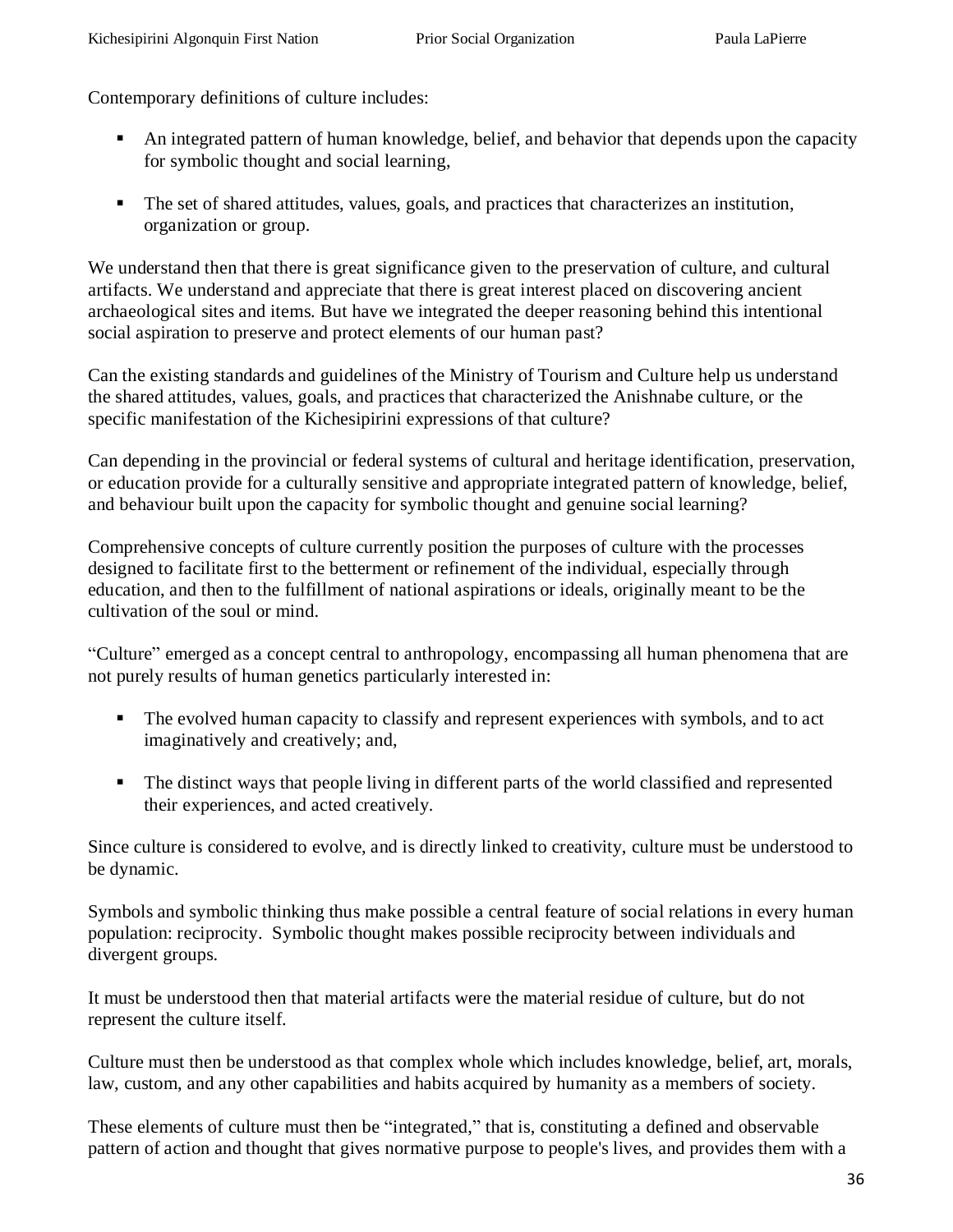Contemporary definitions of culture includes:

- An integrated pattern of human knowledge, belief, and behavior that depends upon the capacity for symbolic thought and social learning,
- The set of shared attitudes, values, goals, and practices that characterizes an institution, organization or group.

We understand then that there is great significance given to the preservation of culture, and cultural artifacts. We understand and appreciate that there is great interest placed on discovering ancient archaeological sites and items. But have we integrated the deeper reasoning behind this intentional social aspiration to preserve and protect elements of our human past?

Can the existing standards and guidelines of the Ministry of Tourism and Culture help us understand the shared attitudes, values, goals, and practices that characterized the Anishnabe culture, or the specific manifestation of the Kichesipirini expressions of that culture?

Can depending in the provincial or federal systems of cultural and heritage identification, preservation, or education provide for a culturally sensitive and appropriate integrated pattern of knowledge, belief, and behaviour built upon the capacity for symbolic thought and genuine social learning?

Comprehensive concepts of culture currently position the purposes of culture with the processes designed to facilitate first to the betterment or refinement of the individual, especially through [education,](http://en.wikipedia.org/wiki/Education) and then to the fulfillment of [national aspirations or ideals,](http://en.wikipedia.org/wiki/Nationalism) originally meant to be the cultivation of the soul or mind.

―Culture‖ emerged as a concept central to [anthropology,](http://en.wikipedia.org/wiki/Anthropology) encompassing all human phenomena that are not purely results of human genetics particularly interested in:

- The evolved human capacity to classify and represent experiences with [symbols,](http://en.wikipedia.org/wiki/Symbol) and to act imaginatively and creatively; and,
- The distinct ways that people living in different parts of the world classified and represented their experiences, and acted creatively.

Since culture is considered to evolve, and is directly linked to creativity, culture must be understood to be dynamic.

Symbols and symbolic thinking thus make possible a central feature of social relations in every human population: reciprocity. Symbolic thought makes possible reciprocity between individuals and divergent groups.

It must be understood then that material artifacts were the material residue of culture, but do not represent the culture itself.

Culture must then be understood as that complex whole which includes knowledge, belief, art, morals, law, custom, and any other capabilities and habits acquired by humanity as a members of society.

These elements of culture must then be "integrated," that is, constituting a defined and observable pattern of action and thought that gives normative purpose to people's lives, and provides them with a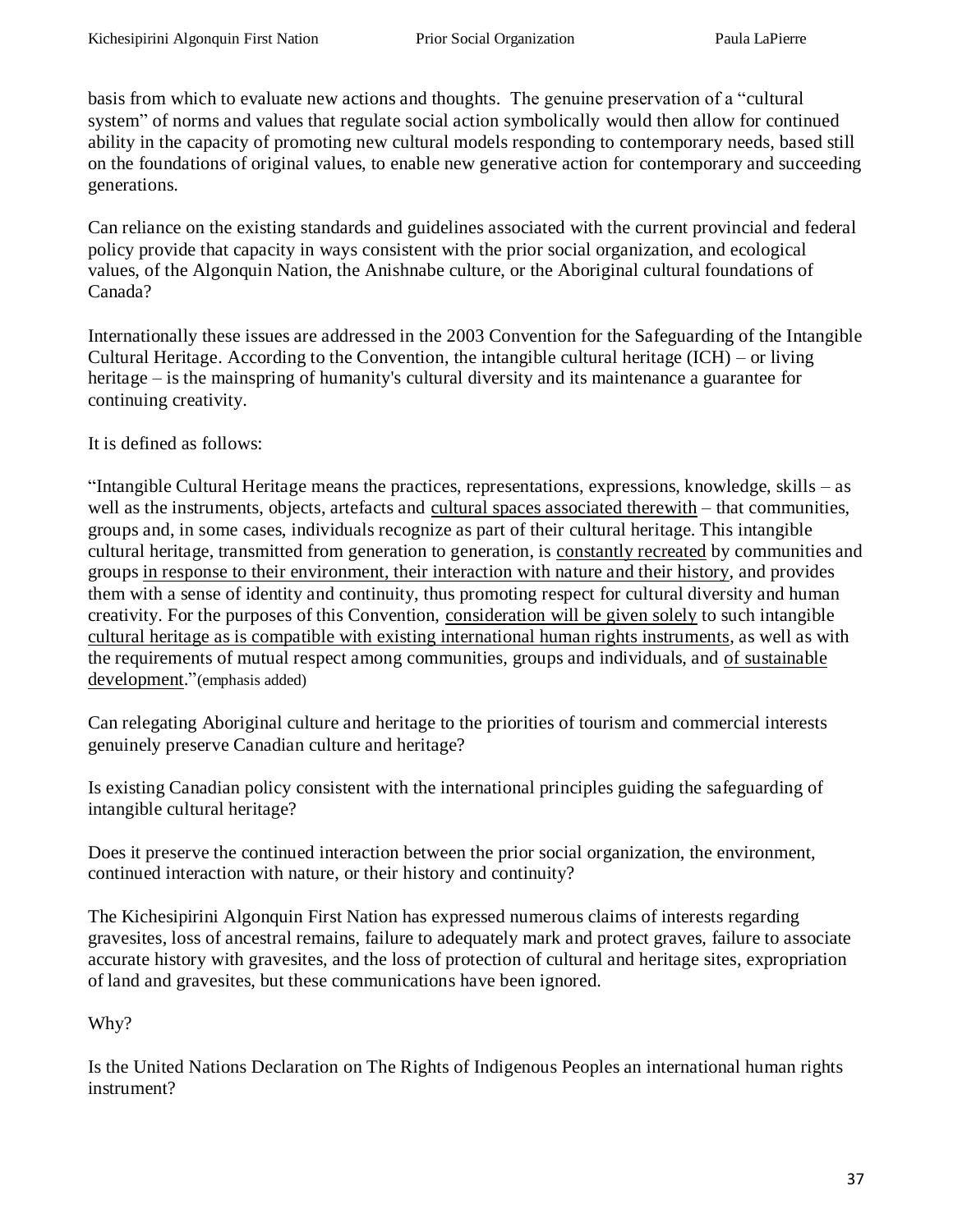basis from which to evaluate new actions and thoughts. The genuine preservation of a "cultural" system" of norms and values that regulate social action symbolically would then allow for continued ability in the capacity of promoting new [cultural models](http://en.wikipedia.org/wiki/Schemata_theory) responding to contemporary needs, based still on the foundations of original values, to enable new [generative action](http://en.wikipedia.org/wiki/Generative_actor) for contemporary and succeeding generations.

Can reliance on the existing standards and guidelines associated with the current provincial and federal policy provide that capacity in ways consistent with the prior social organization, and ecological values, of the Algonquin Nation, the Anishnabe culture, or the Aboriginal cultural foundations of Canada?

Internationally these issues are addressed in the 2003 Convention for the Safeguarding of the Intangible Cultural Heritage. According to the Convention, the intangible cultural heritage (ICH) – or living heritage – is the mainspring of humanity's [cultural diversity](http://en.wikipedia.org/wiki/Cultural_diversity) and its maintenance a guarantee for continuing creativity.

#### It is defined as follows:

―Intangible Cultural Heritage means the practices, representations, expressions, knowledge, skills – as well as the instruments, objects, artefacts and cultural spaces associated therewith – that communities, groups and, in some cases, individuals recognize as part of their cultural heritage. This intangible cultural heritage, transmitted from generation to generation, is constantly recreated by communities and groups in response to their environment, their interaction with nature and their history, and provides them with a sense of identity and continuity, thus promoting respect for cultural diversity and human creativity. For the purposes of this Convention, consideration will be given solely to such intangible cultural heritage as is compatible with existing international human rights instruments, as well as with the requirements of mutual respect among communities, groups and individuals, and of sustainable development." (emphasis added)

Can relegating Aboriginal culture and heritage to the priorities of tourism and commercial interests genuinely preserve Canadian culture and heritage?

Is existing Canadian policy consistent with the international principles guiding the safeguarding of intangible cultural heritage?

Does it preserve the continued interaction between the prior social organization, the environment, continued interaction with nature, or their history and continuity?

The Kichesipirini Algonquin First Nation has expressed numerous claims of interests regarding gravesites, loss of ancestral remains, failure to adequately mark and protect graves, failure to associate accurate history with gravesites, and the loss of protection of cultural and heritage sites, expropriation of land and gravesites, but these communications have been ignored.

#### Why?

Is the United Nations Declaration on The Rights of Indigenous Peoples an international human rights instrument?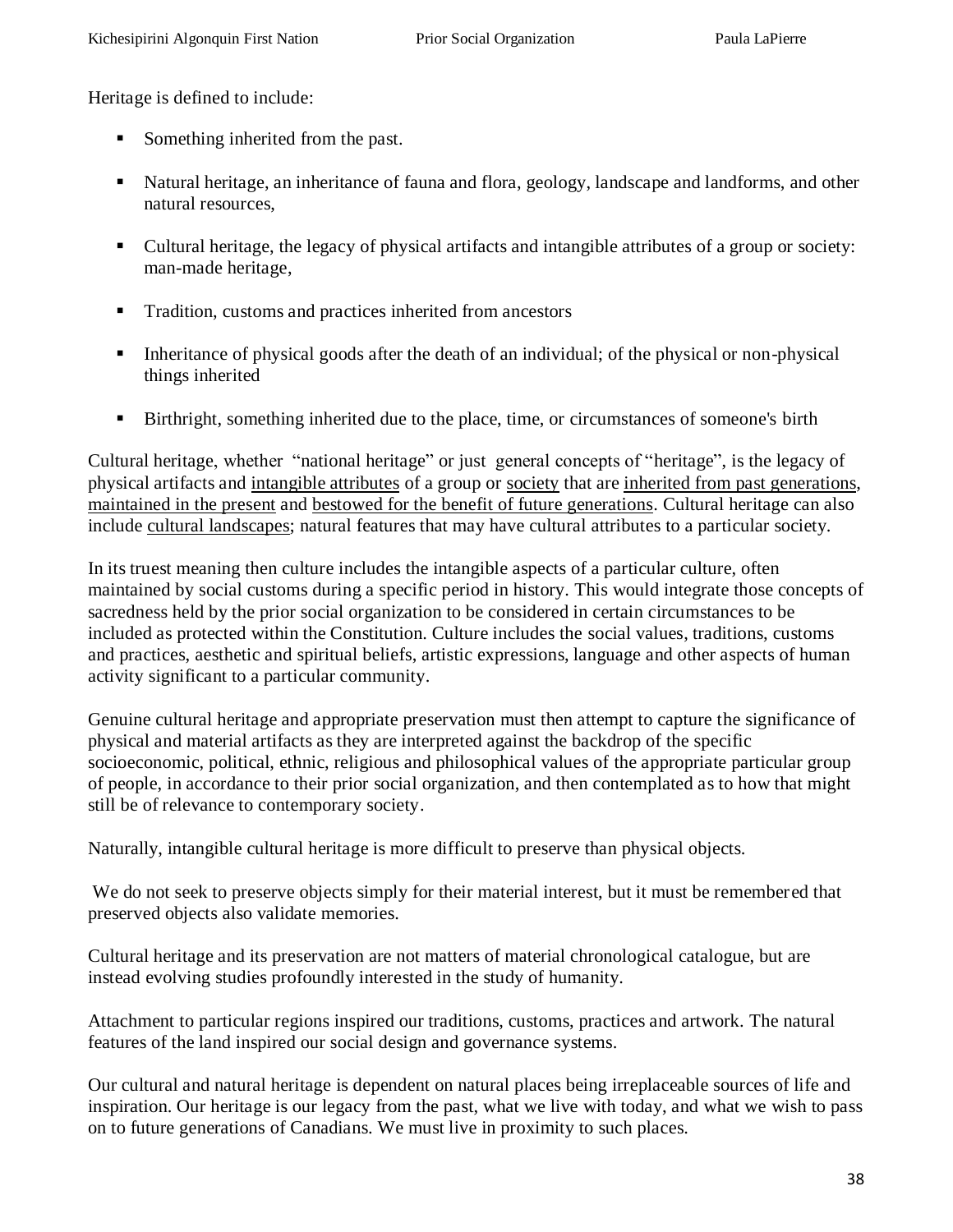Heritage is defined to include:

- Something inherited from the past.
- [Natural heritage,](http://en.wikipedia.org/wiki/Natural_heritage) an inheritance of fauna and flora, geology, landscape and landforms, and other natural resources,
- [Cultural heritage,](http://en.wikipedia.org/wiki/Cultural_heritage) the legacy of physical artifacts and intangible attributes of a group or society: man-made heritage,
- [Tradition,](http://en.wikipedia.org/wiki/Tradition) customs and practices inherited from ancestors
- [Inheritance](http://en.wikipedia.org/wiki/Inheritance) of physical goods after the death of an individual; of the physical or non-physical things inherited
- Birthright, something inherited due to the place, time, or circumstances of someone's [birth](http://en.wikipedia.org/wiki/Birth)

Cultural heritage, whether "national heritage" or just general concepts of "heritage", is the legacy of physical artifacts and intangible attributes of a group or [society](http://en.wikipedia.org/wiki/Society) that are inherited from past generations, maintained in the present and bestowed for the benefit of future generations. Cultural heritage can also include cultural landscapes; natural features that may have cultural attributes to a particular society.

In its truest meaning then culture includes the [intangible](http://en.wikipedia.org/wiki/Intangible_Cultural_Heritage) aspects of a particular culture, often maintained by social customs during a specific period in history. This would integrate those concepts of sacredness held by the prior social organization to be considered in certain circumstances to be included as protected within the Constitution. Culture includes the social values, [traditions,](http://en.wikipedia.org/wiki/Tradition) [customs](http://en.wikipedia.org/wiki/Convention_(norm)) and practices, [aesthetic](http://en.wikipedia.org/wiki/Aesthetic) and [spiritual](http://en.wikipedia.org/wiki/Spirituality) beliefs, [artistic expressions](http://en.wikipedia.org/wiki/Artistic_expression), [language](http://en.wikipedia.org/wiki/Language) and other aspects of human activity significant to a particular community.

Genuine cultural heritage and appropriate preservation must then attempt to capture the significance of physical and material artifacts as they are interpreted against the backdrop of the specific socioeconomic, political, ethnic, religious and philosophical values of the appropriate particular group of people, in accordance to their prior social organization, and then contemplated as to how that might still be of relevance to contemporary society.

Naturally, intangible cultural heritage is more difficult to preserve than physical objects.

We do not seek to preserve objects simply for their material interest, but it must be remembered that preserved objects also validate [memories.](http://en.wikipedia.org/wiki/Memory)

Cultural heritage and its preservation are not matters of material chronological catalogue, but are instead evolving studies profoundly interested in the study of humanity.

Attachment to particular regions inspired our traditions, customs, practices and artwork. The natural features of the land inspired our social design and governance systems.

Our cultural and natural heritage is dependent on natural places being irreplaceable sources of life and inspiration. Our heritage is our legacy from the past, what we live with today, and what we wish to pass on to future generations of Canadians. We must live in proximity to such places.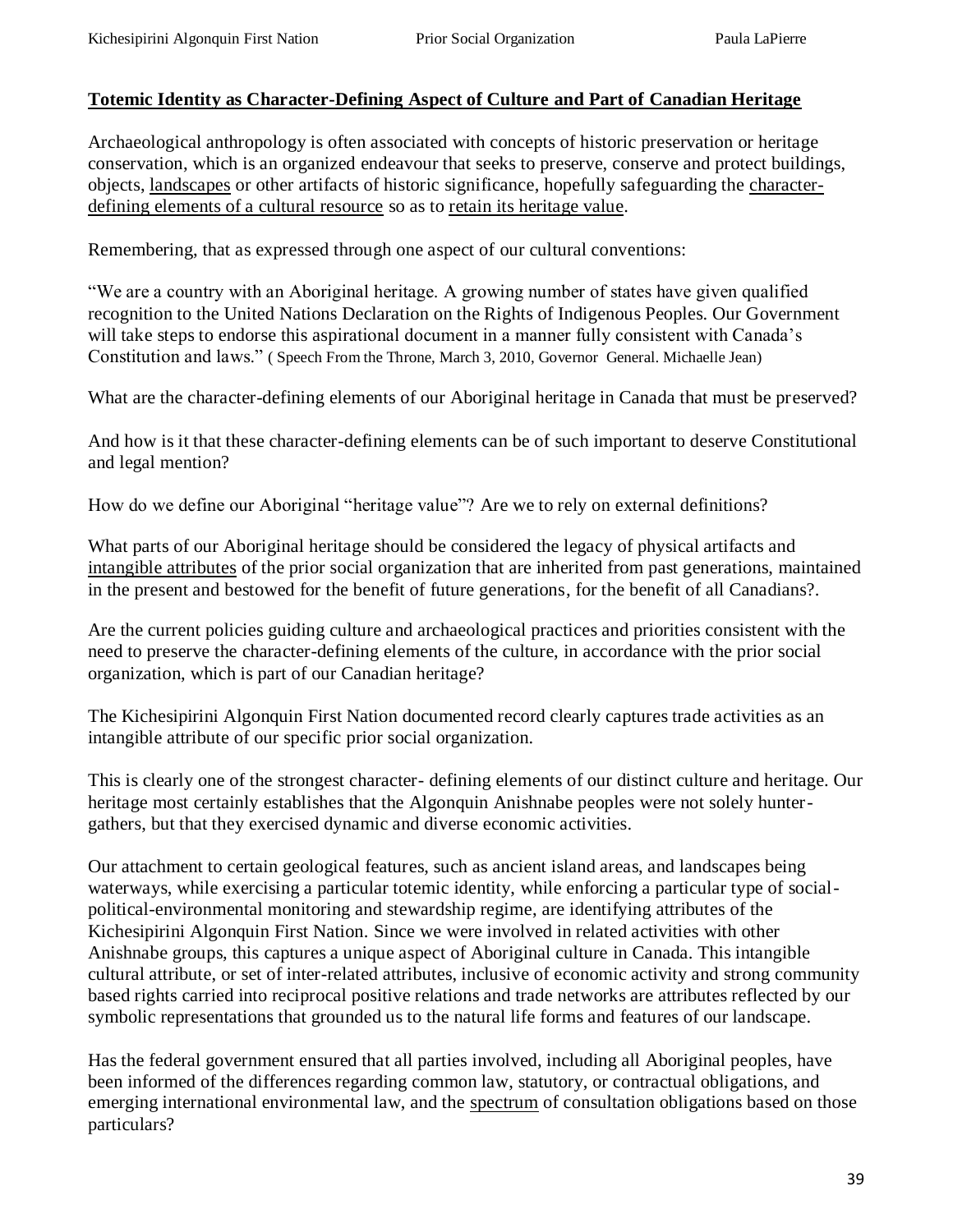#### **Totemic Identity as Character-Defining Aspect of Culture and Part of Canadian Heritage**

Archaeological anthropology is often associated with concepts of historic preservation or heritage conservation, which is an organized endeavour that seeks to preserve, conserve and protect buildings, objects, landscapes or other artifacts of historic significance, hopefully safeguarding the characterdefining elements of a cultural resource so as to retain its heritage value.

Remembering, that as expressed through one aspect of our cultural conventions:

―We are a country with an Aboriginal heritage. A growing number of states have given qualified recognition to the United Nations Declaration on the Rights of Indigenous Peoples. Our Government will take steps to endorse this aspirational document in a manner fully consistent with Canada's Constitution and laws.‖ ( Speech From the Throne, March 3, 2010, Governor General. Michaelle Jean)

What are the character-defining elements of our Aboriginal heritage in Canada that must be preserved?

And how is it that these character-defining elements can be of such important to deserve Constitutional and legal mention?

How do we define our Aboriginal "heritage value"? Are we to rely on external definitions?

What parts of our Aboriginal heritage should be considered the legacy of physical artifacts and intangible attributes of the prior social organization that are inherited from past generations, maintained in the present and bestowed for the benefit of future generations, for the benefit of all Canadians?.

Are the current policies guiding culture and archaeological practices and priorities consistent with the need to preserve the character-defining elements of the culture, in accordance with the prior social organization, which is part of our Canadian heritage?

The Kichesipirini Algonquin First Nation documented record clearly captures trade activities as an intangible attribute of our specific prior social organization.

This is clearly one of the strongest character- defining elements of our distinct culture and heritage. Our heritage most certainly establishes that the Algonquin Anishnabe peoples were not solely huntergathers, but that they exercised dynamic and diverse economic activities.

Our attachment to certain geological features, such as ancient island areas, and landscapes being waterways, while exercising a particular totemic identity, while enforcing a particular type of socialpolitical-environmental monitoring and stewardship regime, are identifying attributes of the Kichesipirini Algonquin First Nation. Since we were involved in related activities with other Anishnabe groups, this captures a unique aspect of Aboriginal culture in Canada. This intangible cultural attribute, or set of inter-related attributes, inclusive of economic activity and strong community based rights carried into reciprocal positive relations and trade networks are attributes reflected by our symbolic representations that grounded us to the natural life forms and features of our landscape.

Has the federal government ensured that all parties involved, including all Aboriginal peoples, have been informed of the differences regarding common law, statutory, or contractual obligations, and emerging international environmental law, and the spectrum of consultation obligations based on those particulars?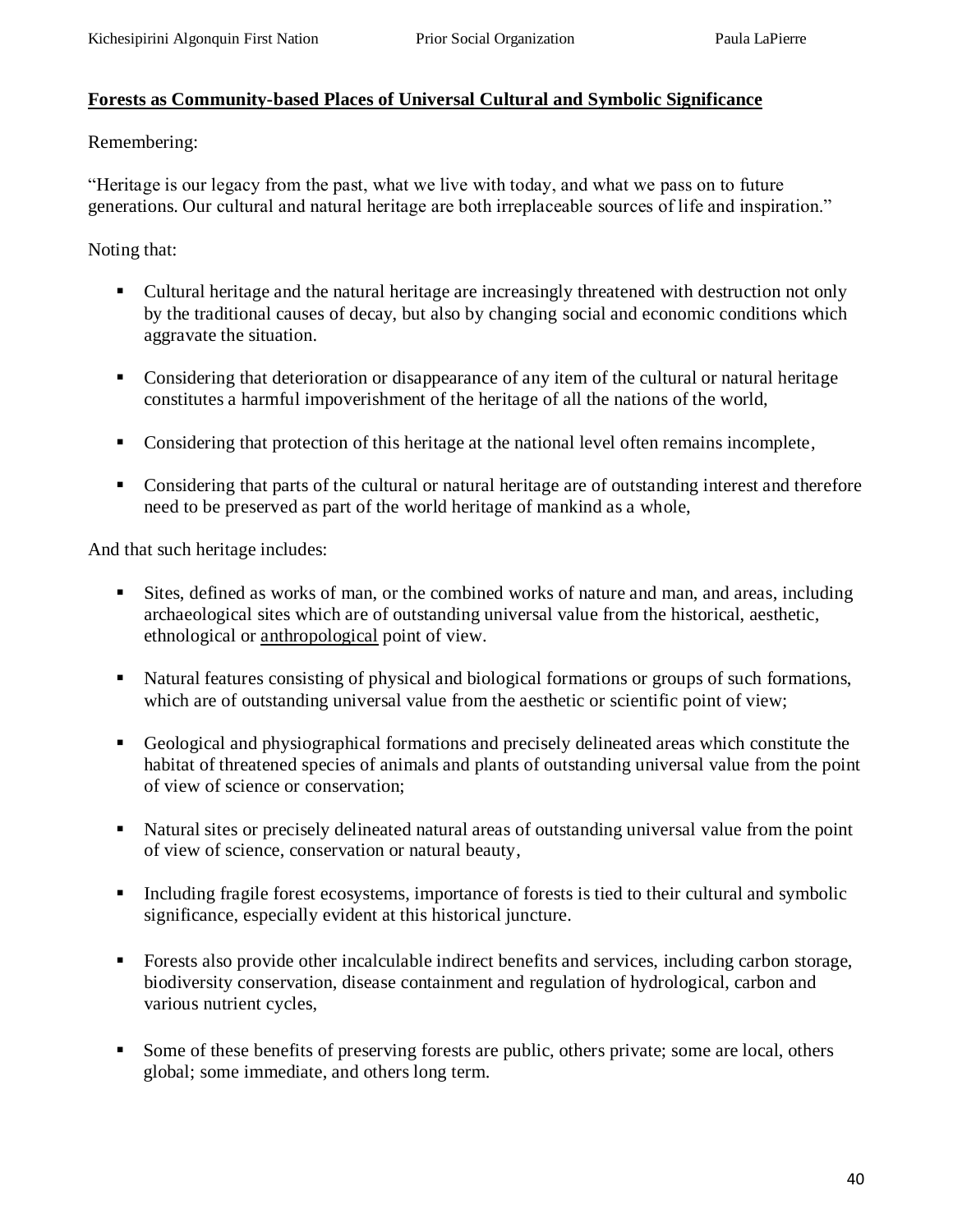#### **Forests as Community-based Places of Universal Cultural and Symbolic Significance**

#### Remembering:

―Heritage is our legacy from the past, what we live with today, and what we pass on to future generations. Our cultural and natural heritage are both irreplaceable sources of life and inspiration."

## Noting that:

- Cultural heritage and the natural heritage are increasingly threatened with destruction not only by the traditional causes of decay, but also by changing social and economic conditions which aggravate the situation.
- **•** Considering that deterioration or disappearance of any item of the cultural or natural heritage constitutes a harmful impoverishment of the heritage of all the nations of the world,
- Considering that protection of this heritage at the national level often remains incomplete,
- Considering that parts of the cultural or natural heritage are of outstanding interest and therefore need to be preserved as part of the world heritage of mankind as a whole,

And that such heritage includes:

- Sites, defined as works of man, or the combined works of nature and man, and areas, including archaeological sites which are of outstanding universal value from the historical, aesthetic, ethnological or anthropological point of view.
- Natural features consisting of physical and biological formations or groups of such formations, which are of outstanding universal value from the aesthetic or scientific point of view;
- Geological and physiographical formations and precisely delineated areas which constitute the habitat of threatened species of animals and plants of outstanding universal value from the point of view of science or conservation;
- Natural sites or precisely delineated natural areas of outstanding universal value from the point of view of science, conservation or natural beauty,
- Including fragile forest ecosystems, importance of forests is tied to their cultural and symbolic significance, especially evident at this historical juncture.
- Forests also provide other incalculable indirect benefits and services, including carbon storage, biodiversity conservation, disease containment and regulation of hydrological, carbon and various nutrient cycles,
- Some of these benefits of preserving forests are public, others private; some are local, others global; some immediate, and others long term.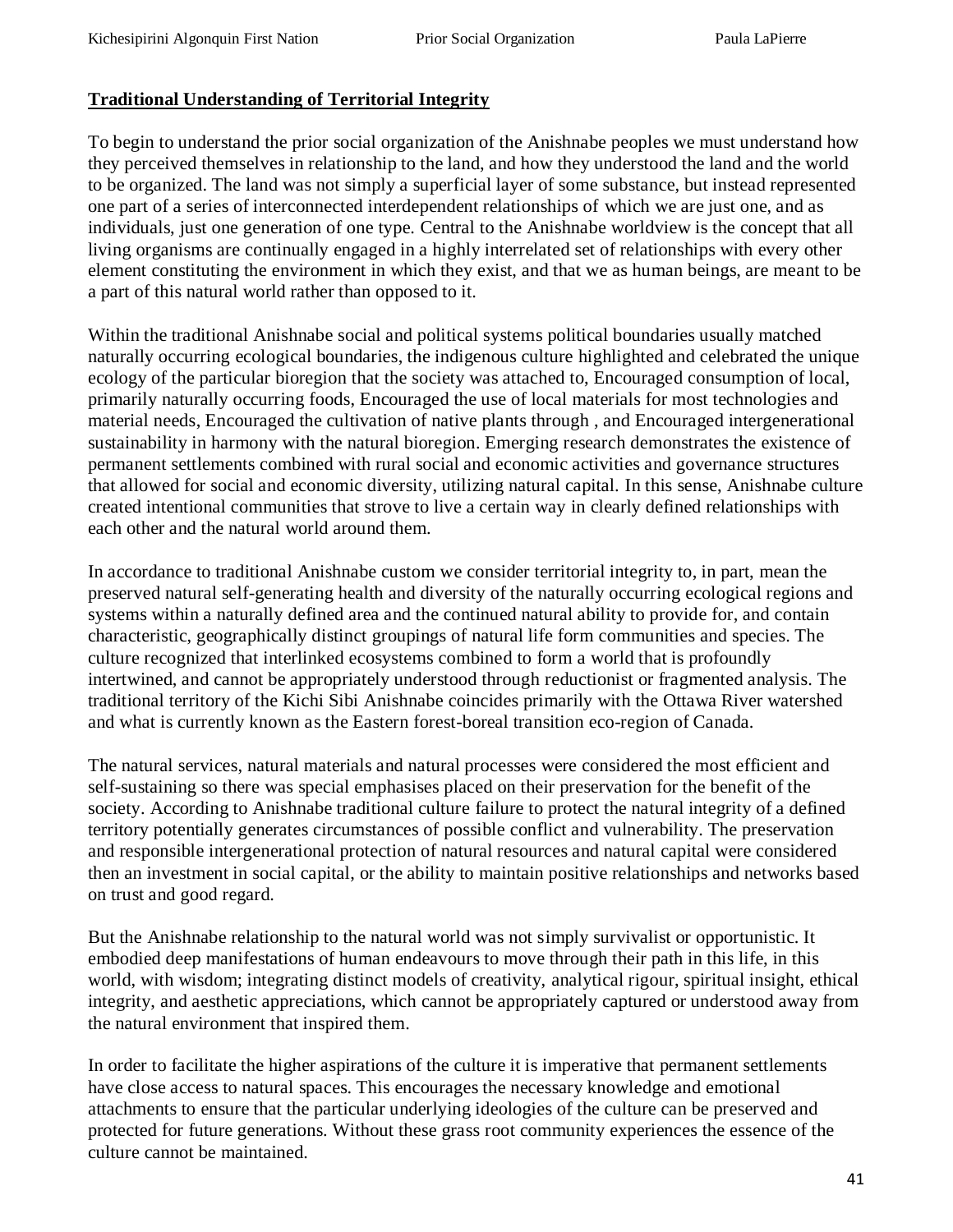#### **Traditional Understanding of Territorial Integrity**

To begin to understand the prior social organization of the Anishnabe peoples we must understand how they perceived themselves in relationship to the land, and how they understood the land and the world to be organized. The land was not simply a superficial layer of some substance, but instead represented one part of a series of interconnected interdependent relationships of which we are just one, and as individuals, just one generation of one type. Central to the Anishnabe worldview is the concept that all [living organisms](http://en.wikipedia.org/wiki/Living_organism) are continually engaged in a highly interrelated set of relationships with every other element constituting the [environment](http://en.wikipedia.org/wiki/Environment_(biophysical)) in which they exist, and that we as human beings, are meant to be a part of this natural world rather than opposed to it.

Within the traditional Anishnabe social and political systems political boundaries usually matched naturally occurring ecological boundaries, the indigenous culture highlighted and celebrated the unique [ecology](http://en.wikipedia.org/wiki/Ecology) of the particular bioregion that the society was attached to, Encouraged consumption of [local,](http://en.wikipedia.org/wiki/Local_food)  primarily [naturally occurring foods,](http://en.wikipedia.org/wiki/Local_food) Encouraged the use of local [materials](http://en.wikipedia.org/wiki/Natural_resource) for most technologies and material needs, Encouraged the cultivation of [native plants](http://en.wikipedia.org/wiki/Indigenous_(ecology)) through , and Encouraged intergenerational [sustainability](http://en.wikipedia.org/wiki/Sustainability) in harmony with the natural bioregion. Emerging research demonstrates the existence of permanent settlements combined with rural social and economic activities and governance structures that allowed for social and economic diversity, utilizing natural capital. In this sense, Anishnabe culture created intentional communities that strove to live a certain way in clearly defined relationships with each other and the natural world around them.

In accordance to traditional Anishnabe custom we consider territorial integrity to, in part, mean the preserved natural self-generating health and diversity of the naturally occurring ecological regions and systems within a naturally defined area and the continued natural ability to provide for, and contain characteristic, geographically distinct groupings of natural life form [communities](http://en.wikipedia.org/wiki/Community_(ecology)) and [species.](http://en.wikipedia.org/wiki/Species) The culture recognized that interlinked ecosystems combined to form a world that is profoundly intertwined, and cannot be appropriately understood through reductionist or fragmented analysis. The traditional territory of the Kichi Sibi Anishnabe coincides primarily with the Ottawa River watershed and what is currently known as the Eastern forest-boreal transition eco-region of Canada.

The natural services, natural materials and natural processes were considered the most efficient and self-sustaining so there was special emphasises placed on their preservation for the benefit of the society. According to Anishnabe traditional culture failure to protect the natural integrity of a defined territory potentially generates circumstances of possible conflict and vulnerability. The preservation and responsible intergenerational protection of natural resources and natural capital were considered then an investment in social capital, or the ability to maintain positive relationships and networks based on trust and good regard.

But the Anishnabe relationship to the natural world was not simply survivalist or opportunistic. It embodied deep manifestations of human endeavours to move through their path in this life, in this world, with wisdom; integrating distinct models of creativity, analytical rigour, spiritual insight, ethical integrity, and aesthetic appreciations, which cannot be appropriately captured or understood away from the natural environment that inspired them.

In order to facilitate the higher aspirations of the culture it is imperative that permanent settlements have close access to natural spaces. This encourages the necessary knowledge and emotional attachments to ensure that the particular underlying ideologies of the culture can be preserved and protected for future generations. Without these grass root community experiences the essence of the culture cannot be maintained.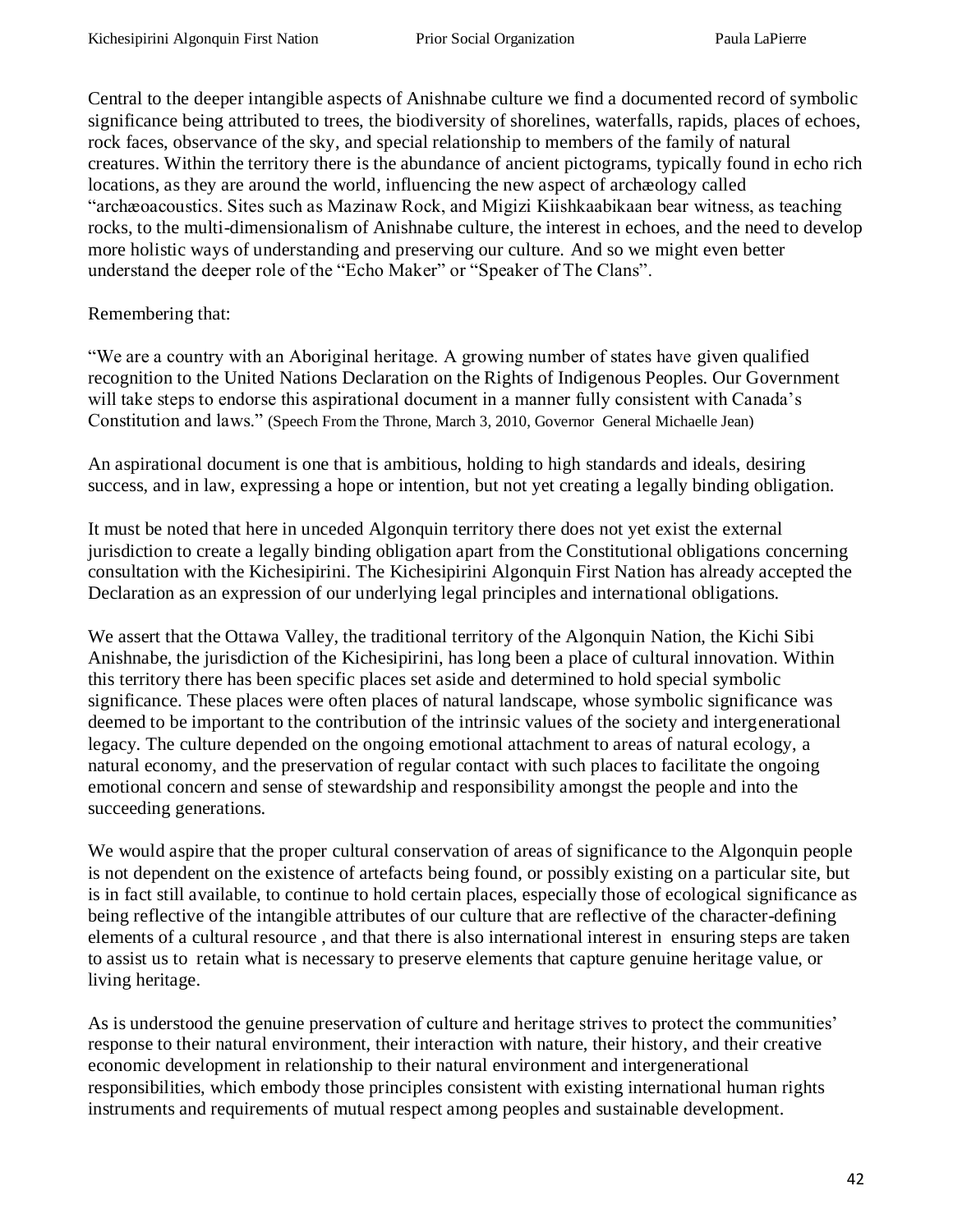Central to the deeper intangible aspects of Anishnabe culture we find a documented record of symbolic significance being attributed to trees, the biodiversity of shorelines, waterfalls, rapids, places of echoes, rock faces, observance of the sky, and special relationship to members of the family of natural creatures. Within the territory there is the abundance of ancient pictograms, typically found in echo rich locations, as they are around the world, influencing the new aspect of archæology called ―archæoacoustics. Sites such as Mazinaw Rock, and Migizi Kiishkaabikaan bear witness, as teaching rocks, to the multi-dimensionalism of Anishnabe culture, the interest in echoes, and the need to develop more holistic ways of understanding and preserving our culture. And so we might even better understand the deeper role of the "Echo Maker" or "Speaker of The Clans".

Remembering that:

―We are a country with an Aboriginal heritage. A growing number of states have given qualified recognition to the United Nations Declaration on the Rights of Indigenous Peoples. Our Government will take steps to endorse this aspirational document in a manner fully consistent with Canada's Constitution and laws.‖ (Speech From the Throne, March 3, 2010, Governor General Michaelle Jean)

An aspirational document is one that is [ambitious,](http://en.wiktionary.org/wiki/ambitious) holding to high standards and ideals, desiring [success,](http://en.wiktionary.org/wiki/success) and in law, expressing a hope or intention, but not yet creating a legally binding obligation.

It must be noted that here in unceded Algonquin territory there does not yet exist the external jurisdiction to create a legally binding obligation apart from the Constitutional obligations concerning consultation with the Kichesipirini. The Kichesipirini Algonquin First Nation has already accepted the Declaration as an expression of our underlying legal principles and international obligations.

We assert that the Ottawa Valley, the traditional territory of the Algonquin Nation, the Kichi Sibi Anishnabe, the jurisdiction of the Kichesipirini, has long been a place of cultural innovation. Within this territory there has been specific places set aside and determined to hold special symbolic significance. These places were often places of natural landscape, whose symbolic significance was deemed to be important to the contribution of the intrinsic values of the society and intergenerational legacy. The culture depended on the ongoing emotional attachment to areas of natural ecology, a natural economy, and the preservation of regular contact with such places to facilitate the ongoing emotional concern and sense of stewardship and responsibility amongst the people and into the succeeding generations.

We would aspire that the proper cultural conservation of areas of significance to the Algonquin people is not dependent on the existence of artefacts being found, or possibly existing on a particular site, but is in fact still available, to continue to hold certain places, especially those of ecological significance as being reflective of the intangible attributes of our culture that are reflective of the character-defining elements of a cultural resource , and that there is also international interest in ensuring steps are taken to assist us to retain what is necessary to preserve elements that capture genuine heritage value, or living heritage.

As is understood the genuine preservation of culture and heritage strives to protect the communities' response to their natural environment, their interaction with nature, their history, and their creative economic development in relationship to their natural environment and intergenerational responsibilities, which embody those principles consistent with existing international human rights instruments and requirements of mutual respect among peoples and sustainable development.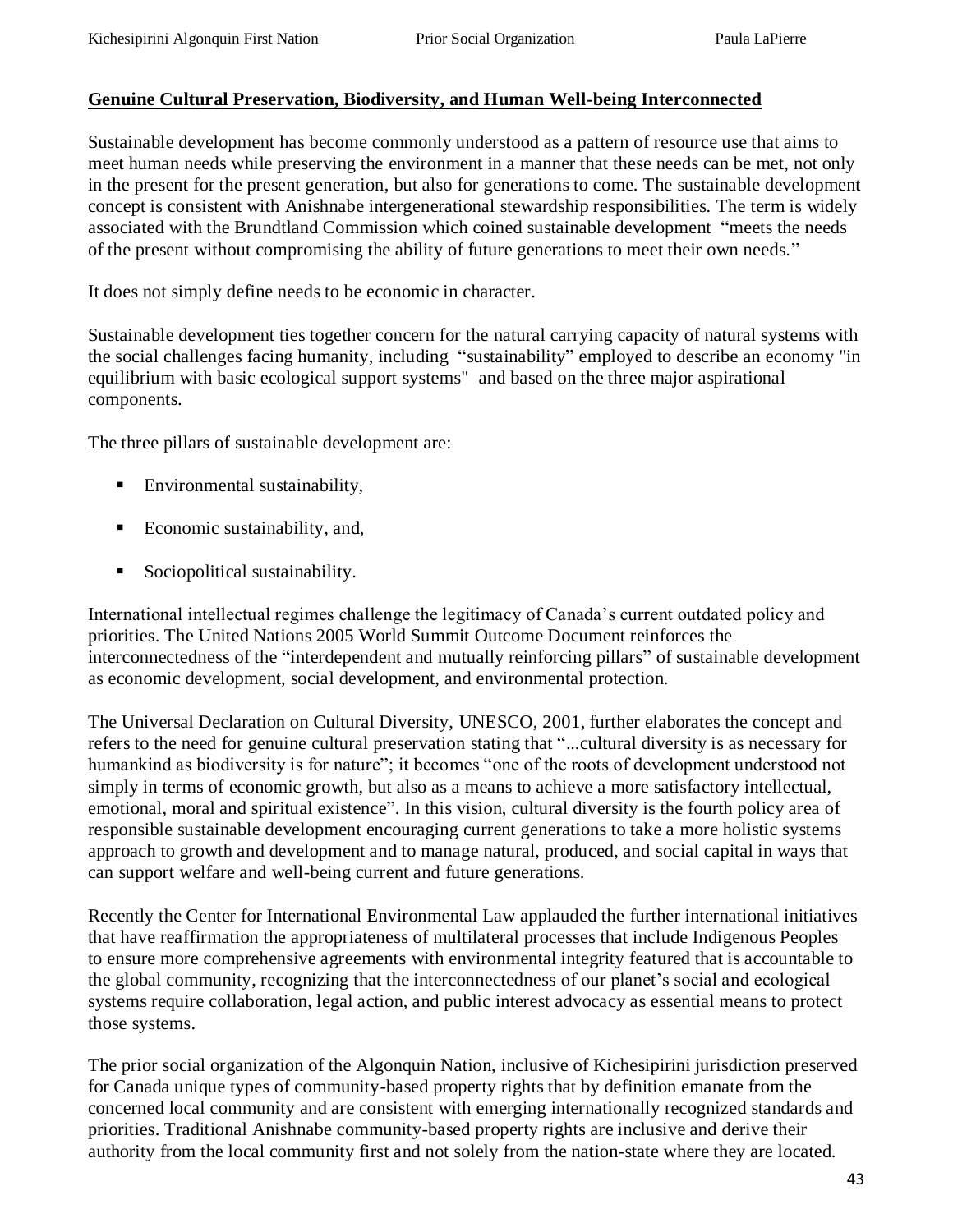#### **Genuine Cultural Preservation, Biodiversity, and Human Well-being Interconnected**

Sustainable development has become commonly understood as a pattern of resource use that aims to meet human needs while preserving the [environment](http://en.wikipedia.org/wiki/Environment_(biophysical)) in a manner that these needs can be met, not only in the present for the present generation, but also for generations to come. The sustainable development concept is consistent with Anishnabe intergenerational stewardship responsibilities. The term is widely associated with the [Brundtland Commission](http://en.wikipedia.org/wiki/Brundtland_Commission) which coined sustainable [development](http://en.wikipedia.org/wiki/Economic_development) "meets the needs of the present without compromising the ability of future generations to meet their own needs."

It does not simply define needs to be economic in character.

Sustainable development ties together concern for the natural [carrying capacity](http://en.wikipedia.org/wiki/Carrying_capacity) of [natural systems](http://en.wikipedia.org/wiki/Systems_ecology) with the social challenges facing humanity, including "sustainability" employed to describe an [economy](http://en.wikipedia.org/wiki/Economy) "in equilibrium with basic ecological support systems" and based on the three major aspirational components.

The three pillars of sustainable development are:

- Environmental [sustainability,](http://en.wikipedia.org/wiki/Sustainability)
- [Economic](http://en.wikipedia.org/wiki/Economics) sustainability, and,
- Sociopolitical sustainability.

International intellectual regimes challenge the legitimacy of Canada's current outdated policy and priorities. The United Nations [2005 World Summit](http://en.wikipedia.org/wiki/2005_World_Summit) Outcome Document reinforces the interconnectedness of the "interdependent and mutually reinforcing pillars" of sustainable development as economic development, social development, and environmental protection.

The Universal Declaration on Cultural Diversity, [UNESCO,](http://en.wikipedia.org/wiki/UNESCO) 2001, further elaborates the concept and refers to the need for genuine cultural preservation stating that "...cultural diversity is as necessary for humankind as biodiversity is for nature"; it becomes "one of the roots of development understood not simply in terms of [economic growth,](http://en.wikipedia.org/wiki/Economic_growth) but also as a means to achieve a more satisfactory intellectual, emotional, moral and spiritual existence". In this vision, cultural diversity is the fourth policy area of responsible sustainable development encouraging current generations to take a more holistic systems approach to growth and development and to manage natural, produced, and social capital in ways that can support welfare and well-being current and future generations.

Recently the Center for International Environmental Law applauded the further international initiatives that have reaffirmation the appropriateness of multilateral processes that include Indigenous Peoples to ensure more comprehensive agreements with environmental integrity featured that is accountable to the global community, recognizing that the interconnectedness of our planet's social and ecological systems require collaboration, legal action, and public interest advocacy as essential means to protect those systems.

The prior social organization of the Algonquin Nation, inclusive of Kichesipirini jurisdiction preserved for Canada unique types of community-based property rights that by definition emanate from the concerned local community and are consistent with emerging internationally recognized standards and priorities. Traditional Anishnabe community-based property rights are inclusive and derive their authority from the local community first and not solely from the nation-state where they are located.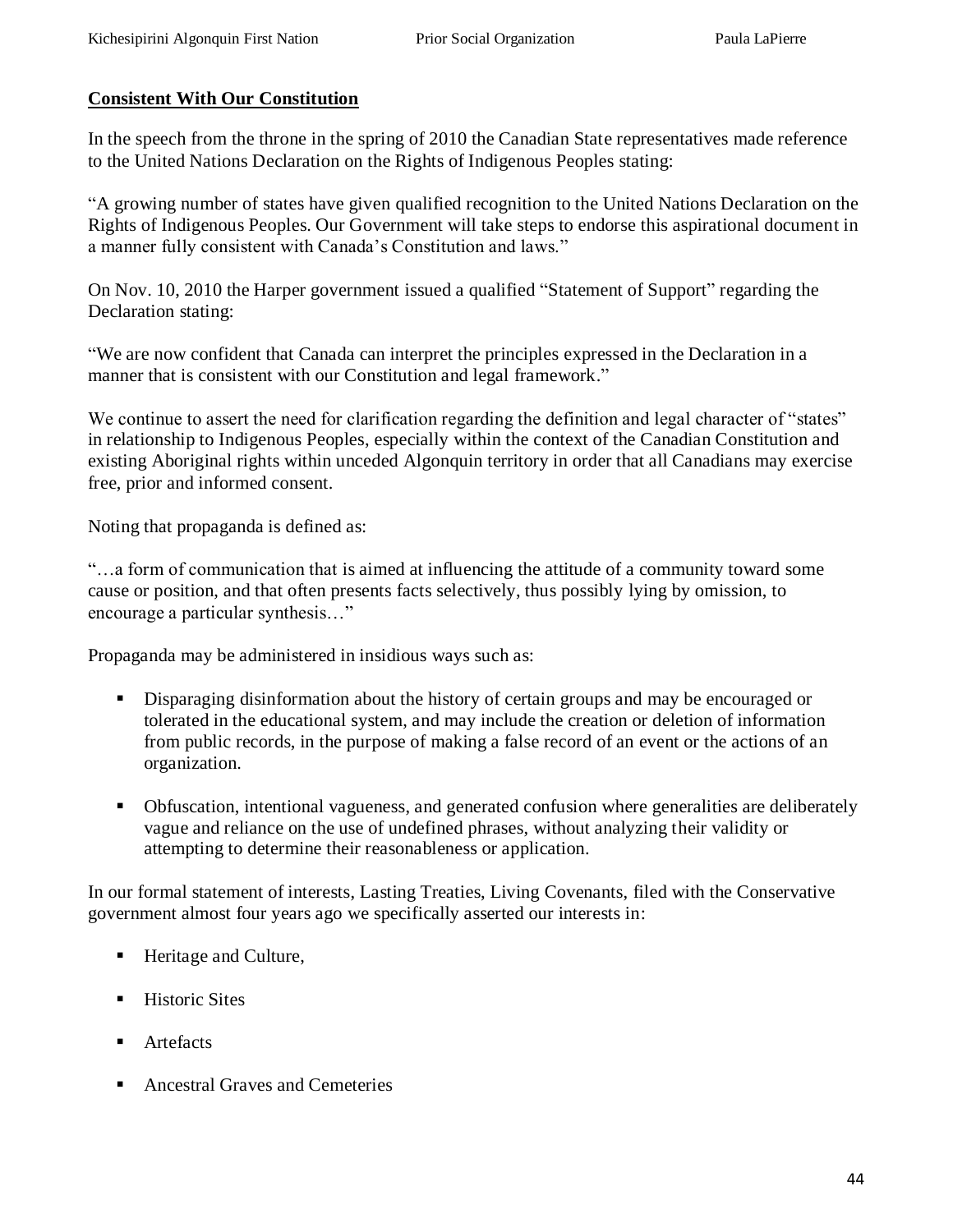#### **Consistent With Our Constitution**

In the speech from the throne in the spring of 2010 the Canadian State representatives made reference to the United Nations Declaration on the Rights of Indigenous Peoples stating:

―A growing number of states have given qualified recognition to the United Nations Declaration on the Rights of Indigenous Peoples. Our Government will take steps to endorse this aspirational document in a manner fully consistent with Canada's Constitution and laws."

On Nov. 10, 2010 the Harper government issued a qualified "Statement of Support" regarding the Declaration stating:

―We are now confident that Canada can interpret the principles expressed in the Declaration in a manner that is consistent with our Constitution and legal framework."

We continue to assert the need for clarification regarding the definition and legal character of "states" in relationship to Indigenous Peoples, especially within the context of the Canadian Constitution and existing Aboriginal rights within unceded Algonquin territory in order that all Canadians may exercise free, prior and informed consent.

Noting that propaganda is defined as:

―…a form of communication that is aimed at [influencing](http://en.wikipedia.org/wiki/Social_influence) the attitude of a community toward some cause or position, and that often presents facts selectively, thus possibly [lying by omission,](http://en.wikipedia.org/wiki/Lie#Lying_by_omission) to encourage a particular synthesis..."

Propaganda may be administered in insidious ways such as:

- Disparaging [disinformation](http://en.wikipedia.org/wiki/Disinformation) about the history of certain groups and may be encouraged or tolerated in the educational system, and may include the creation or deletion of information from public records, in the purpose of making a false record of an event or the actions of an organization.
- [Obfuscation,](http://en.wikipedia.org/wiki/Obfuscation) intentional vagueness, and generated confusion where generalities are deliberately vague and reliance on the use of undefined phrases, without analyzing their validity or attempting to determine their reasonableness or application.

In our formal statement of interests, Lasting Treaties, Living Covenants, filed with the Conservative government almost four years ago we specifically asserted our interests in:

- Heritage and Culture,
- **-** Historic Sites
- **Artefacts**
- Ancestral Graves and Cemeteries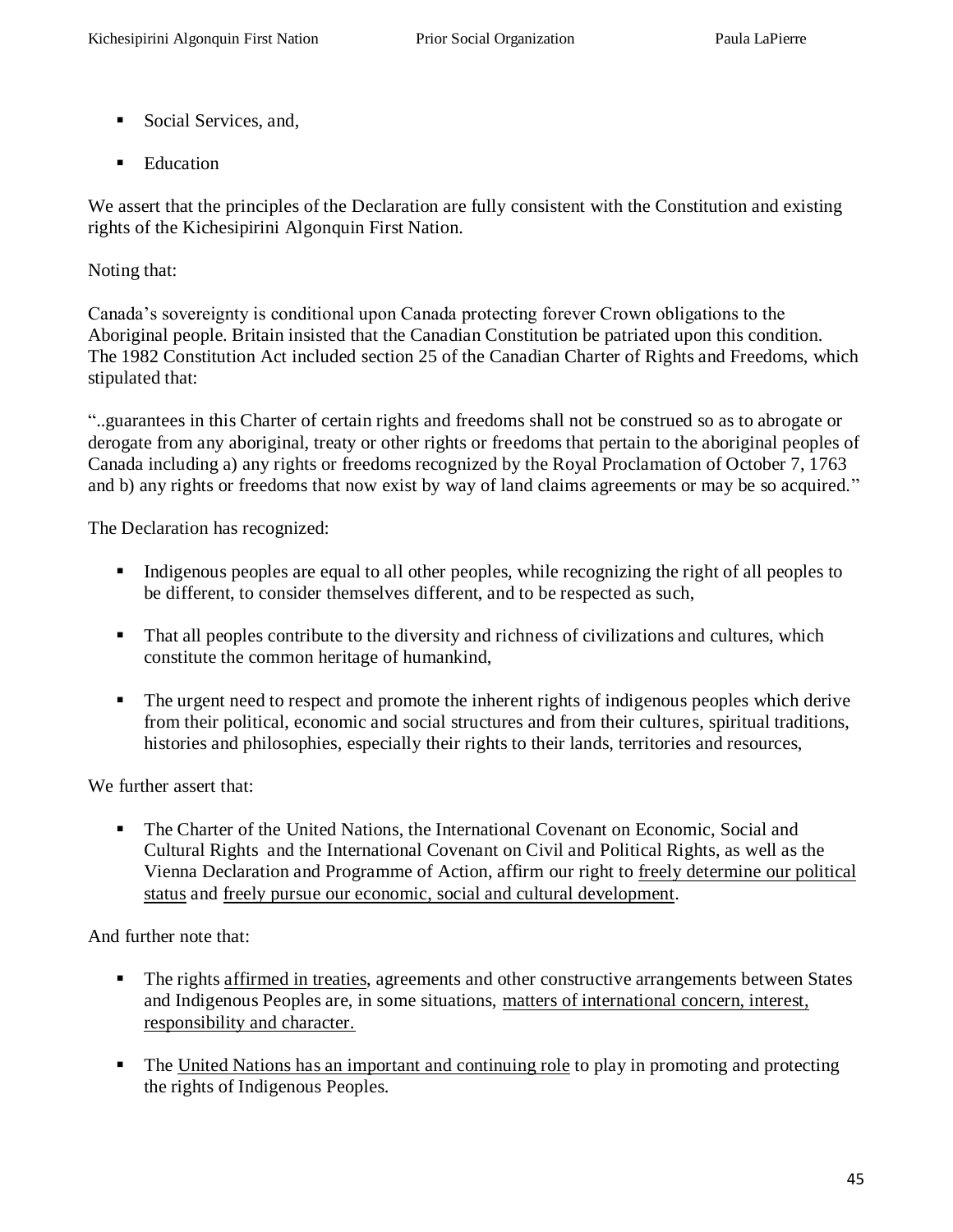- Social Services, and,
- **Education**

We assert that the principles of the Declaration are fully consistent with the Constitution and existing rights of the Kichesipirini Algonquin First Nation.

Noting that:

Canada's sovereignty is conditional upon Canada protecting forever Crown obligations to the Aboriginal people. Britain insisted that the Canadian Constitution be patriated upon this condition. The 1982 Constitution Act included section 25 of the Canadian Charter of Rights and Freedoms, which stipulated that:

―..guarantees in this Charter of certain rights and freedoms shall not be construed so as to abrogate or derogate from any aboriginal, treaty or other rights or freedoms that pertain to the aboriginal peoples of Canada including a) any rights or freedoms recognized by the Royal Proclamation of October 7, 1763 and b) any rights or freedoms that now exist by way of land claims agreements or may be so acquired."

The Declaration has recognized:

- Indigenous peoples are equal to all other peoples, while recognizing the right of all peoples to be different, to consider themselves different, and to be respected as such,
- That all peoples contribute to the diversity and richness of civilizations and cultures, which constitute the common heritage of humankind,
- The urgent need to respect and promote the inherent rights of indigenous peoples which derive from their political, economic and social structures and from their cultures, spiritual traditions, histories and philosophies, especially their rights to their lands, territories and resources,

We further assert that:

• The Charter of the United Nations, the International Covenant on Economic, Social and Cultural Rights and the International Covenant on Civil and Political Rights, as well as the Vienna Declaration and Programme of Action, affirm our right to freely determine our political status and freely pursue our economic, social and cultural development.

And further note that:

- The rights affirmed in treaties, agreements and other constructive arrangements between States and Indigenous Peoples are, in some situations, matters of international concern, interest, responsibility and character.
- The United Nations has an important and continuing role to play in promoting and protecting the rights of Indigenous Peoples.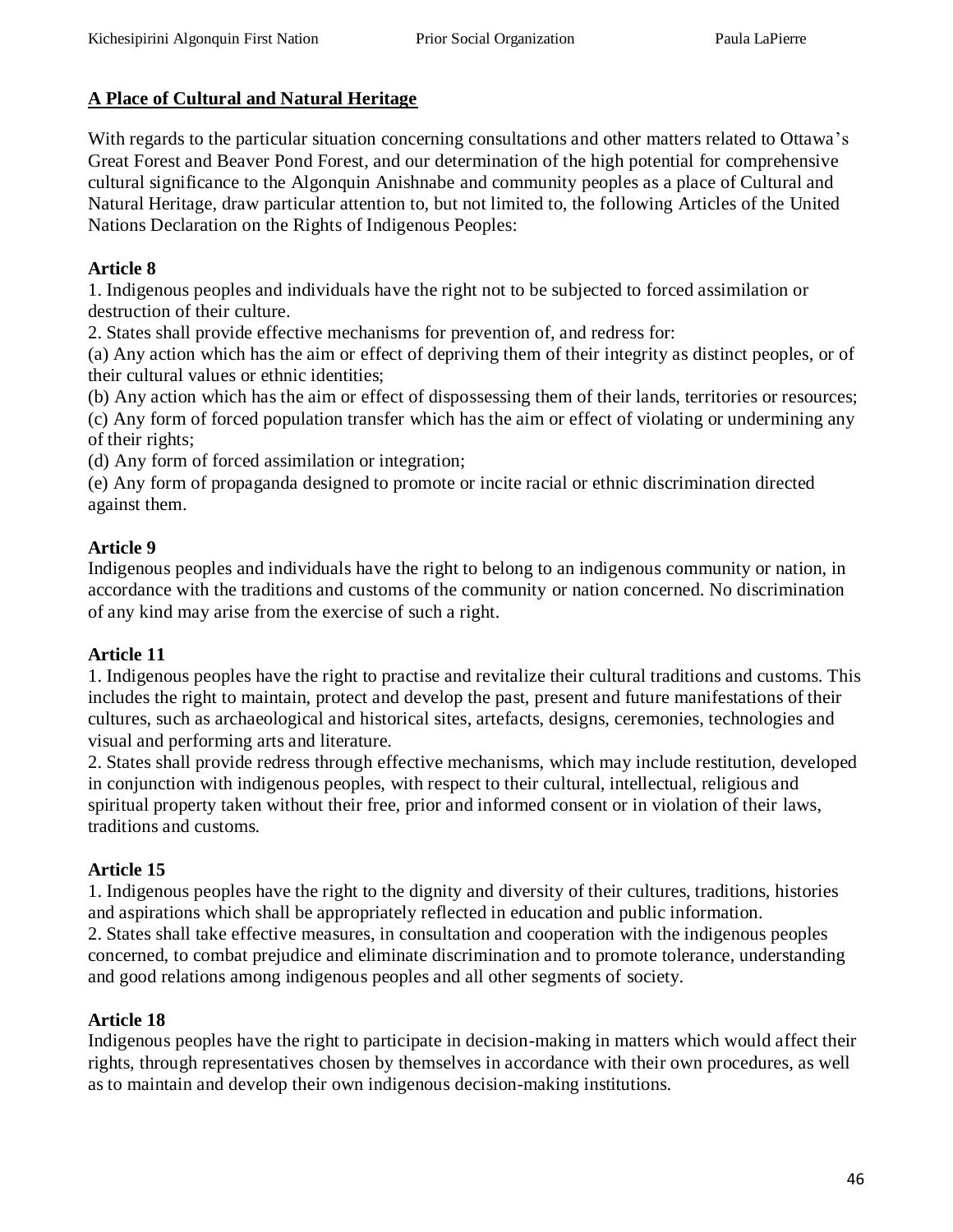## **A Place of Cultural and Natural Heritage**

With regards to the particular situation concerning consultations and other matters related to Ottawa's Great Forest and Beaver Pond Forest, and our determination of the high potential for comprehensive cultural significance to the Algonquin Anishnabe and community peoples as a place of Cultural and Natural Heritage, draw particular attention to, but not limited to, the following Articles of the United Nations Declaration on the Rights of Indigenous Peoples:

## **Article 8**

1. Indigenous peoples and individuals have the right not to be subjected to forced assimilation or destruction of their culture.

2. States shall provide effective mechanisms for prevention of, and redress for:

(a) Any action which has the aim or effect of depriving them of their integrity as distinct peoples, or of their cultural values or ethnic identities;

(b) Any action which has the aim or effect of dispossessing them of their lands, territories or resources; (c) Any form of forced population transfer which has the aim or effect of violating or undermining any of their rights;

(d) Any form of forced assimilation or integration;

(e) Any form of propaganda designed to promote or incite racial or ethnic discrimination directed against them.

## **Article 9**

Indigenous peoples and individuals have the right to belong to an indigenous community or nation, in accordance with the traditions and customs of the community or nation concerned. No discrimination of any kind may arise from the exercise of such a right.

## **Article 11**

1. Indigenous peoples have the right to practise and revitalize their cultural traditions and customs. This includes the right to maintain, protect and develop the past, present and future manifestations of their cultures, such as archaeological and historical sites, artefacts, designs, ceremonies, technologies and visual and performing arts and literature.

2. States shall provide redress through effective mechanisms, which may include restitution, developed in conjunction with indigenous peoples, with respect to their cultural, intellectual, religious and spiritual property taken without their free, prior and informed consent or in violation of their laws, traditions and customs.

## **Article 15**

1. Indigenous peoples have the right to the dignity and diversity of their cultures, traditions, histories and aspirations which shall be appropriately reflected in education and public information. 2. States shall take effective measures, in consultation and cooperation with the indigenous peoples concerned, to combat prejudice and eliminate discrimination and to promote tolerance, understanding and good relations among indigenous peoples and all other segments of society.

## **Article 18**

Indigenous peoples have the right to participate in decision-making in matters which would affect their rights, through representatives chosen by themselves in accordance with their own procedures, as well as to maintain and develop their own indigenous decision-making institutions.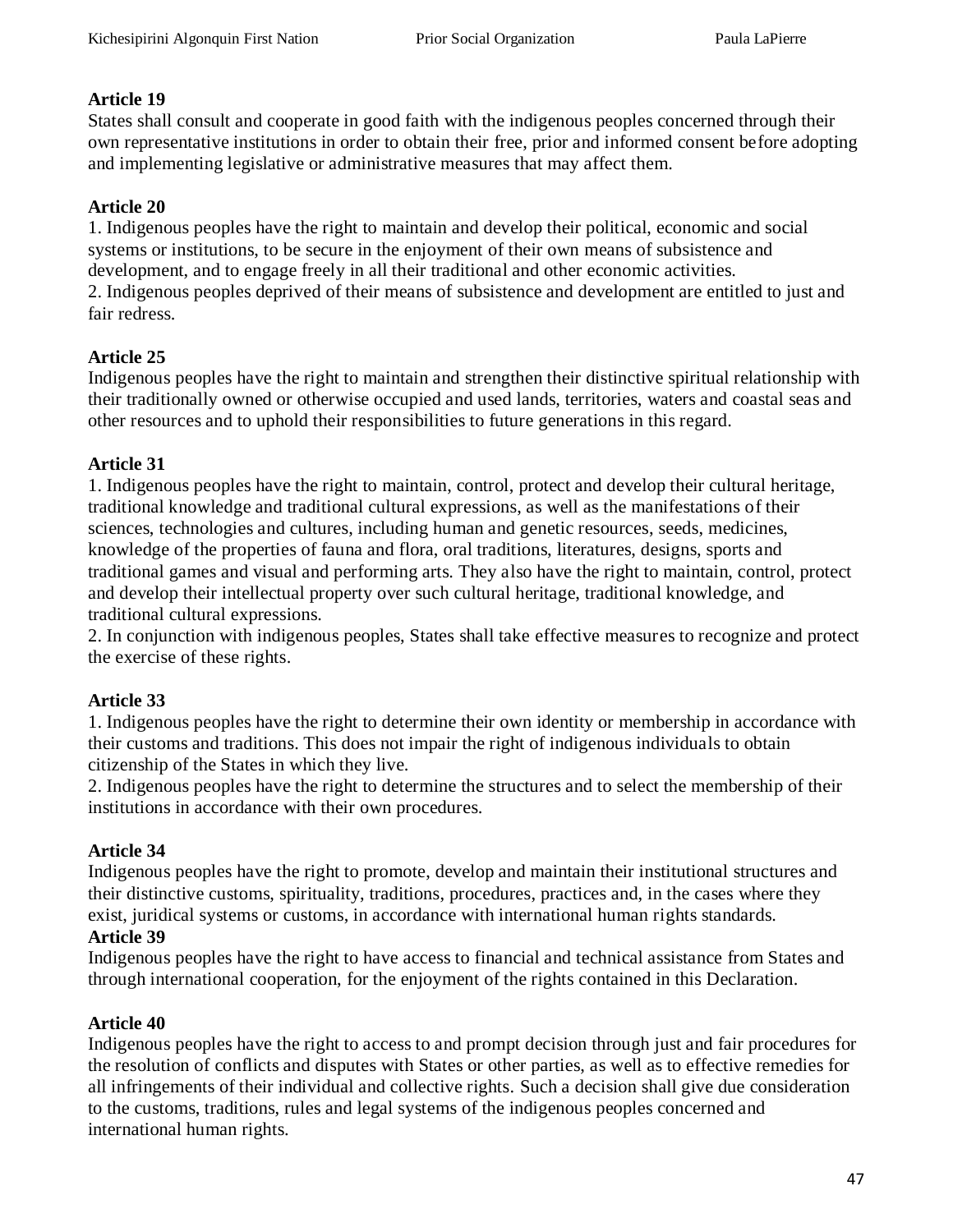## **Article 19**

States shall consult and cooperate in good faith with the indigenous peoples concerned through their own representative institutions in order to obtain their free, prior and informed consent before adopting and implementing legislative or administrative measures that may affect them.

## **Article 20**

1. Indigenous peoples have the right to maintain and develop their political, economic and social systems or institutions, to be secure in the enjoyment of their own means of subsistence and development, and to engage freely in all their traditional and other economic activities. 2. Indigenous peoples deprived of their means of subsistence and development are entitled to just and fair redress.

## **Article 25**

Indigenous peoples have the right to maintain and strengthen their distinctive spiritual relationship with their traditionally owned or otherwise occupied and used lands, territories, waters and coastal seas and other resources and to uphold their responsibilities to future generations in this regard.

#### **Article 31**

1. Indigenous peoples have the right to maintain, control, protect and develop their cultural heritage, traditional knowledge and traditional cultural expressions, as well as the manifestations of their sciences, technologies and cultures, including human and genetic resources, seeds, medicines, knowledge of the properties of fauna and flora, oral traditions, literatures, designs, sports and traditional games and visual and performing arts. They also have the right to maintain, control, protect and develop their intellectual property over such cultural heritage, traditional knowledge, and traditional cultural expressions.

2. In conjunction with indigenous peoples, States shall take effective measures to recognize and protect the exercise of these rights.

#### **Article 33**

1. Indigenous peoples have the right to determine their own identity or membership in accordance with their customs and traditions. This does not impair the right of indigenous individuals to obtain citizenship of the States in which they live.

2. Indigenous peoples have the right to determine the structures and to select the membership of their institutions in accordance with their own procedures.

#### **Article 34**

Indigenous peoples have the right to promote, develop and maintain their institutional structures and their distinctive customs, spirituality, traditions, procedures, practices and, in the cases where they exist, juridical systems or customs, in accordance with international human rights standards.

## **Article 39**

Indigenous peoples have the right to have access to financial and technical assistance from States and through international cooperation, for the enjoyment of the rights contained in this Declaration.

#### **Article 40**

Indigenous peoples have the right to access to and prompt decision through just and fair procedures for the resolution of conflicts and disputes with States or other parties, as well as to effective remedies for all infringements of their individual and collective rights. Such a decision shall give due consideration to the customs, traditions, rules and legal systems of the indigenous peoples concerned and international human rights.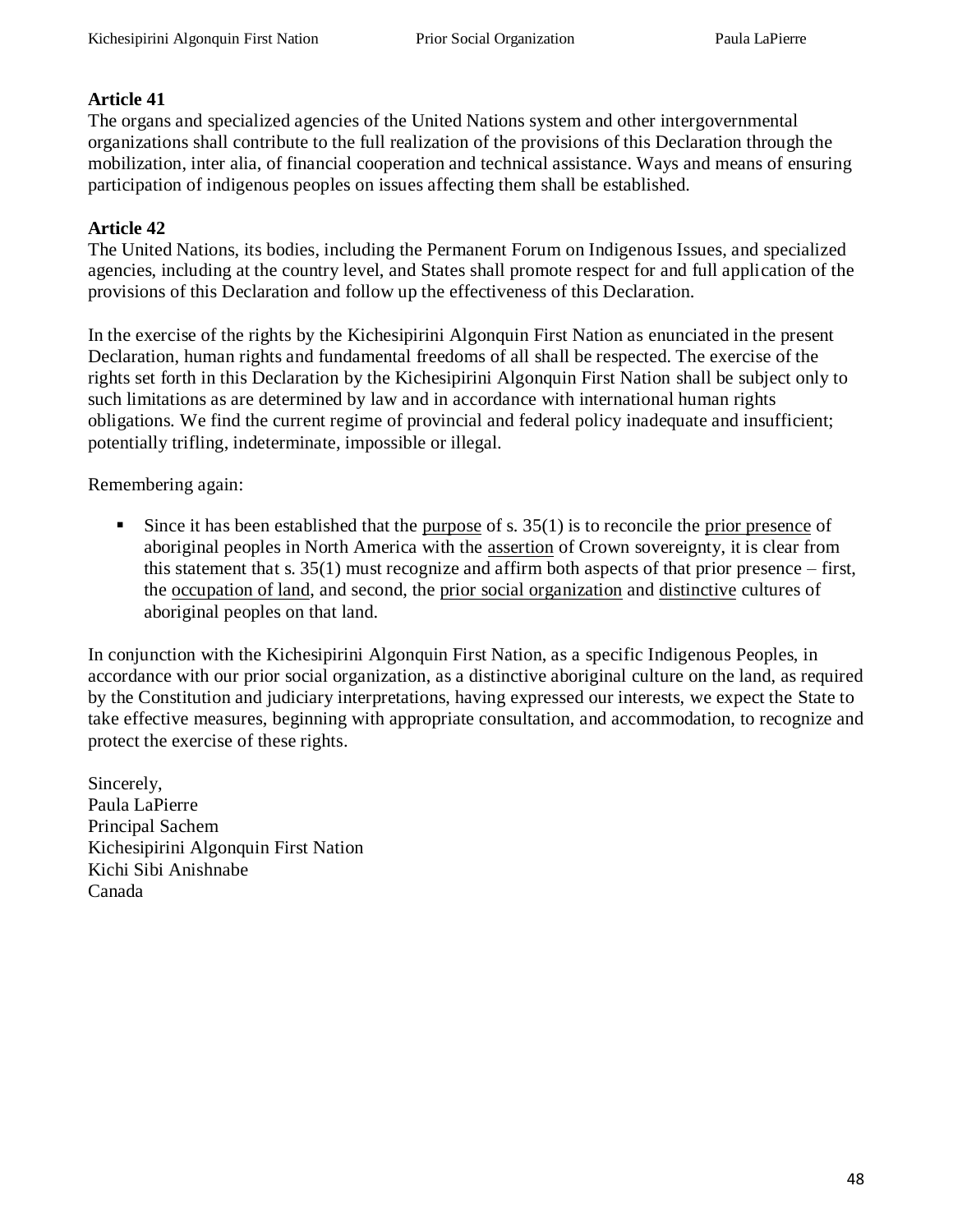#### **Article 41**

The organs and specialized agencies of the United Nations system and other intergovernmental organizations shall contribute to the full realization of the provisions of this Declaration through the mobilization, inter alia, of financial cooperation and technical assistance. Ways and means of ensuring participation of indigenous peoples on issues affecting them shall be established.

## **Article 42**

The United Nations, its bodies, including the Permanent Forum on Indigenous Issues, and specialized agencies, including at the country level, and States shall promote respect for and full application of the provisions of this Declaration and follow up the effectiveness of this Declaration.

In the exercise of the rights by the Kichesipirini Algonquin First Nation as enunciated in the present Declaration, human rights and fundamental freedoms of all shall be respected. The exercise of the rights set forth in this Declaration by the Kichesipirini Algonquin First Nation shall be subject only to such limitations as are determined by law and in accordance with international human rights obligations. We find the current regime of provincial and federal policy inadequate and insufficient; potentially trifling, indeterminate, impossible or illegal.

Remembering again:

Since it has been established that the <u>purpose</u> of s.  $35(1)$  is to reconcile the prior presence of aboriginal peoples in North America with the assertion of Crown sovereignty, it is clear from this statement that s. 35(1) must recognize and affirm both aspects of that prior presence – first, the occupation of land, and second, the prior social organization and distinctive cultures of aboriginal peoples on that land.

In conjunction with the Kichesipirini Algonquin First Nation, as a specific Indigenous Peoples, in accordance with our prior social organization, as a distinctive aboriginal culture on the land, as required by the Constitution and judiciary interpretations, having expressed our interests, we expect the State to take effective measures, beginning with appropriate consultation, and accommodation, to recognize and protect the exercise of these rights.

Sincerely, Paula LaPierre Principal Sachem Kichesipirini Algonquin First Nation Kichi Sibi Anishnabe Canada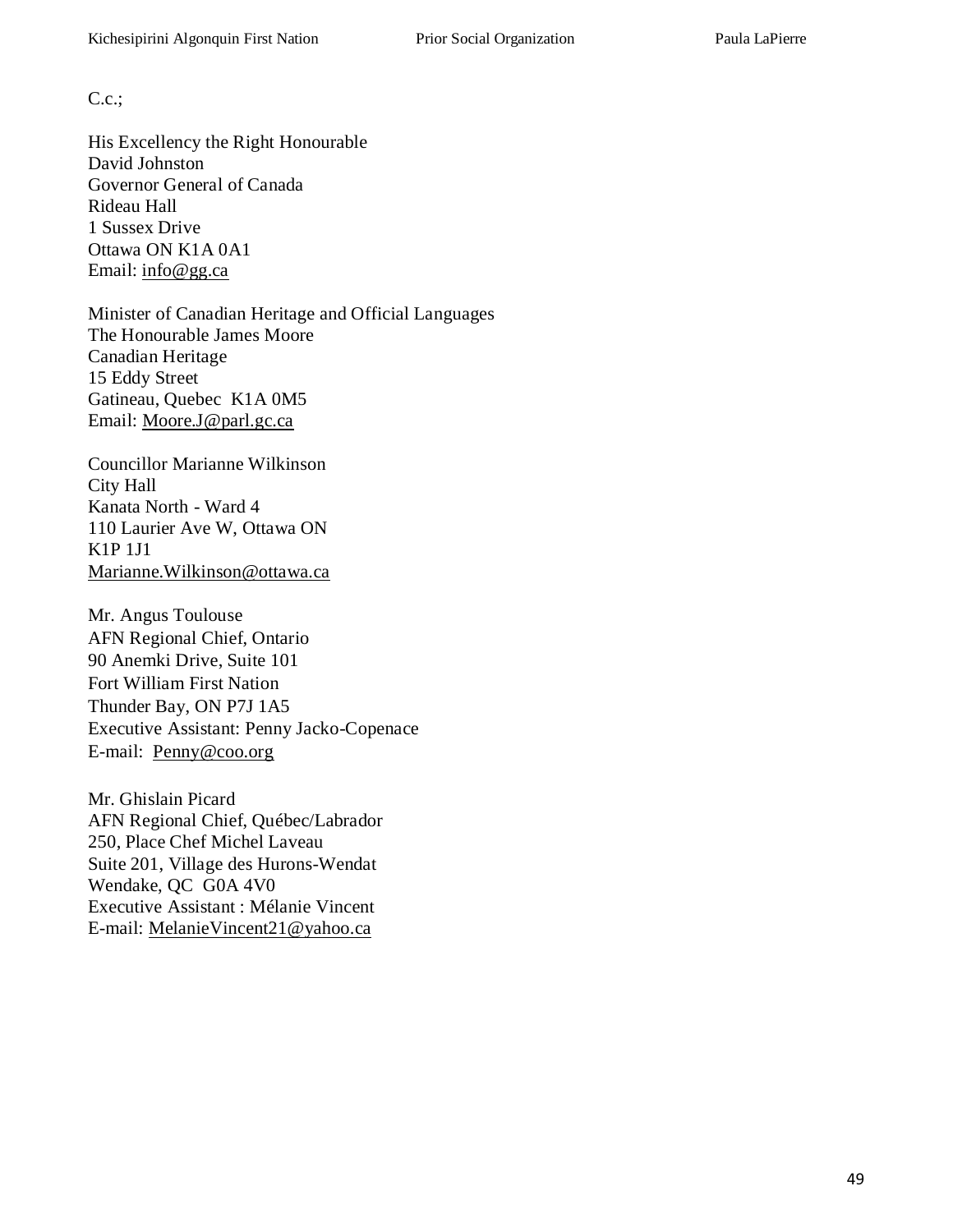C.c.;

His Excellency the Right Honourable David Johnston Governor General of Canada Rideau Hall 1 Sussex Drive Ottawa ON K1A 0A1 Email: [info@gg.ca](mailto:info@gg.ca)

Minister of Canadian Heritage and Official Languages The Honourable James Moore Canadian Heritage 15 Eddy Street Gatineau, Quebec K1A 0M5 Email: [Moore.J@parl.gc.ca](mailto:Moore.J@parl.gc.ca)

Councillor Marianne Wilkinson City Hall Kanata North - Ward 4 110 Laurier Ave W, Ottawa ON K1P 1J1 [Marianne.Wilkinson@ottawa.ca](mailto:Marianne.Wilkinson@ottawa.ca)

Mr. Angus Toulouse AFN Regional Chief, Ontario 90 Anemki Drive, Suite 101 Fort William First Nation Thunder Bay, ON P7J 1A5 Executive Assistant: Penny Jacko-Copenace E-mail: [Penny@coo.org](mailto:Penny@coo.org)

Mr. Ghislain Picard AFN Regional Chief, Québec/Labrador 250, Place Chef Michel Laveau Suite 201, Village des Hurons-Wendat Wendake, QC G0A 4V0 Executive Assistant : Mélanie Vincent E-mail: [MelanieVincent21@yahoo.ca](mailto:MelanieVincent21@yahoo.ca)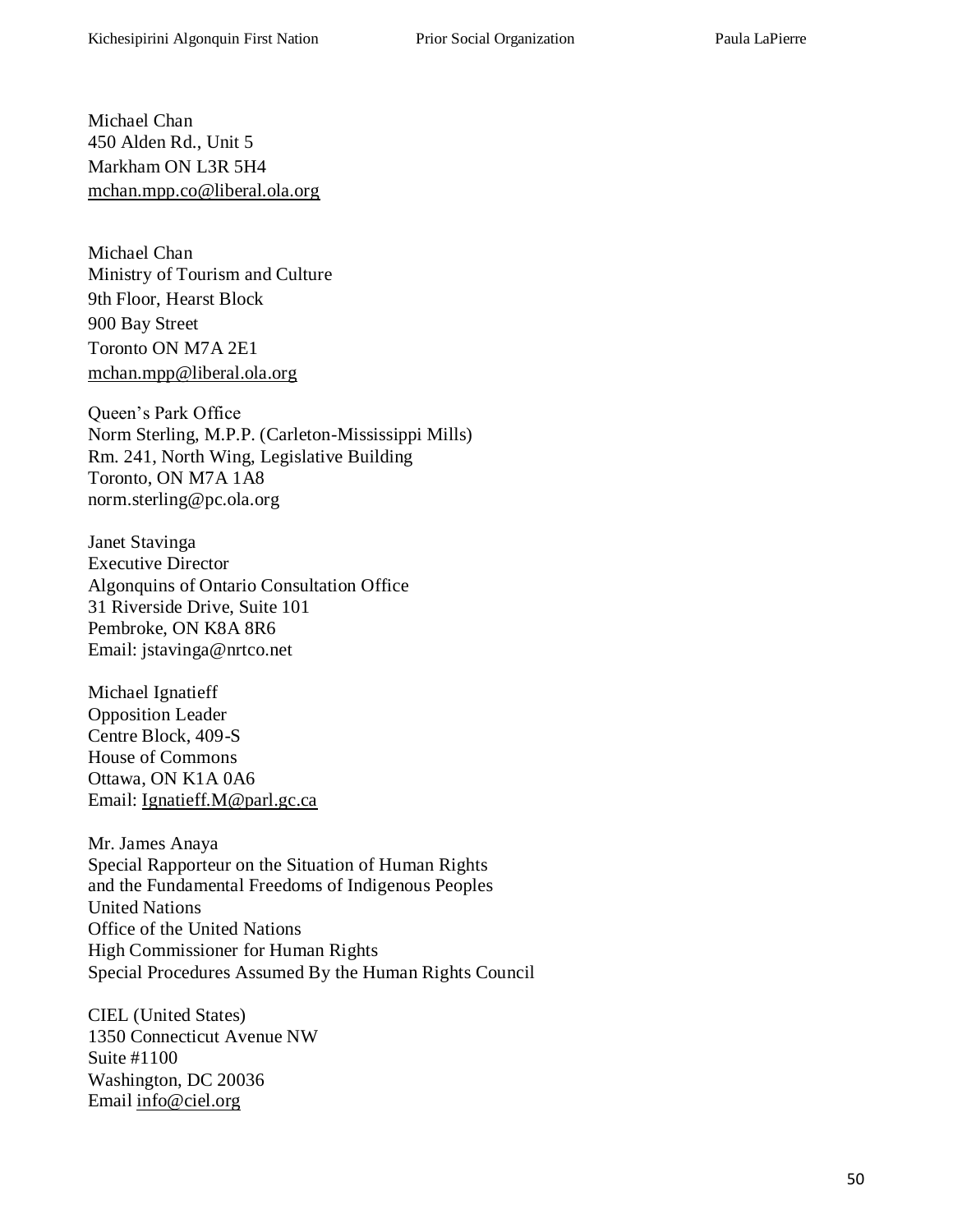Michael Chan 450 Alden Rd., Unit 5 Markham ON L3R 5H4 [mchan.mpp.co@liberal.ola.org](http://ca.mc882.mail.yahoo.com/mc/compose?to=mchan.mpp.co@liberal.ola.org)

Michael Chan Ministry of Tourism and Culture 9th Floor, Hearst Block 900 Bay Street Toronto ON M7A 2E1 [mchan.mpp@liberal.ola.org](http://ca.mc882.mail.yahoo.com/mc/compose?to=mchan.mpp@liberal.ola.org)

Queen's Park Office Norm Sterling, M.P.P. (Carleton-Mississippi Mills) Rm. 241, North Wing, Legislative Building Toronto, ON M7A 1A8 norm.sterling@pc.ola.org

Janet Stavinga Executive Director Algonquins of Ontario Consultation Office 31 Riverside Drive, Suite 101 Pembroke, ON K8A 8R6 Email: jstavinga@nrtco.net

Michael Ignatieff Opposition Leader Centre Block, 409-S House of Commons Ottawa, ON K1A 0A6 Email: [Ignatieff.M@parl.gc.ca](mailto:Ignatieff.M@parl.gc.ca)

Mr. James Anaya Special Rapporteur on the Situation of Human Rights and the Fundamental Freedoms of Indigenous Peoples United Nations Office of the United Nations High Commissioner for Human Rights Special Procedures Assumed By the Human Rights Council

CIEL (United States) 1350 Connecticut Avenue NW Suite #1100 Washington, DC 20036 Email [info@ciel.org](mailto:info@ciel.org)